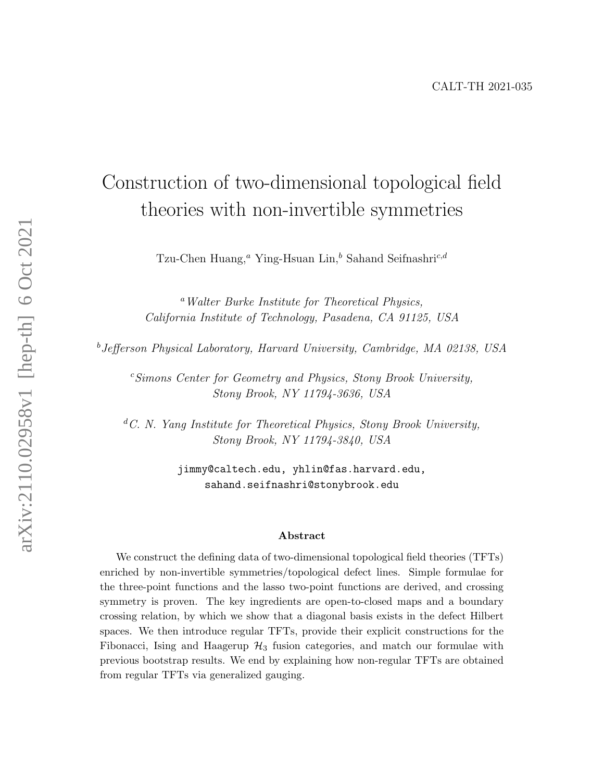# Construction of two-dimensional topological field theories with non-invertible symmetries

Tzu-Chen Huang,<sup>a</sup> Ying-Hsuan Lin,<sup>b</sup> Sahand Seifnashri<sup>c,d</sup>

<sup>a</sup>Walter Burke Institute for Theoretical Physics, California Institute of Technology, Pasadena, CA 91125, USA

<sup>b</sup>Jefferson Physical Laboratory, Harvard University, Cambridge, MA 02138, USA

 $c<sup>c</sup>Simons Center for Geometry and Physics, Stony Brook University,$ Stony Brook, NY 11794-3636, USA

 ${}^dC$ . N. Yang Institute for Theoretical Physics, Stony Brook University, Stony Brook, NY 11794-3840, USA

> jimmy@caltech.edu, yhlin@fas.harvard.edu, sahand.seifnashri@stonybrook.edu

#### Abstract

We construct the defining data of two-dimensional topological field theories (TFTs) enriched by non-invertible symmetries/topological defect lines. Simple formulae for the three-point functions and the lasso two-point functions are derived, and crossing symmetry is proven. The key ingredients are open-to-closed maps and a boundary crossing relation, by which we show that a diagonal basis exists in the defect Hilbert spaces. We then introduce regular TFTs, provide their explicit constructions for the Fibonacci, Ising and Haagerup  $\mathcal{H}_3$  fusion categories, and match our formulae with previous bootstrap results. We end by explaining how non-regular TFTs are obtained from regular TFTs via generalized gauging.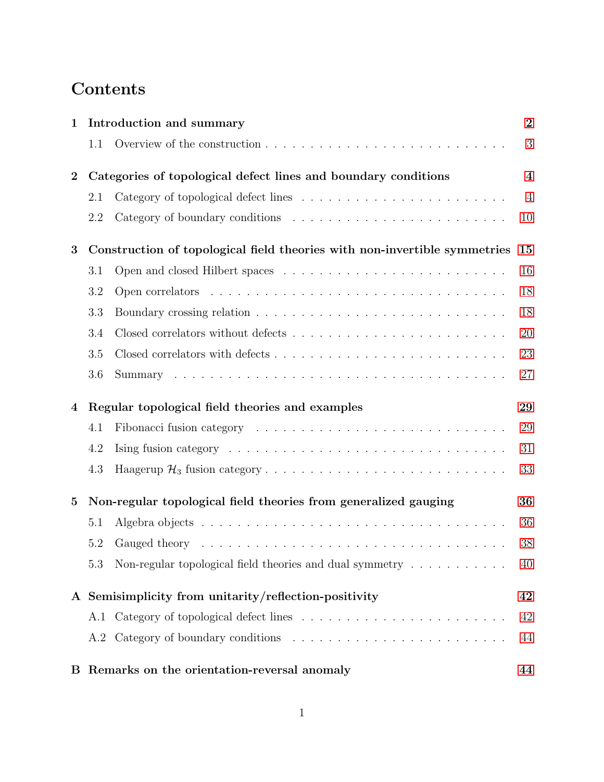# Contents

| 1              | Introduction and summary                                                  |                                                                                                                                                                                                                                | $\overline{2}$          |
|----------------|---------------------------------------------------------------------------|--------------------------------------------------------------------------------------------------------------------------------------------------------------------------------------------------------------------------------|-------------------------|
|                | 1.1                                                                       |                                                                                                                                                                                                                                | 3                       |
| $\overline{2}$ | Categories of topological defect lines and boundary conditions            |                                                                                                                                                                                                                                | $\overline{\mathbf{4}}$ |
|                | 2.1                                                                       |                                                                                                                                                                                                                                | $\overline{4}$          |
|                | 2.2                                                                       |                                                                                                                                                                                                                                | 10                      |
| 3              | Construction of topological field theories with non-invertible symmetries |                                                                                                                                                                                                                                | 15                      |
|                | 3.1                                                                       |                                                                                                                                                                                                                                | 16                      |
|                | 3.2                                                                       |                                                                                                                                                                                                                                | 18                      |
|                | 3.3                                                                       |                                                                                                                                                                                                                                | 18                      |
|                | 3.4                                                                       |                                                                                                                                                                                                                                | 20                      |
|                | 3.5                                                                       |                                                                                                                                                                                                                                | 23                      |
|                | 3.6                                                                       |                                                                                                                                                                                                                                | 27                      |
| 4              | Regular topological field theories and examples                           |                                                                                                                                                                                                                                | 29                      |
|                | 4.1                                                                       |                                                                                                                                                                                                                                | 29                      |
|                | 4.2                                                                       | Ising fusion category $\ldots \ldots \ldots \ldots \ldots \ldots \ldots \ldots \ldots$                                                                                                                                         | 31                      |
|                | 4.3                                                                       |                                                                                                                                                                                                                                | 33                      |
| $\bf{5}$       | Non-regular topological field theories from generalized gauging           |                                                                                                                                                                                                                                | 36                      |
|                | 5.1                                                                       |                                                                                                                                                                                                                                | 36                      |
|                | 5.2                                                                       | Gauged theory resources in the contract of the contract of the contract of the contract of the contract of the contract of the contract of the contract of the contract of the contract of the contract of the contract of the | 38                      |
|                | 5.3                                                                       | Non-regular topological field theories and dual symmetry $\dots \dots \dots$                                                                                                                                                   | 40                      |
|                | A Semisimplicity from unitarity/reflection-positivity                     |                                                                                                                                                                                                                                | 42                      |
|                |                                                                           |                                                                                                                                                                                                                                | 42                      |
|                |                                                                           |                                                                                                                                                                                                                                |                         |
|                |                                                                           |                                                                                                                                                                                                                                | 44                      |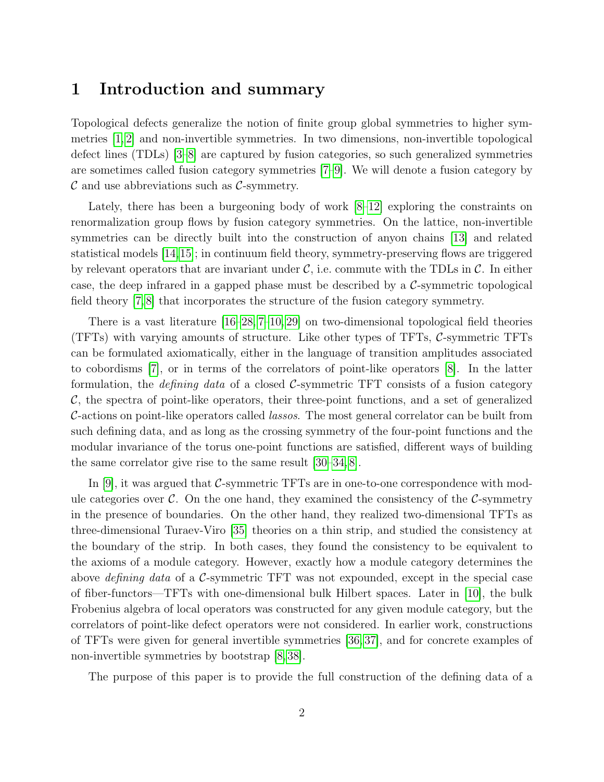## <span id="page-2-0"></span>1 Introduction and summary

Topological defects generalize the notion of finite group global symmetries to higher symmetries [\[1,](#page-45-0) [2\]](#page-45-1) and non-invertible symmetries. In two dimensions, non-invertible topological defect lines (TDLs) [\[3–](#page-45-2)[8\]](#page-46-0) are captured by fusion categories, so such generalized symmetries are sometimes called fusion category symmetries [\[7](#page-46-1)[–9\]](#page-46-2). We will denote a fusion category by  $\mathcal C$  and use abbreviations such as  $\mathcal C$ -symmetry.

Lately, there has been a burgeoning body of work [\[8–](#page-46-0)[12\]](#page-46-3) exploring the constraints on renormalization group flows by fusion category symmetries. On the lattice, non-invertible symmetries can be directly built into the construction of anyon chains [\[13\]](#page-46-4) and related statistical models [\[14,](#page-46-5)[15\]](#page-46-6); in continuum field theory, symmetry-preserving flows are triggered by relevant operators that are invariant under  $\mathcal{C}$ , i.e. commute with the TDLs in  $\mathcal{C}$ . In either case, the deep infrared in a gapped phase must be described by a  $\mathcal{C}$ -symmetric topological field theory [\[7,](#page-46-1) [8\]](#page-46-0) that incorporates the structure of the fusion category symmetry.

There is a vast literature [\[16–](#page-46-7)[28,](#page-47-0) [7–](#page-46-1)[10,](#page-46-8) [29\]](#page-47-1) on two-dimensional topological field theories (TFTs) with varying amounts of structure. Like other types of TFTs, C-symmetric TFTs can be formulated axiomatically, either in the language of transition amplitudes associated to cobordisms [\[7\]](#page-46-1), or in terms of the correlators of point-like operators [\[8\]](#page-46-0). In the latter formulation, the *defining data* of a closed  $\mathcal{C}$ -symmetric TFT consists of a fusion category  $\mathcal{C}$ , the spectra of point-like operators, their three-point functions, and a set of generalized C-actions on point-like operators called lassos. The most general correlator can be built from such defining data, and as long as the crossing symmetry of the four-point functions and the modular invariance of the torus one-point functions are satisfied, different ways of building the same correlator give rise to the same result [\[30–](#page-47-2)[34,](#page-47-3) [8\]](#page-46-0).

In [\[9\]](#page-46-2), it was argued that  $\mathcal{C}$ -symmetric TFTs are in one-to-one correspondence with module categories over  $\mathcal{C}$ . On the one hand, they examined the consistency of the  $\mathcal{C}$ -symmetry in the presence of boundaries. On the other hand, they realized two-dimensional TFTs as three-dimensional Turaev-Viro [\[35\]](#page-48-0) theories on a thin strip, and studied the consistency at the boundary of the strip. In both cases, they found the consistency to be equivalent to the axioms of a module category. However, exactly how a module category determines the above *defining data* of a  $\mathcal{C}$ -symmetric TFT was not expounded, except in the special case of fiber-functors—TFTs with one-dimensional bulk Hilbert spaces. Later in [\[10\]](#page-46-8), the bulk Frobenius algebra of local operators was constructed for any given module category, but the correlators of point-like defect operators were not considered. In earlier work, constructions of TFTs were given for general invertible symmetries [\[36,](#page-48-1) [37\]](#page-48-2), and for concrete examples of non-invertible symmetries by bootstrap [\[8,](#page-46-0) [38\]](#page-48-3).

The purpose of this paper is to provide the full construction of the defining data of a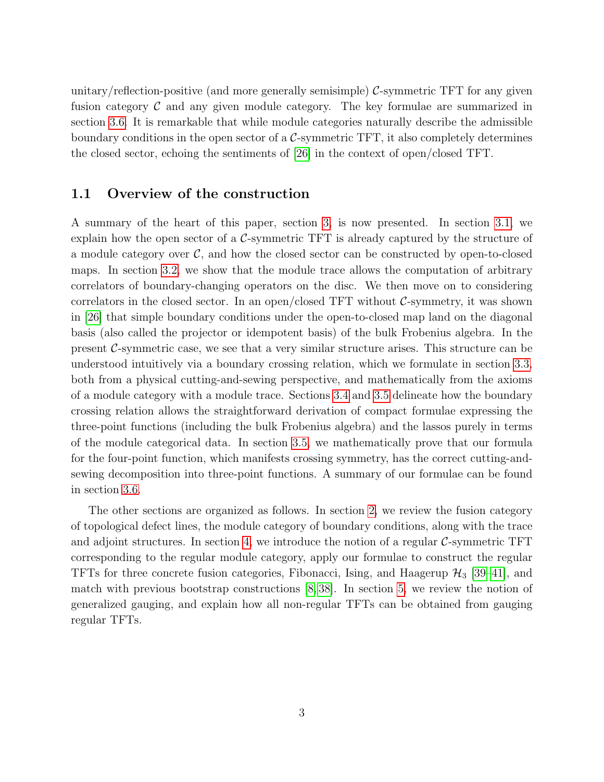unitary/reflection-positive (and more generally semisimple)  $\mathcal{C}$ -symmetric TFT for any given fusion category  $\mathcal C$  and any given module category. The key formulae are summarized in section [3.6.](#page-27-0) It is remarkable that while module categories naturally describe the admissible boundary conditions in the open sector of a  $\mathcal{C}$ -symmetric TFT, it also completely determines the closed sector, echoing the sentiments of [\[26\]](#page-47-4) in the context of open/closed TFT.

## <span id="page-3-0"></span>1.1 Overview of the construction

A summary of the heart of this paper, section [3,](#page-15-0) is now presented. In section [3.1,](#page-16-0) we explain how the open sector of a  $C$ -symmetric TFT is already captured by the structure of a module category over  $C$ , and how the closed sector can be constructed by open-to-closed maps. In section [3.2,](#page-18-0) we show that the module trace allows the computation of arbitrary correlators of boundary-changing operators on the disc. We then move on to considering correlators in the closed sector. In an open/closed TFT without  $\mathcal{C}$ -symmetry, it was shown in [\[26\]](#page-47-4) that simple boundary conditions under the open-to-closed map land on the diagonal basis (also called the projector or idempotent basis) of the bulk Frobenius algebra. In the present  $\mathcal{C}$ -symmetric case, we see that a very similar structure arises. This structure can be understood intuitively via a boundary crossing relation, which we formulate in section [3.3,](#page-18-1) both from a physical cutting-and-sewing perspective, and mathematically from the axioms of a module category with a module trace. Sections [3.4](#page-20-0) and [3.5](#page-23-0) delineate how the boundary crossing relation allows the straightforward derivation of compact formulae expressing the three-point functions (including the bulk Frobenius algebra) and the lassos purely in terms of the module categorical data. In section [3.5,](#page-23-0) we mathematically prove that our formula for the four-point function, which manifests crossing symmetry, has the correct cutting-andsewing decomposition into three-point functions. A summary of our formulae can be found in section [3.6.](#page-27-0)

The other sections are organized as follows. In section [2,](#page-4-0) we review the fusion category of topological defect lines, the module category of boundary conditions, along with the trace and adjoint structures. In section [4,](#page-29-0) we introduce the notion of a regular  $\mathcal{C}$ -symmetric TFT corresponding to the regular module category, apply our formulae to construct the regular TFTs for three concrete fusion categories, Fibonacci, Ising, and Haagerup  $\mathcal{H}_3$  [\[39–](#page-48-4)[41\]](#page-48-5), and match with previous bootstrap constructions [\[8,](#page-46-0) [38\]](#page-48-3). In section [5,](#page-36-0) we review the notion of generalized gauging, and explain how all non-regular TFTs can be obtained from gauging regular TFTs.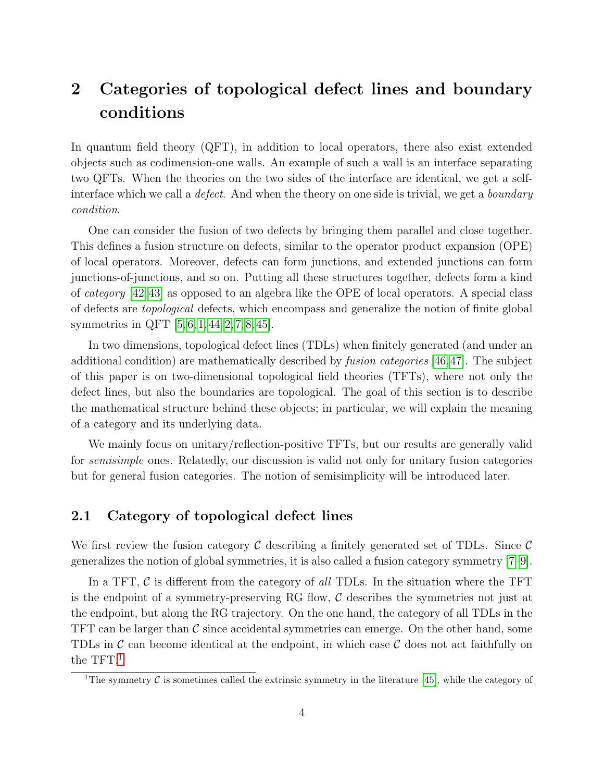# <span id="page-4-0"></span>2 Categories of topological defect lines and boundary conditions

In quantum field theory (QFT), in addition to local operators, there also exist extended objects such as codimension-one walls. An example of such a wall is an interface separating two QFTs. When the theories on the two sides of the interface are identical, we get a selfinterface which we call a *defect*. And when the theory on one side is trivial, we get a *boundary* condition.

One can consider the fusion of two defects by bringing them parallel and close together. This defines a fusion structure on defects, similar to the operator product expansion (OPE) of local operators. Moreover, defects can form junctions, and extended junctions can form junctions-of-junctions, and so on. Putting all these structures together, defects form a kind of category [\[42,](#page-48-6)[43\]](#page-48-7) as opposed to an algebra like the OPE of local operators. A special class of defects are topological defects, which encompass and generalize the notion of finite global symmetries in QFT [\[5,](#page-45-3) [6,](#page-45-4) [1,](#page-45-0) [44,](#page-48-8) [2,](#page-45-1) [7,](#page-46-1) [8,](#page-46-0) [45\]](#page-48-9).

In two dimensions, topological defect lines (TDLs) when finitely generated (and under an additional condition) are mathematically described by fusion categories [\[46,](#page-48-10)[47\]](#page-48-11). The subject of this paper is on two-dimensional topological field theories (TFTs), where not only the defect lines, but also the boundaries are topological. The goal of this section is to describe the mathematical structure behind these objects; in particular, we will explain the meaning of a category and its underlying data.

We mainly focus on unitary/reflection-positive TFTs, but our results are generally valid for *semisimple* ones. Relatedly, our discussion is valid not only for unitary fusion categories but for general fusion categories. The notion of semisimplicity will be introduced later.

## <span id="page-4-1"></span>2.1 Category of topological defect lines

We first review the fusion category  $\mathcal C$  describing a finitely generated set of TDLs. Since  $\mathcal C$ generalizes the notion of global symmetries, it is also called a fusion category symmetry [\[7–](#page-46-1)[9\]](#page-46-2).

In a TFT,  $\mathcal C$  is different from the category of all TDLs. In the situation where the TFT is the endpoint of a symmetry-preserving RG flow,  $\mathcal C$  describes the symmetries not just at the endpoint, but along the RG trajectory. On the one hand, the category of all TDLs in the TFT can be larger than  $\mathcal C$  since accidental symmetries can emerge. On the other hand, some TDLs in  $\mathcal C$  can become identical at the endpoint, in which case  $\mathcal C$  does not act faithfully on the  $TFT.<sup>1</sup>$  $TFT.<sup>1</sup>$  $TFT.<sup>1</sup>$ 

<span id="page-4-2"></span><sup>&</sup>lt;sup>1</sup>The symmetry  $\mathcal C$  is sometimes called the extrinsic symmetry in the literature [\[45\]](#page-48-9), while the category of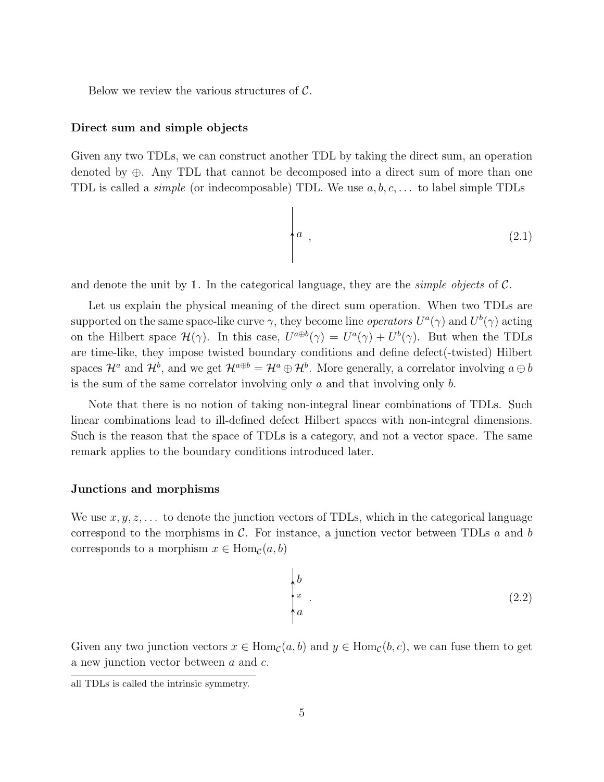Below we review the various structures of  $\mathcal{C}$ .

#### Direct sum and simple objects

Given any two TDLs, we can construct another TDL by taking the direct sum, an operation denoted by ⊕. Any TDL that cannot be decomposed into a direct sum of more than one TDL is called a *simple* (or indecomposable) TDL. We use  $a, b, c, \ldots$  to label simple TDLs

$$
\begin{cases}\na \end{cases}
$$
\n(2.1)

and denote the unit by  $\mathbb{1}$ . In the categorical language, they are the *simple objects* of  $\mathcal{C}$ .

Let us explain the physical meaning of the direct sum operation. When two TDLs are supported on the same space-like curve  $\gamma$ , they become line *operators*  $U^a(\gamma)$  and  $U^b(\gamma)$  acting on the Hilbert space  $\mathcal{H}(\gamma)$ . In this case,  $U^{a \oplus b}(\gamma) = U^{a}(\gamma) + U^{b}(\gamma)$ . But when the TDLs are time-like, they impose twisted boundary conditions and define defect(-twisted) Hilbert spaces  $\mathcal{H}^a$  and  $\mathcal{H}^b$ , and we get  $\mathcal{H}^{a\oplus b} = \mathcal{H}^a \oplus \mathcal{H}^b$ . More generally, a correlator involving  $a \oplus b$ is the sum of the same correlator involving only  $a$  and that involving only  $b$ .

Note that there is no notion of taking non-integral linear combinations of TDLs. Such linear combinations lead to ill-defined defect Hilbert spaces with non-integral dimensions. Such is the reason that the space of TDLs is a category, and not a vector space. The same remark applies to the boundary conditions introduced later.

#### Junctions and morphisms

We use  $x, y, z, \ldots$  to denote the junction vectors of TDLs, which in the categorical language correspond to the morphisms in  $\mathcal{C}$ . For instance, a junction vector between TDLs  $a$  and  $b$ corresponds to a morphism  $x \in \text{Hom}_{\mathcal{C}}(a, b)$ 

$$
\begin{cases} b \\ x \\ a \end{cases} \tag{2.2}
$$

Given any two junction vectors  $x \in \text{Hom}_{\mathcal{C}}(a, b)$  and  $y \in \text{Hom}_{\mathcal{C}}(b, c)$ , we can fuse them to get a new junction vector between a and c.

all TDLs is called the intrinsic symmetry.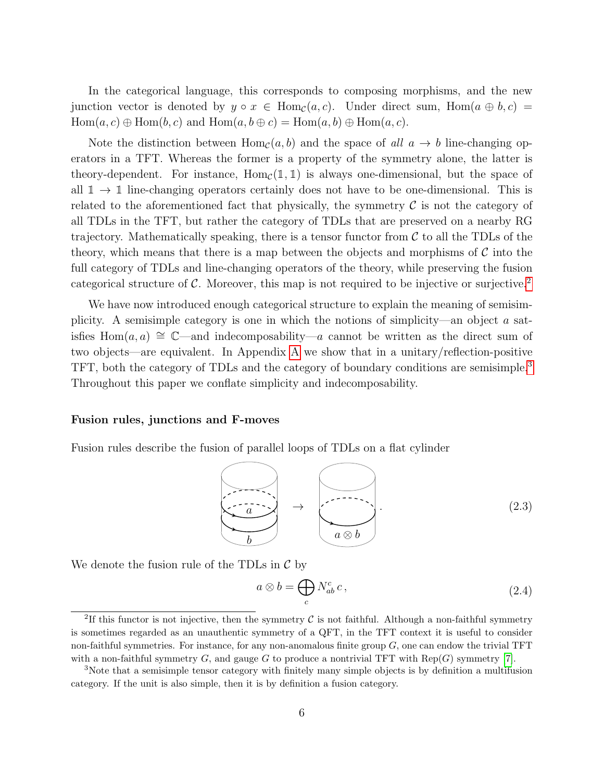In the categorical language, this corresponds to composing morphisms, and the new junction vector is denoted by  $y \circ x \in \text{Hom}_{\mathcal{C}}(a, c)$ . Under direct sum,  $\text{Hom}(a \oplus b, c)$  $Hom(a, c) \oplus Hom(b, c)$  and  $Hom(a, b \oplus c) = Hom(a, b) \oplus Hom(a, c)$ .

Note the distinction between  $Hom_{\mathcal{C}}(a, b)$  and the space of all  $a \to b$  line-changing operators in a TFT. Whereas the former is a property of the symmetry alone, the latter is theory-dependent. For instance,  $Hom_{\mathcal{C}}(\mathbb{1}, \mathbb{1})$  is always one-dimensional, but the space of all  $\mathbb{1} \to \mathbb{1}$  line-changing operators certainly does not have to be one-dimensional. This is related to the aforementioned fact that physically, the symmetry  $\mathcal C$  is not the category of all TDLs in the TFT, but rather the category of TDLs that are preserved on a nearby RG trajectory. Mathematically speaking, there is a tensor functor from  $\mathcal C$  to all the TDLs of the theory, which means that there is a map between the objects and morphisms of  $\mathcal C$  into the full category of TDLs and line-changing operators of the theory, while preserving the fusion categorical structure of  $\mathcal C$ . Moreover, this map is not required to be injective or surjective.<sup>[2](#page-6-0)</sup>

We have now introduced enough categorical structure to explain the meaning of semisimplicity. A semisimple category is one in which the notions of simplicity—an object  $\alpha$  satisfies Hom(*a*, *a*)  $\cong$   $\mathbb{C}$ —and indecomposability—*a* cannot be written as the direct sum of two objects—are equivalent. In Appendix [A](#page-42-0) we show that in a unitary/reflection-positive TFT, both the category of TDLs and the category of boundary conditions are semisimple.<sup>[3](#page-6-1)</sup> Throughout this paper we conflate simplicity and indecomposability.

#### Fusion rules, junctions and F-moves

Fusion rules describe the fusion of parallel loops of TDLs on a flat cylinder

b a → a ⊗ b . (2.3)

We denote the fusion rule of the TDLs in  $\mathcal C$  by

<span id="page-6-2"></span>
$$
a \otimes b = \bigoplus_{c} N_{ab}^{c} c, \qquad (2.4)
$$

<span id="page-6-0"></span><sup>&</sup>lt;sup>2</sup>If this functor is not injective, then the symmetry  $\mathcal C$  is not faithful. Although a non-faithful symmetry is sometimes regarded as an unauthentic symmetry of a QFT, in the TFT context it is useful to consider non-faithful symmetries. For instance, for any non-anomalous finite group  $G$ , one can endow the trivial TFT with a non-faithful symmetry G, and gauge G to produce a nontrivial TFT with  $\text{Rep}(G)$  symmetry [\[7\]](#page-46-1).

<span id="page-6-1"></span><sup>&</sup>lt;sup>3</sup>Note that a semisimple tensor category with finitely many simple objects is by definition a multifusion category. If the unit is also simple, then it is by definition a fusion category.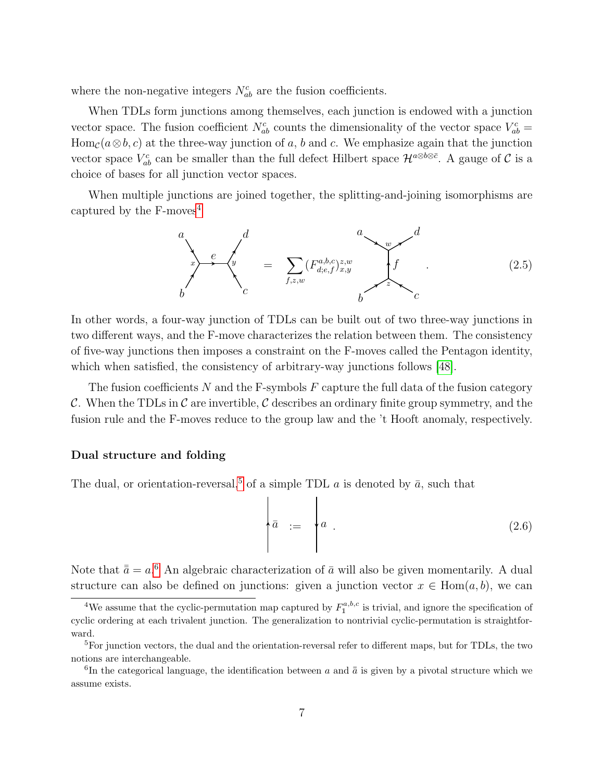where the non-negative integers  $N_{ab}^c$  are the fusion coefficients.

When TDLs form junctions among themselves, each junction is endowed with a junction vector space. The fusion coefficient  $N_{ab}^c$  counts the dimensionality of the vector space  $V_{ab}^c$  = Hom<sub>C</sub>( $a \otimes b$ , c) at the three-way junction of a, b and c. We emphasize again that the junction vector space  $V_{ab}^c$  can be smaller than the full defect Hilbert space  $\mathcal{H}^{a\otimes b\otimes \bar{c}}$ . A gauge of  $\mathcal C$  is a choice of bases for all junction vector spaces.

When multiple junctions are joined together, the splitting-and-joining isomorphisms are captured by the  $F$ -moves<sup>[4](#page-7-0)</sup>

<span id="page-7-3"></span>
$$
\sum_{b}^{a} e^{-\int_{c}^{d}} = \sum_{f,z,w} (F_{d,e,f}^{a,b,c})_{x,y}^{z,w} \qquad \qquad f \qquad (2.5)
$$

In other words, a four-way junction of TDLs can be built out of two three-way junctions in two different ways, and the F-move characterizes the relation between them. The consistency of five-way junctions then imposes a constraint on the F-moves called the Pentagon identity, which when satisfied, the consistency of arbitrary-way junctions follows [\[48\]](#page-48-12).

The fusion coefficients N and the F-symbols  $F$  capture the full data of the fusion category C. When the TDLs in C are invertible, C describes an ordinary finite group symmetry, and the fusion rule and the F-moves reduce to the group law and the 't Hooft anomaly, respectively.

#### Dual structure and folding

The dual, or orientation-reversal,<sup>[5](#page-7-1)</sup> of a simple TDL a is denoted by  $\bar{a}$ , such that

$$
\begin{pmatrix}\n\bar{a} & \cdots & \bar{a} & \bar{a} \\
\cdots & \cdots & \cdots & \cdots \\
\cdots & \cdots & \cdots & \cdots\n\end{pmatrix}\n\begin{pmatrix}\n2.6\n\end{pmatrix}
$$

Note that  $\bar{a} = a^{6}$  $\bar{a} = a^{6}$  $\bar{a} = a^{6}$  An algebraic characterization of  $\bar{a}$  will also be given momentarily. A dual structure can also be defined on junctions: given a junction vector  $x \in \text{Hom}(a, b)$ , we can

<span id="page-7-0"></span><sup>&</sup>lt;sup>4</sup>We assume that the cyclic-permutation map captured by  $F_1^{a,b,c}$  is trivial, and ignore the specification of cyclic ordering at each trivalent junction. The generalization to nontrivial cyclic-permutation is straightforward.

<span id="page-7-1"></span> ${}^{5}$ For junction vectors, the dual and the orientation-reversal refer to different maps, but for TDLs, the two notions are interchangeable.

<span id="page-7-2"></span><sup>&</sup>lt;sup>6</sup>In the categorical language, the identification between a and  $\bar{\bar{a}}$  is given by a pivotal structure which we assume exists.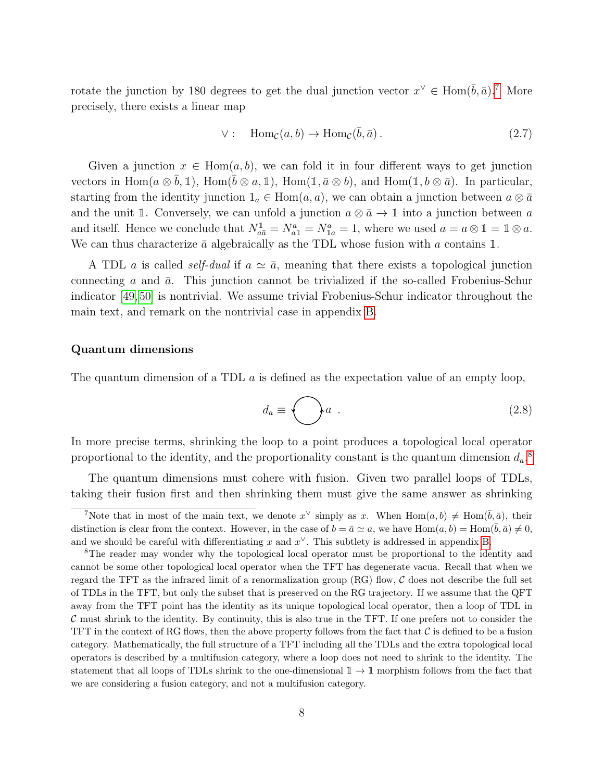rotate the junction by 180 degrees to get the dual junction vector  $x^{\vee} \in \text{Hom}(\bar{b}, \bar{a})$ .<sup>[7](#page-8-0)</sup> More precisely, there exists a linear map

$$
\vee: \quad \text{Hom}_{\mathcal{C}}(a, b) \to \text{Hom}_{\mathcal{C}}(\bar{b}, \bar{a}). \tag{2.7}
$$

Given a junction  $x \in \text{Hom}(a, b)$ , we can fold it in four different ways to get junction vectors in Hom $(a \otimes \overline{b}, \mathbb{1})$ , Hom $(\overline{b} \otimes a, \mathbb{1})$ , Hom $(\mathbb{1}, \overline{a} \otimes b)$ , and Hom $(\mathbb{1}, b \otimes \overline{a})$ . In particular, starting from the identity junction  $1_a \in \text{Hom}(a, a)$ , we can obtain a junction between  $a \otimes \bar{a}$ and the unit 1. Conversely, we can unfold a junction  $a \otimes \bar{a} \to \mathbb{1}$  into a junction between a and itself. Hence we conclude that  $N_{a\bar{a}}^1 = N_{a1}^a = N_{1a}^a = 1$ , where we used  $a = a \otimes 1 = 1 \otimes a$ . We can thus characterize  $\bar{a}$  algebraically as the TDL whose fusion with a contains 1.

A TDL a is called *self-dual* if  $a \simeq \bar{a}$ , meaning that there exists a topological junction connecting a and  $\bar{a}$ . This junction cannot be trivialized if the so-called Frobenius-Schur indicator [\[49,](#page-49-0) [50\]](#page-49-1) is nontrivial. We assume trivial Frobenius-Schur indicator throughout the main text, and remark on the nontrivial case in appendix [B.](#page-44-1)

#### Quantum dimensions

The quantum dimension of a TDL  $\alpha$  is defined as the expectation value of an empty loop,

$$
d_a \equiv \bigodot a \tag{2.8}
$$

In more precise terms, shrinking the loop to a point produces a topological local operator proportional to the identity, and the proportionality constant is the quantum dimension  $d_a$ .<sup>[8](#page-8-1)</sup>

The quantum dimensions must cohere with fusion. Given two parallel loops of TDLs, taking their fusion first and then shrinking them must give the same answer as shrinking

<span id="page-8-0"></span>To The that in most of the main text, we denote  $x^{\vee}$  simply as x. When  $\text{Hom}(a, b) \neq \text{Hom}(\bar{b}, \bar{a})$ , their distinction is clear from the context. However, in the case of  $b = \bar{a} \simeq a$ , we have  $\text{Hom}(a, b) = \text{Hom}(\bar{b}, \bar{a}) \neq 0$ , and we should be careful with differentiating x and  $x^{\vee}$ . This subtlety is addressed in appendix [B.](#page-44-1)

<span id="page-8-1"></span><sup>&</sup>lt;sup>8</sup>The reader may wonder why the topological local operator must be proportional to the identity and cannot be some other topological local operator when the TFT has degenerate vacua. Recall that when we regard the TFT as the infrared limit of a renormalization group  $(RG)$  flow,  $C$  does not describe the full set of TDLs in the TFT, but only the subset that is preserved on the RG trajectory. If we assume that the QFT away from the TFT point has the identity as its unique topological local operator, then a loop of TDL in  $C$  must shrink to the identity. By continuity, this is also true in the TFT. If one prefers not to consider the TFT in the context of RG flows, then the above property follows from the fact that  $\mathcal C$  is defined to be a fusion category. Mathematically, the full structure of a TFT including all the TDLs and the extra topological local operators is described by a multifusion category, where a loop does not need to shrink to the identity. The statement that all loops of TDLs shrink to the one-dimensional  $\mathbb{1} \to \mathbb{1}$  morphism follows from the fact that we are considering a fusion category, and not a multifusion category.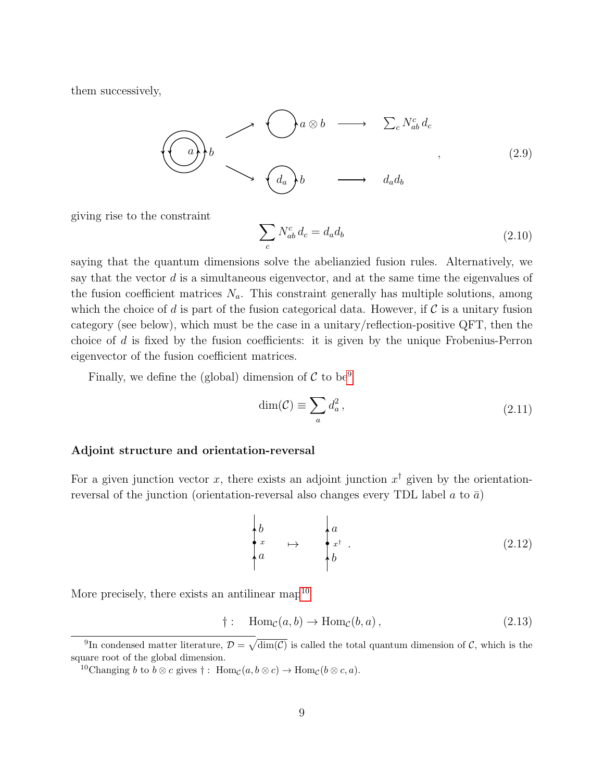them successively,

$$
\bigodot \begin{array}{ccc}\n\searrow & \searrow & a \otimes b & \longrightarrow & \sum_{c} N_{ab}^{c} d_{c} \\
\searrow & \searrow & \searrow & d_{a} d_{b} \\
\searrow & \searrow & d_{a} d_{b} \\
\searrow & \searrow & d_{a} d_{b}\n\end{array} \tag{2.9}
$$

giving rise to the constraint

$$
\sum_{c} N_{ab}^{c} d_{c} = d_{a} d_{b} \tag{2.10}
$$

saying that the quantum dimensions solve the abelianzied fusion rules. Alternatively, we say that the vector  $d$  is a simultaneous eigenvector, and at the same time the eigenvalues of the fusion coefficient matrices  $N_a$ . This constraint generally has multiple solutions, among which the choice of d is part of the fusion categorical data. However, if  $\mathcal C$  is a unitary fusion category (see below), which must be the case in a unitary/reflection-positive QFT, then the choice of  $d$  is fixed by the fusion coefficients: it is given by the unique Frobenius-Perron eigenvector of the fusion coefficient matrices.

Finally, we define the (global) dimension of  $\mathcal C$  to be<sup>[9](#page-9-0)</sup>

$$
\dim(\mathcal{C}) \equiv \sum_{a} d_a^2, \qquad (2.11)
$$

#### Adjoint structure and orientation-reversal

For a given junction vector x, there exists an adjoint junction  $x^{\dagger}$  given by the orientationreversal of the junction (orientation-reversal also changes every TDL label a to  $\bar{a}$ )

$$
\begin{pmatrix} b \\ x \\ a \end{pmatrix} \mapsto \begin{pmatrix} a \\ x^{\dagger} \\ b \end{pmatrix}.
$$
 (2.12)

More precisely, there exists an antilinear map<sup>[10](#page-9-1)</sup>

$$
\dagger: \quad \text{Hom}_{\mathcal{C}}(a, b) \to \text{Hom}_{\mathcal{C}}(b, a), \tag{2.13}
$$

<span id="page-9-0"></span><sup>&</sup>lt;sup>9</sup>In condensed matter literature,  $\mathcal{D} = \sqrt{\dim(\mathcal{C})}$  is called the total quantum dimension of  $\mathcal{C}$ , which is the square root of the global dimension.

<span id="page-9-1"></span><sup>&</sup>lt;sup>10</sup>Changing b to  $b \otimes c$  gives  $\dagger$ : Hom<sub>C</sub> $(a, b \otimes c) \rightarrow$  Hom<sub>C</sub> $(b \otimes c, a)$ .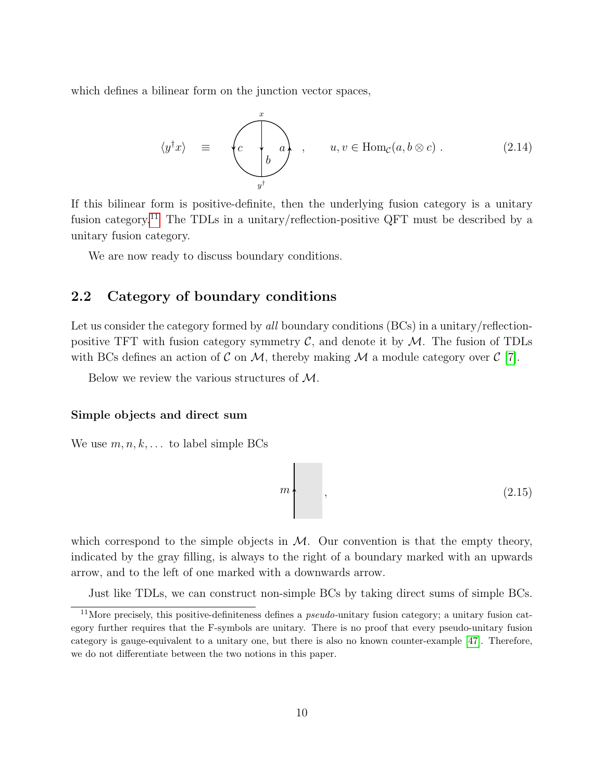which defines a bilinear form on the junction vector spaces,

$$
\langle y^{\dagger} x \rangle = \begin{pmatrix} x \\ c \\ b \end{pmatrix}, \quad u, v \in \text{Hom}_{\mathcal{C}}(a, b \otimes c). \tag{2.14}
$$

If this bilinear form is positive-definite, then the underlying fusion category is a unitary fusion category.<sup>[11](#page-10-1)</sup> The TDLs in a unitary/reflection-positive QFT must be described by a unitary fusion category.

We are now ready to discuss boundary conditions.

## <span id="page-10-0"></span>2.2 Category of boundary conditions

Let us consider the category formed by all boundary conditions (BCs) in a unitary/reflectionpositive TFT with fusion category symmetry  $C$ , and denote it by  $M$ . The fusion of TDLs with BCs defines an action of C on M, thereby making M a module category over C [\[7\]](#page-46-1).

Below we review the various structures of M.

#### Simple objects and direct sum

We use  $m, n, k, \ldots$  to label simple BCs

$$
m \tag{2.15}
$$

which correspond to the simple objects in  $M$ . Our convention is that the empty theory, indicated by the gray filling, is always to the right of a boundary marked with an upwards arrow, and to the left of one marked with a downwards arrow.

<span id="page-10-1"></span>Just like TDLs, we can construct non-simple BCs by taking direct sums of simple BCs.

 $11$ More precisely, this positive-definiteness defines a *pseudo*-unitary fusion category; a unitary fusion category further requires that the F-symbols are unitary. There is no proof that every pseudo-unitary fusion category is gauge-equivalent to a unitary one, but there is also no known counter-example [\[47\]](#page-48-11). Therefore, we do not differentiate between the two notions in this paper.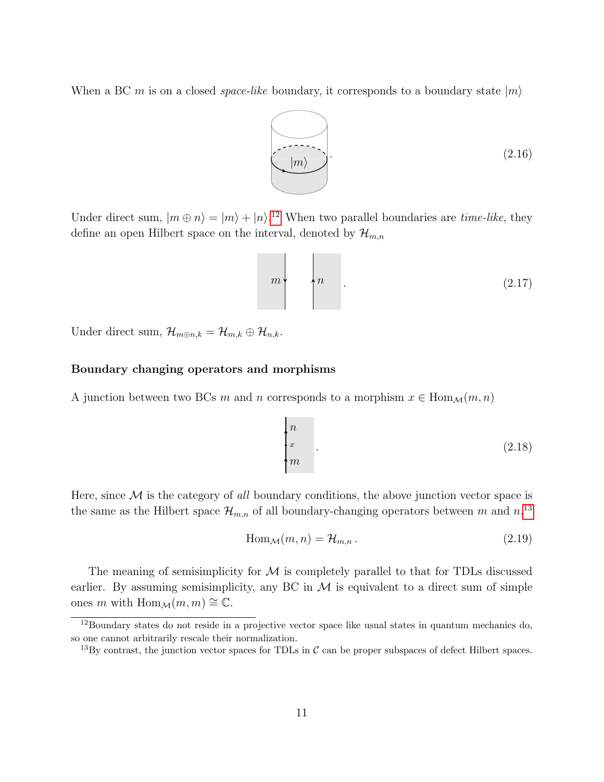When a BC m is on a closed *space-like* boundary, it corresponds to a boundary state  $|m\rangle$ 



Under direct sum,  $|m \oplus n\rangle = |m\rangle + |n\rangle^{12}$  $|m \oplus n\rangle = |m\rangle + |n\rangle^{12}$  $|m \oplus n\rangle = |m\rangle + |n\rangle^{12}$  When two parallel boundaries are *time-like*, they define an open Hilbert space on the interval, denoted by  $\mathcal{H}_{m,n}$ 

$$
m \tag{2.17}
$$

Under direct sum,  $\mathcal{H}_{m\oplus n,k} = \mathcal{H}_{m,k} \oplus \mathcal{H}_{n,k}$ .

## Boundary changing operators and morphisms

A junction between two BCs m and n corresponds to a morphism  $x \in \text{Hom}_{\mathcal{M}}(m, n)$ 

$$
\begin{cases} n \\ x \\ m \end{cases} \tag{2.18}
$$

Here, since  $\mathcal M$  is the category of all boundary conditions, the above junction vector space is the same as the Hilbert space  $\mathcal{H}_{m,n}$  of all boundary-changing operators between m and  $n,$ <sup>[13](#page-11-1)</sup>

$$
\text{Hom}_{\mathcal{M}}(m, n) = \mathcal{H}_{m, n} \,. \tag{2.19}
$$

The meaning of semisimplicity for  $M$  is completely parallel to that for TDLs discussed earlier. By assuming semisimplicity, any BC in  $M$  is equivalent to a direct sum of simple ones m with Hom $_{\mathcal{M}}(m, m) \cong \mathbb{C}$ .

<span id="page-11-0"></span><sup>12</sup>Boundary states do not reside in a projective vector space like usual states in quantum mechanics do, so one cannot arbitrarily rescale their normalization.

<span id="page-11-1"></span><sup>&</sup>lt;sup>13</sup>By contrast, the junction vector spaces for TDLs in  $\mathcal C$  can be proper subspaces of defect Hilbert spaces.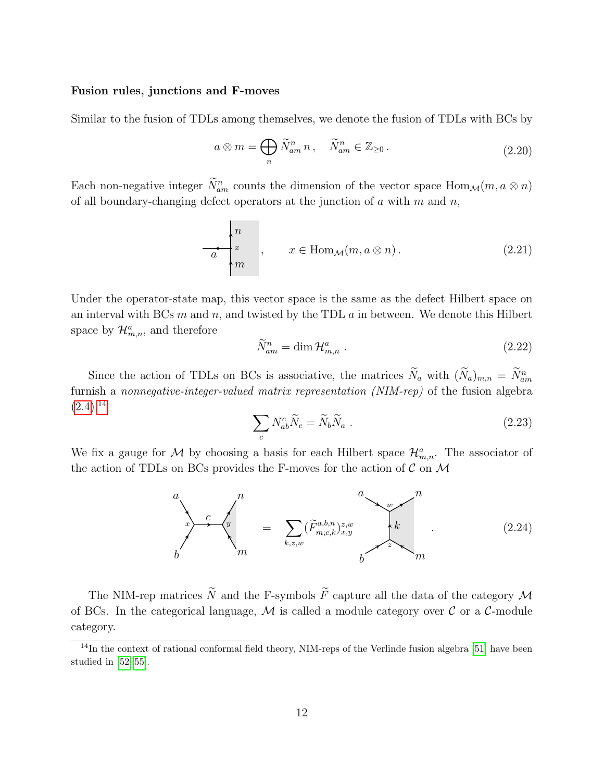#### Fusion rules, junctions and F-moves

Similar to the fusion of TDLs among themselves, we denote the fusion of TDLs with BCs by

<span id="page-12-1"></span>
$$
a \otimes m = \bigoplus_{n} \widetilde{N}_{am}^{n} n , \quad \widetilde{N}_{am}^{n} \in \mathbb{Z}_{\geq 0} .
$$
 (2.20)

Each non-negative integer  $N_{am}^n$  counts the dimension of the vector space  $\text{Hom}_{\mathcal{M}}(m, a \otimes n)$ of all boundary-changing defect operators at the junction of a with m and n,

$$
x \begin{cases} n \\ x \\ m \end{cases}, \quad x \in \text{Hom}_{\mathcal{M}}(m, a \otimes n). \tag{2.21}
$$

Under the operator-state map, this vector space is the same as the defect Hilbert space on an interval with BCs  $m$  and  $n$ , and twisted by the TDL  $a$  in between. We denote this Hilbert space by  $\mathcal{H}_{m,n}^a$ , and therefore

$$
\widetilde{N}_{am}^n = \dim \mathcal{H}_{m,n}^a \ . \tag{2.22}
$$

Since the action of TDLs on BCs is associative, the matrices  $N_a$  with  $(N_a)_{m,n} = N_{am}^n$ furnish a nonnegative-integer-valued matrix representation (NIM-rep) of the fusion algebra  $(2.4),^{14}$  $(2.4),^{14}$  $(2.4),^{14}$  $(2.4),^{14}$ 

$$
\sum_{c} N_{ab}^{c} \tilde{N}_{c} = \tilde{N}_{b} \tilde{N}_{a} \tag{2.23}
$$

We fix a gauge for M by choosing a basis for each Hilbert space  $\mathcal{H}_{m,n}^a$ . The associator of the action of TDLs on BCs provides the F-moves for the action of  $\mathcal C$  on  $\mathcal M$ 

<span id="page-12-2"></span>

The NIM-rep matrices  $\widetilde{N}$  and the F-symbols  $\widetilde{F}$  capture all the data of the category M of BCs. In the categorical language,  $\mathcal M$  is called a module category over  $\mathcal C$  or a  $\mathcal C$ -module category.

<span id="page-12-0"></span> $14$ In the context of rational conformal field theory, NIM-reps of the Verlinde fusion algebra [\[51\]](#page-49-2) have been studied in [\[52](#page-49-3)[–55\]](#page-49-4).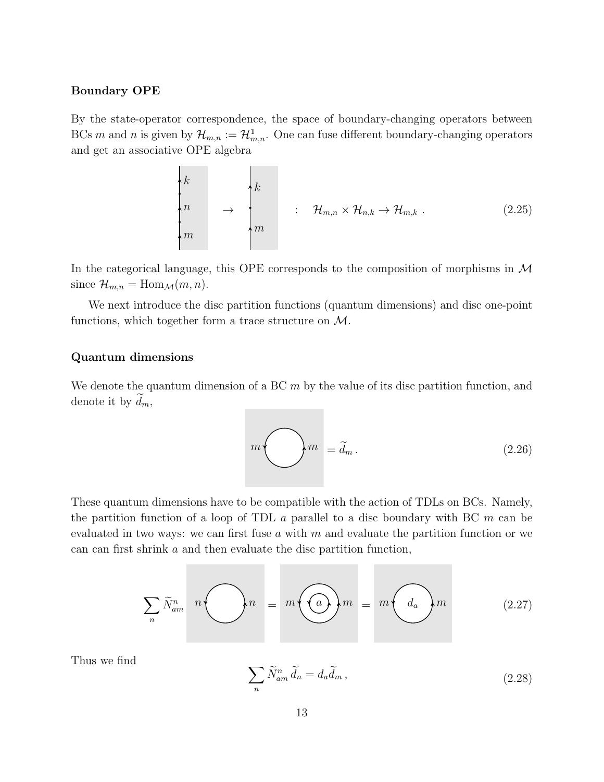#### Boundary OPE

By the state-operator correspondence, the space of boundary-changing operators between BCs m and n is given by  $\mathcal{H}_{m,n} := \mathcal{H}_{m,n}^{\mathbb{I}}$ . One can fuse different boundary-changing operators and get an associative OPE algebra

<span id="page-13-0"></span>
$$
\begin{pmatrix}\nk \\
n \\
m\n\end{pmatrix}\n\rightarrow\n\begin{pmatrix}\nk \\
m\n\end{pmatrix}\n\quad\n\begin{pmatrix}\n\vdots & \mathcal{H}_{m,n} \times \mathcal{H}_{n,k} \to \mathcal{H}_{m,k} \tag{2.25}
$$

In the categorical language, this OPE corresponds to the composition of morphisms in  $\mathcal M$ since  $\mathcal{H}_{m,n} = \text{Hom}_{\mathcal{M}}(m,n)$ .

We next introduce the disc partition functions (quantum dimensions) and disc one-point functions, which together form a trace structure on M.

## Quantum dimensions

We denote the quantum dimension of a BC  $m$  by the value of its disc partition function, and denote it by  $d_m$ ,

 $m \bigodot m = \tilde{d}_m.$ (2.26)

These quantum dimensions have to be compatible with the action of TDLs on BCs. Namely, the partition function of a loop of TDL  $\alpha$  parallel to a disc boundary with BC  $m$  can be evaluated in two ways: we can first fuse a with  $m$  and evaluate the partition function or we can can first shrink a and then evaluate the disc partition function,

$$
\sum_{n} \widetilde{N}_{am}^{n} \quad n \bigodot n = m \bigodot m = m \bigodot a_{n} \biggr) m \tag{2.27}
$$

Thus we find

<span id="page-13-1"></span>
$$
\sum_{n} \widetilde{N}_{am}^{n} \widetilde{d}_{n} = d_{a} \widetilde{d}_{m} , \qquad (2.28)
$$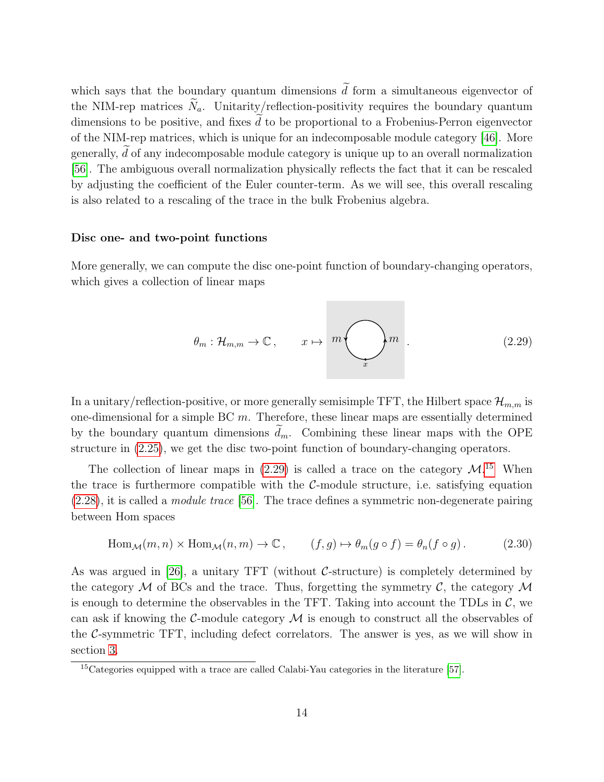which says that the boundary quantum dimensions  $\tilde{d}$  form a simultaneous eigenvector of the NIM-rep matrices  $\widetilde{N}_a$ . Unitarity/reflection-positivity requires the boundary quantum dimensions to be positive, and fixes  $d$  to be proportional to a Frobenius-Perron eigenvector of the NIM-rep matrices, which is unique for an indecomposable module category [\[46\]](#page-48-10). More generally,  $d$  of any indecomposable module category is unique up to an overall normalization [\[56\]](#page-49-5). The ambiguous overall normalization physically reflects the fact that it can be rescaled by adjusting the coefficient of the Euler counter-term. As we will see, this overall rescaling is also related to a rescaling of the trace in the bulk Frobenius algebra.

#### Disc one- and two-point functions

More generally, we can compute the disc one-point function of boundary-changing operators, which gives a collection of linear maps

<span id="page-14-0"></span>
$$
\theta_m : \mathcal{H}_{m,m} \to \mathbb{C}, \qquad x \mapsto m \bigodot_x m \qquad (2.29)
$$

In a unitary/reflection-positive, or more generally semisimple TFT, the Hilbert space  $\mathcal{H}_{m,m}$  is one-dimensional for a simple BC  $m$ . Therefore, these linear maps are essentially determined by the boundary quantum dimensions  $\tilde{d}_m$ . Combining these linear maps with the OPE structure in [\(2.25\)](#page-13-0), we get the disc two-point function of boundary-changing operators.

The collection of linear maps in  $(2.29)$  is called a trace on the category  $\mathcal{M}$ .<sup>[15](#page-14-1)</sup> When the trace is furthermore compatible with the  $C$ -module structure, i.e. satisfying equation  $(2.28)$ , it is called a *module trace* [\[56\]](#page-49-5). The trace defines a symmetric non-degenerate pairing between Hom spaces

<span id="page-14-2"></span>
$$
\text{Hom}_{\mathcal{M}}(m, n) \times \text{Hom}_{\mathcal{M}}(n, m) \to \mathbb{C}, \qquad (f, g) \mapsto \theta_m(g \circ f) = \theta_n(f \circ g). \tag{2.30}
$$

As was argued in [\[26\]](#page-47-4), a unitary TFT (without  $C$ -structure) is completely determined by the category  $\mathcal M$  of BCs and the trace. Thus, forgetting the symmetry  $\mathcal C$ , the category  $\mathcal M$ is enough to determine the observables in the TFT. Taking into account the TDLs in  $\mathcal{C}$ , we can ask if knowing the C-module category  $\mathcal M$  is enough to construct all the observables of the C-symmetric TFT, including defect correlators. The answer is yes, as we will show in section [3.](#page-15-0)

<span id="page-14-1"></span><sup>&</sup>lt;sup>15</sup>Categories equipped with a trace are called Calabi-Yau categories in the literature [\[57\]](#page-49-6).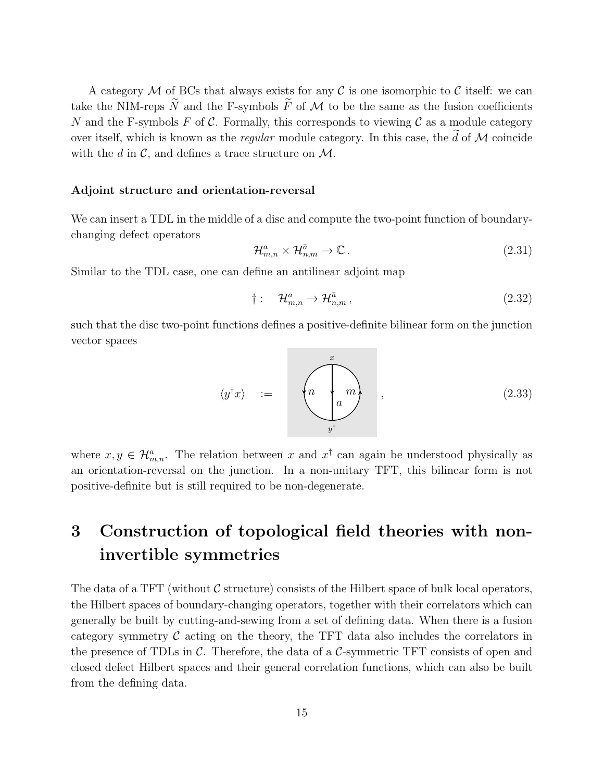A category M of BCs that always exists for any C is one isomorphic to C itself: we can take the NIM-reps  $\widetilde{N}$  and the F-symbols  $\widetilde{F}$  of M to be the same as the fusion coefficients N and the F-symbols F of C. Formally, this corresponds to viewing C as a module category over itself, which is known as the *regular* module category. In this case, the  $\tilde{d}$  of  $\cal{M}$  coincide with the d in  $\mathcal{C}$ , and defines a trace structure on  $\mathcal{M}$ .

#### Adjoint structure and orientation-reversal

We can insert a TDL in the middle of a disc and compute the two-point function of boundarychanging defect operators

$$
\mathcal{H}_{m,n}^a \times \mathcal{H}_{n,m}^{\bar{a}} \to \mathbb{C} \,. \tag{2.31}
$$

Similar to the TDL case, one can define an antilinear adjoint map

$$
\dagger: \quad \mathcal{H}_{m,n}^a \to \mathcal{H}_{n,m}^{\bar{a}}\,,\tag{2.32}
$$

such that the disc two-point functions defines a positive-definite bilinear form on the junction vector spaces

<span id="page-15-1"></span>
$$
\langle y^{\dagger}x \rangle \quad := \quad \left( \begin{matrix} & & & \\ & & m & \\ & & & \\ & & & y^{\dagger} & \\ & & & & \end{matrix} \right) \tag{2.33}
$$

where  $x, y \in \mathcal{H}_{m,n}^a$ . The relation between x and  $x^{\dagger}$  can again be understood physically as an orientation-reversal on the junction. In a non-unitary TFT, this bilinear form is not positive-definite but is still required to be non-degenerate.

# <span id="page-15-0"></span>3 Construction of topological field theories with noninvertible symmetries

The data of a TFT (without  $\mathcal C$  structure) consists of the Hilbert space of bulk local operators, the Hilbert spaces of boundary-changing operators, together with their correlators which can generally be built by cutting-and-sewing from a set of defining data. When there is a fusion category symmetry  $\mathcal C$  acting on the theory, the TFT data also includes the correlators in the presence of TDLs in  $\mathcal{C}$ . Therefore, the data of a  $\mathcal{C}$ -symmetric TFT consists of open and closed defect Hilbert spaces and their general correlation functions, which can also be built from the defining data.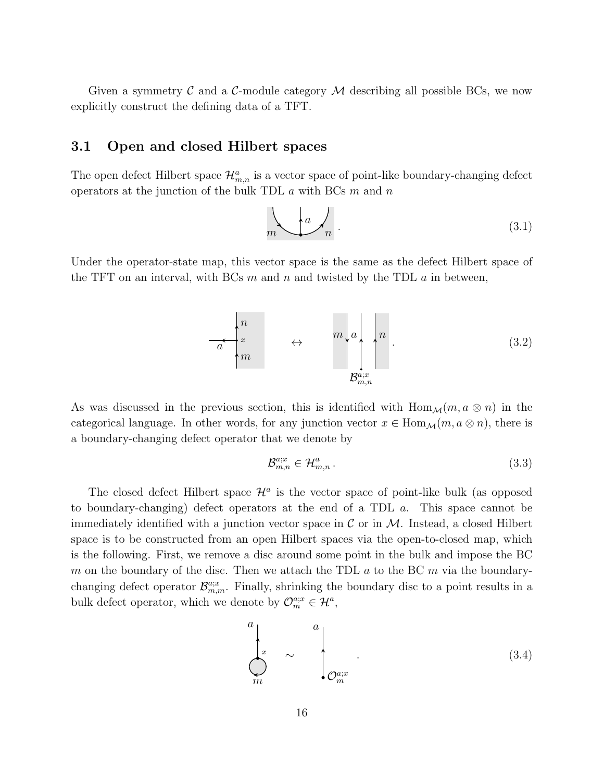Given a symmetry C and a C-module category  $\mathcal M$  describing all possible BCs, we now explicitly construct the defining data of a TFT.

## <span id="page-16-0"></span>3.1 Open and closed Hilbert spaces

The open defect Hilbert space  $\mathcal{H}_{m,n}^a$  is a vector space of point-like boundary-changing defect operators at the junction of the bulk TDL  $\alpha$  with BCs  $m$  and  $n$ 

$$
m \leftarrow a \leftarrow n \tag{3.1}
$$

Under the operator-state map, this vector space is the same as the defect Hilbert space of the TFT on an interval, with BCs  $m$  and  $n$  and twisted by the TDL  $a$  in between,

$$
\begin{array}{ccc}\n & n \\
\hline\na & \\
m\n\end{array}\n\quad \leftrightarrow \quad \begin{array}{c}\n & n \\
\hline\n\end{array}\n\quad\n\begin{array}{c}\n & \\
\hline\n\end{array}\n\quad\n\begin{array}{c}\n & \\
\hline\n\end{array}\n\quad\n\begin{array}{c}\n & \\
\hline\n\end{array}\n\quad\n\end{array} \tag{3.2}
$$

As was discussed in the previous section, this is identified with  $\text{Hom}_{\mathcal{M}}(m, a \otimes n)$  in the categorical language. In other words, for any junction vector  $x \in \text{Hom}_{\mathcal{M}}(m, a \otimes n)$ , there is a boundary-changing defect operator that we denote by

$$
\mathcal{B}_{m,n}^{a;x} \in \mathcal{H}_{m,n}^a \,. \tag{3.3}
$$

The closed defect Hilbert space  $\mathcal{H}^a$  is the vector space of point-like bulk (as opposed to boundary-changing) defect operators at the end of a TDL a. This space cannot be immediately identified with a junction vector space in  $\mathcal C$  or in  $\mathcal M$ . Instead, a closed Hilbert space is to be constructed from an open Hilbert spaces via the open-to-closed map, which is the following. First, we remove a disc around some point in the bulk and impose the BC m on the boundary of the disc. Then we attach the TDL  $a$  to the BC m via the boundarychanging defect operator  $\mathcal{B}_{m,m}^{a;x}$ . Finally, shrinking the boundary disc to a point results in a bulk defect operator, which we denote by  $\mathcal{O}_{m}^{a;x} \in \mathcal{H}^{a}$ ,

<span id="page-16-1"></span>
$$
\begin{pmatrix} a \\ x \\ m \end{pmatrix}_{\infty} \sim \begin{pmatrix} a \\ b \\ c \end{pmatrix}_{\infty} . \tag{3.4}
$$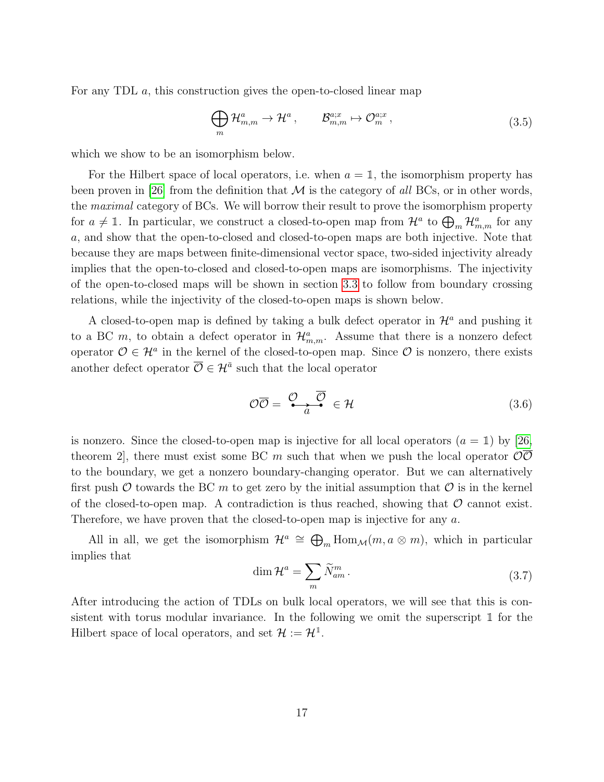For any TDL  $a$ , this construction gives the open-to-closed linear map

<span id="page-17-0"></span>
$$
\bigoplus_{m} \mathcal{H}_{m,m}^{a} \to \mathcal{H}^{a}, \qquad \mathcal{B}_{m,m}^{a;x} \mapsto \mathcal{O}_{m}^{a;x}, \qquad (3.5)
$$

which we show to be an isomorphism below.

For the Hilbert space of local operators, i.e. when  $a = 1$ , the isomorphism property has been proven in [\[26\]](#page-47-4) from the definition that  $\mathcal M$  is the category of all BCs, or in other words, the maximal category of BCs. We will borrow their result to prove the isomorphism property for  $a \neq \mathbb{I}$ . In particular, we construct a closed-to-open map from  $\mathcal{H}^a$  to  $\bigoplus_m \mathcal{H}^a_{m,m}$  for any a, and show that the open-to-closed and closed-to-open maps are both injective. Note that because they are maps between finite-dimensional vector space, two-sided injectivity already implies that the open-to-closed and closed-to-open maps are isomorphisms. The injectivity of the open-to-closed maps will be shown in section [3.3](#page-18-1) to follow from boundary crossing relations, while the injectivity of the closed-to-open maps is shown below.

A closed-to-open map is defined by taking a bulk defect operator in  $\mathcal{H}^a$  and pushing it to a BC m, to obtain a defect operator in  $\mathcal{H}_{m,m}^a$ . Assume that there is a nonzero defect operator  $\mathcal{O} \in \mathcal{H}^a$  in the kernel of the closed-to-open map. Since  $\mathcal{O}$  is nonzero, there exists another defect operator  $\overline{\mathcal{O}} \in \mathcal{H}^{\bar{a}}$  such that the local operator

$$
\mathcal{O}\overline{\mathcal{O}} = \frac{\mathcal{O}}{a} \frac{\overline{\mathcal{O}}}{\overline{\mathcal{O}}} \in \mathcal{H} \tag{3.6}
$$

is nonzero. Since the closed-to-open map is injective for all local operators  $(a = 1)$  by [\[26,](#page-47-4)] theorem 2, there must exist some BC m such that when we push the local operator  $\mathcal{O}\mathcal{O}$ to the boundary, we get a nonzero boundary-changing operator. But we can alternatively first push  $\mathcal O$  towards the BC m to get zero by the initial assumption that  $\mathcal O$  is in the kernel of the closed-to-open map. A contradiction is thus reached, showing that  $\mathcal O$  cannot exist. Therefore, we have proven that the closed-to-open map is injective for any a.

All in all, we get the isomorphism  $\mathcal{H}^a \cong \bigoplus_m \text{Hom}_{\mathcal{M}}(m, a \otimes m)$ , which in particular implies that

<span id="page-17-1"></span>
$$
\dim \mathcal{H}^a = \sum_m \widetilde{N}_{am}^m \,. \tag{3.7}
$$

After introducing the action of TDLs on bulk local operators, we will see that this is consistent with torus modular invariance. In the following we omit the superscript  $\mathbbm{1}$  for the Hilbert space of local operators, and set  $\mathcal{H} := \mathcal{H}^1$ .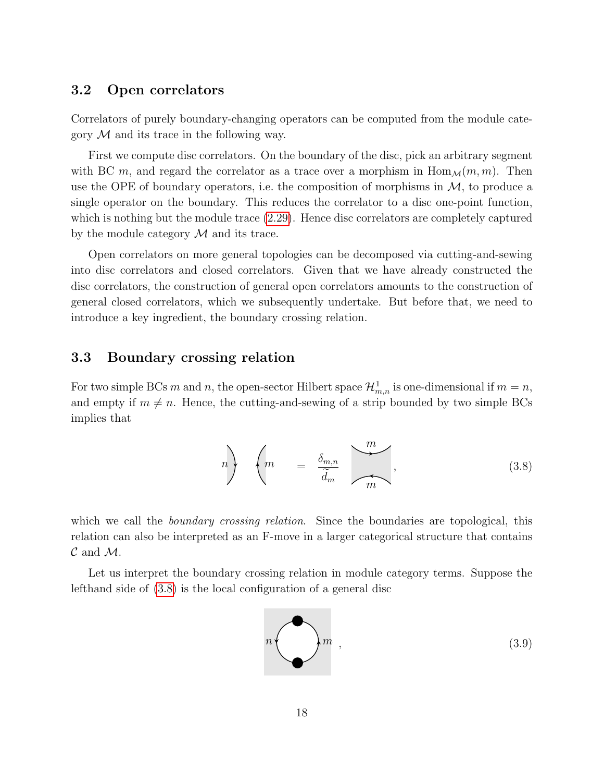## <span id="page-18-0"></span>3.2 Open correlators

Correlators of purely boundary-changing operators can be computed from the module category  $\mathcal M$  and its trace in the following way.

First we compute disc correlators. On the boundary of the disc, pick an arbitrary segment with BC m, and regard the correlator as a trace over a morphism in  $\text{Hom}_{\mathcal{M}}(m, m)$ . Then use the OPE of boundary operators, i.e. the composition of morphisms in  $\mathcal{M}$ , to produce a single operator on the boundary. This reduces the correlator to a disc one-point function, which is nothing but the module trace [\(2.29\)](#page-14-0). Hence disc correlators are completely captured by the module category  $\mathcal M$  and its trace.

Open correlators on more general topologies can be decomposed via cutting-and-sewing into disc correlators and closed correlators. Given that we have already constructed the disc correlators, the construction of general open correlators amounts to the construction of general closed correlators, which we subsequently undertake. But before that, we need to introduce a key ingredient, the boundary crossing relation.

## <span id="page-18-1"></span>3.3 Boundary crossing relation

For two simple BCs m and n, the open-sector Hilbert space  $\mathcal{H}_{m,n}^1$  is one-dimensional if  $m = n$ , and empty if  $m \neq n$ . Hence, the cutting-and-sewing of a strip bounded by two simple BCs implies that

<span id="page-18-2"></span>
$$
n\left\}\n\begin{pmatrix}\n m & = \frac{\delta_{m,n}}{\widetilde{d}_m} & \cdots & \cdots \\
 m & = \frac{\delta_{m,n}}{\widetilde{d}_m} & \cdots & \cdots\n\end{pmatrix},\n\tag{3.8}
$$

which we call the *boundary crossing relation*. Since the boundaries are topological, this relation can also be interpreted as an F-move in a larger categorical structure that contains  $\mathcal C$  and  $\mathcal M$ .

Let us interpret the boundary crossing relation in module category terms. Suppose the lefthand side of [\(3.8\)](#page-18-2) is the local configuration of a general disc

<span id="page-18-3"></span>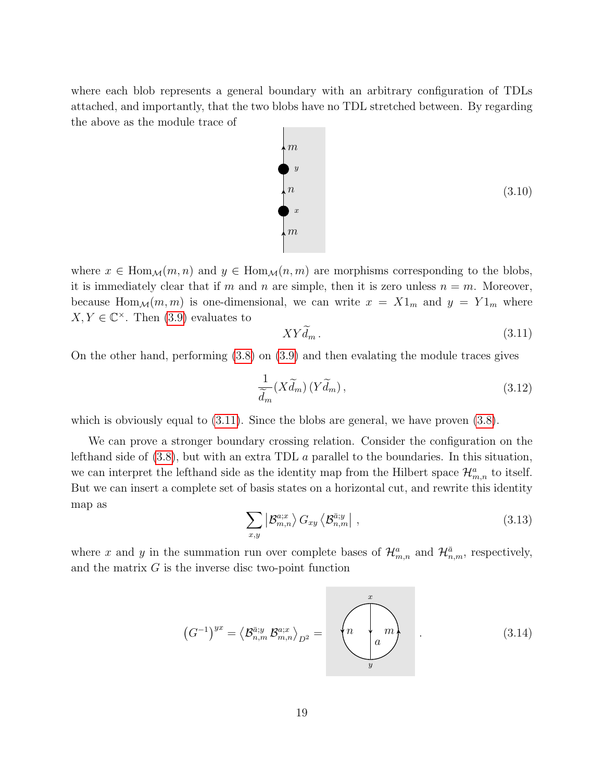where each blob represents a general boundary with an arbitrary configuration of TDLs attached, and importantly, that the two blobs have no TDL stretched between. By regarding the above as the module trace of



where  $x \in \text{Hom}_{\mathcal{M}}(m, n)$  and  $y \in \text{Hom}_{\mathcal{M}}(n, m)$  are morphisms corresponding to the blobs, it is immediately clear that if m and n are simple, then it is zero unless  $n = m$ . Moreover, because Hom<sub>M</sub> $(m, m)$  is one-dimensional, we can write  $x = X1_m$  and  $y = Y1_m$  where  $X, Y \in \mathbb{C}^{\times}$ . Then [\(3.9\)](#page-18-3) evaluates to

<span id="page-19-0"></span>
$$
XYd_m. \t\t(3.11)
$$

On the other hand, performing [\(3.8\)](#page-18-2) on [\(3.9\)](#page-18-3) and then evalating the module traces gives

$$
\frac{1}{\widetilde{d}_m}(X\widetilde{d}_m)(Y\widetilde{d}_m),\tag{3.12}
$$

which is obviously equal to  $(3.11)$ . Since the blobs are general, we have proven  $(3.8)$ .

We can prove a stronger boundary crossing relation. Consider the configuration on the lefthand side of [\(3.8\)](#page-18-2), but with an extra TDL a parallel to the boundaries. In this situation, we can interpret the lefthand side as the identity map from the Hilbert space  $\mathcal{H}_{m,n}^a$  to itself. But we can insert a complete set of basis states on a horizontal cut, and rewrite this identity map as

$$
\sum_{x,y} \left| \mathcal{B}_{m,n}^{a;x} \right\rangle G_{xy} \left\langle \mathcal{B}_{n,m}^{\bar{a};y} \right| , \tag{3.13}
$$

where x and y in the summation run over complete bases of  $\mathcal{H}_{m,n}^a$  and  $\mathcal{H}_{n,m}^{\bar{a}}$ , respectively, and the matrix  $G$  is the inverse disc two-point function

<span id="page-19-1"></span>
$$
(G^{-1})^{yx} = \langle \mathcal{B}_{n,m}^{\overline{a};y} \mathcal{B}_{m,n}^{a;x} \rangle_{D^2} = \left(\begin{matrix} x \\ n \\ a \end{matrix}\right)^x.
$$
 (3.14)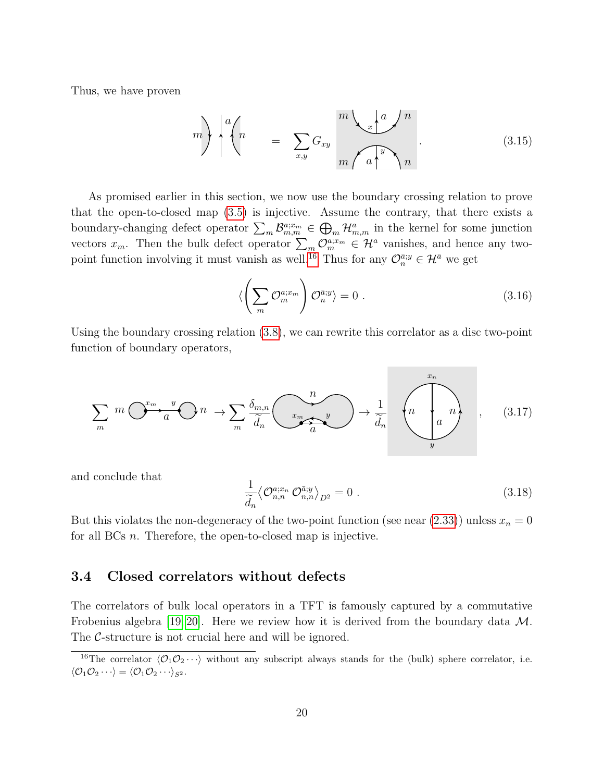Thus, we have proven

<span id="page-20-2"></span>
$$
m\bigg\} \begin{bmatrix} a \ n \end{bmatrix} = \sum_{x,y} G_{xy} \frac{m \sqrt{x^2 + a^2}}{m \sqrt{a^2 + a^2}}.
$$
 (3.15)

As promised earlier in this section, we now use the boundary crossing relation to prove that the open-to-closed map [\(3.5\)](#page-17-0) is injective. Assume the contrary, that there exists a boundary-changing defect operator  $\sum_m \mathcal{B}_{m,m}^{a;x_m} \in \bigoplus_m \mathcal{H}_{m,m}^a$  in the kernel for some junction vectors  $x_m$ . Then the bulk defect operator  $\sum_m \mathcal{O}_m^{a;x_m} \in \mathcal{H}^a$  vanishes, and hence any two-point function involving it must vanish as well.<sup>[16](#page-20-1)</sup> Thus for any  $\mathcal{O}_n^{\bar{a};y} \in \mathcal{H}^{\bar{a}}$  we get

$$
\langle \left(\sum_{m} \mathcal{O}_m^{a;x_m}\right) \mathcal{O}_n^{\bar{a};y} \rangle = 0 \ . \tag{3.16}
$$

Using the boundary crossing relation [\(3.8\)](#page-18-2), we can rewrite this correlator as a disc two-point function of boundary operators,

$$
\sum_{m} m \overbrace{O^{x_m} a}^{y} O n \to \sum_{m} \frac{\delta_{m,n}}{\tilde{d}_n} \overbrace{C^{x_m} a}^{n} y \to \frac{1}{\tilde{d}_n} \overbrace{n}^{x_n} n
$$
 (3.17)

and conclude that

$$
\frac{1}{\widetilde{d}_n} \langle \mathcal{O}_{n,n}^{a;x_n} \mathcal{O}_{n,n}^{\bar{a};y} \rangle_{D^2} = 0 \tag{3.18}
$$

But this violates the non-degeneracy of the two-point function (see near  $(2.33)$ ) unless  $x_n = 0$ for all BCs n. Therefore, the open-to-closed map is injective.

## <span id="page-20-0"></span>3.4 Closed correlators without defects

The correlators of bulk local operators in a TFT is famously captured by a commutative Frobenius algebra [\[19,](#page-46-9) [20\]](#page-46-10). Here we review how it is derived from the boundary data  $\mathcal{M}$ . The C-structure is not crucial here and will be ignored.

<span id="page-20-1"></span><sup>&</sup>lt;sup>16</sup>The correlator  $\langle \mathcal{O}_1 \mathcal{O}_2 \cdots \rangle$  without any subscript always stands for the (bulk) sphere correlator, i.e.  $\langle \mathcal{O}_1 \mathcal{O}_2 \cdots \rangle = \langle \mathcal{O}_1 \mathcal{O}_2 \cdots \rangle_{S^2}.$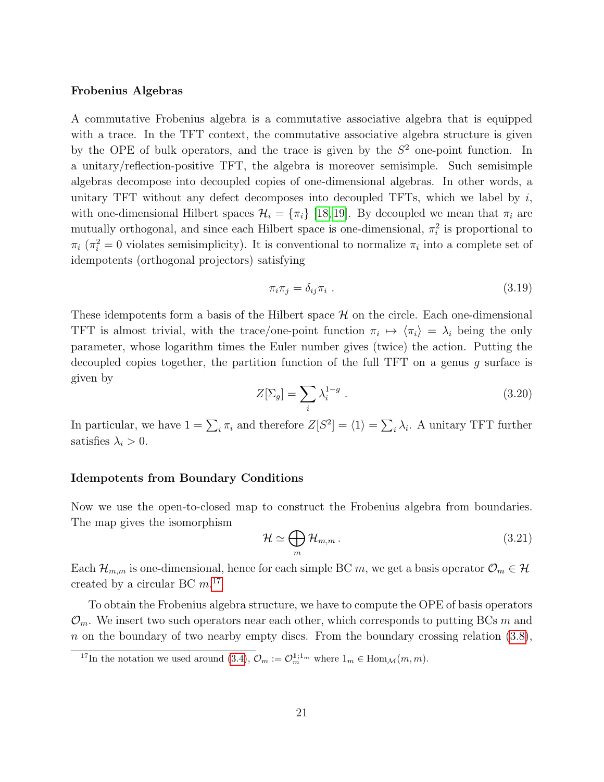#### Frobenius Algebras

A commutative Frobenius algebra is a commutative associative algebra that is equipped with a trace. In the TFT context, the commutative associative algebra structure is given by the OPE of bulk operators, and the trace is given by the  $S<sup>2</sup>$  one-point function. In a unitary/reflection-positive TFT, the algebra is moreover semisimple. Such semisimple algebras decompose into decoupled copies of one-dimensional algebras. In other words, a unitary TFT without any defect decomposes into decoupled TFTs, which we label by  $i$ , with one-dimensional Hilbert spaces  $\mathcal{H}_i = {\pi_i}$  [\[18,](#page-46-11) [19\]](#page-46-9). By decoupled we mean that  $\pi_i$  are mutually orthogonal, and since each Hilbert space is one-dimensional,  $\pi_i^2$  is proportional to  $\pi_i$  ( $\pi_i^2 = 0$  violates semisimplicity). It is conventional to normalize  $\pi_i$  into a complete set of idempotents (orthogonal projectors) satisfying

$$
\pi_i \pi_j = \delta_{ij} \pi_i \tag{3.19}
$$

These idempotents form a basis of the Hilbert space  $\mathcal H$  on the circle. Each one-dimensional TFT is almost trivial, with the trace/one-point function  $\pi_i \mapsto \langle \pi_i \rangle = \lambda_i$  being the only parameter, whose logarithm times the Euler number gives (twice) the action. Putting the decoupled copies together, the partition function of the full TFT on a genus  $q$  surface is given by

$$
Z[\Sigma_g] = \sum_i \lambda_i^{1-g} . \tag{3.20}
$$

In particular, we have  $1 = \sum_i \pi_i$  and therefore  $Z[S^2] = \langle 1 \rangle = \sum_i \lambda_i$ . A unitary TFT further satisfies  $\lambda_i > 0$ .

### Idempotents from Boundary Conditions

Now we use the open-to-closed map to construct the Frobenius algebra from boundaries. The map gives the isomorphism

$$
\mathcal{H} \simeq \bigoplus_{m} \mathcal{H}_{m,m} \,. \tag{3.21}
$$

Each  $\mathcal{H}_{m,m}$  is one-dimensional, hence for each simple BC m, we get a basis operator  $\mathcal{O}_m \in \mathcal{H}$ created by a circular BC  $m$ .<sup>[17](#page-21-0)</sup>

To obtain the Frobenius algebra structure, we have to compute the OPE of basis operators  $\mathcal{O}_m$ . We insert two such operators near each other, which corresponds to putting BCs m and n on the boundary of two nearby empty discs. From the boundary crossing relation  $(3.8)$ ,

<span id="page-21-0"></span><sup>&</sup>lt;sup>17</sup>In the notation we used around [\(3.4\)](#page-16-1),  $\mathcal{O}_m := \mathcal{O}_m^{1,1_m}$  where  $1_m \in \text{Hom}_{\mathcal{M}}(m, m)$ .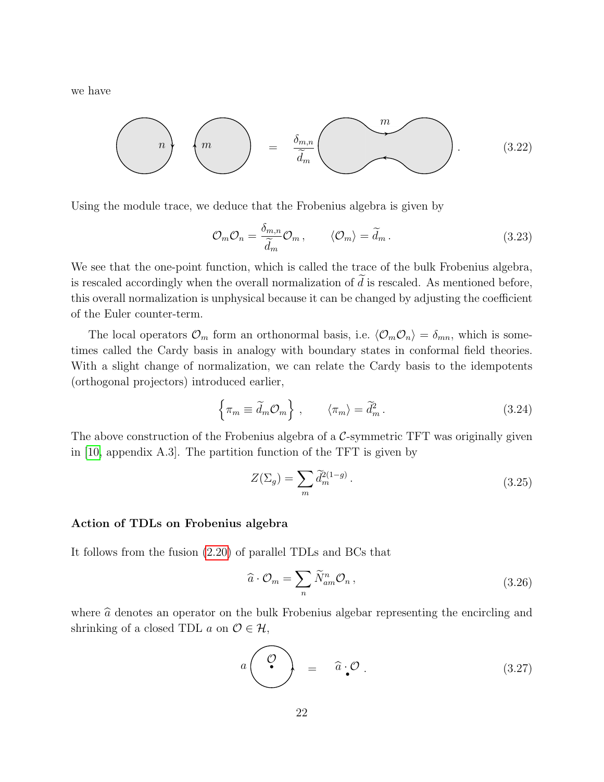we have

$$
\binom{n}{m} \left( \frac{m}{\widetilde{d}_m} \right) = \frac{\delta_{m,n}}{\widetilde{d}_m} \left( \frac{m}{\widetilde{d}_m} \right). \tag{3.22}
$$

Using the module trace, we deduce that the Frobenius algebra is given by

<span id="page-22-0"></span>
$$
\mathcal{O}_m \mathcal{O}_n = \frac{\delta_{m,n}}{\widetilde{d}_m} \mathcal{O}_m, \qquad \langle \mathcal{O}_m \rangle = \widetilde{d}_m. \qquad (3.23)
$$

We see that the one-point function, which is called the trace of the bulk Frobenius algebra, is rescaled accordingly when the overall normalization of  $d$  is rescaled. As mentioned before, this overall normalization is unphysical because it can be changed by adjusting the coefficient of the Euler counter-term.

The local operators  $\mathcal{O}_m$  form an orthonormal basis, i.e.  $\langle \mathcal{O}_m \mathcal{O}_n \rangle = \delta_{mn}$ , which is sometimes called the Cardy basis in analogy with boundary states in conformal field theories. With a slight change of normalization, we can relate the Cardy basis to the idempotents (orthogonal projectors) introduced earlier,

$$
\left\{\pi_m \equiv \tilde{d}_m \mathcal{O}_m\right\} , \qquad \left\langle \pi_m \right\rangle = \tilde{d}_m^2 . \tag{3.24}
$$

The above construction of the Frobenius algebra of a  $\mathcal{C}$ -symmetric TFT was originally given in [\[10,](#page-46-8) appendix A.3]. The partition function of the TFT is given by

$$
Z(\Sigma_g) = \sum_m \tilde{d}_m^{2(1-g)}.
$$
\n(3.25)

#### Action of TDLs on Frobenius algebra

It follows from the fusion [\(2.20\)](#page-12-1) of parallel TDLs and BCs that

$$
\widehat{a} \cdot \mathcal{O}_m = \sum_n \widetilde{N}_{am}^n \mathcal{O}_n \,, \tag{3.26}
$$

where  $\hat{a}$  denotes an operator on the bulk Frobenius algebar representing the encircling and shrinking of a closed TDL  $a$  on  $\mathcal{O} \in \mathcal{H}$ ,

$$
a\left(\begin{array}{c}\n\mathcal{O} \\
\mathcal{O}\n\end{array}\right) = \hat{a} \cdot \mathcal{O} \ . \tag{3.27}
$$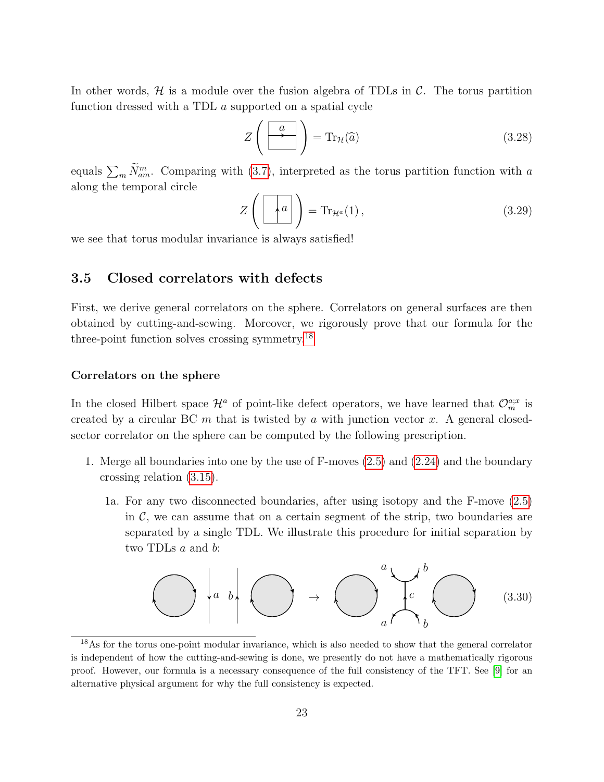In other words,  $H$  is a module over the fusion algebra of TDLs in  $C$ . The torus partition function dressed with a TDL a supported on a spatial cycle

$$
Z\left(\begin{array}{|c|}\hline a\\ \hline \end{array}\right) = \text{Tr}_{\mathcal{H}}(\hat{a})\tag{3.28}
$$

equals  $\sum_m \tilde{N}_{am}^m$ . Comparing with [\(3.7\)](#page-17-1), interpreted as the torus partition function with a along the temporal circle

$$
Z\left(\begin{array}{|c|}\hline a\\ \hline \end{array}\right) = \text{Tr}_{\mathcal{H}^a}(1) ,\qquad (3.29)
$$

we see that torus modular invariance is always satisfied!

## <span id="page-23-0"></span>3.5 Closed correlators with defects

First, we derive general correlators on the sphere. Correlators on general surfaces are then obtained by cutting-and-sewing. Moreover, we rigorously prove that our formula for the three-point function solves crossing symmetry.[18](#page-23-1)

#### Correlators on the sphere

In the closed Hilbert space  $\mathcal{H}^a$  of point-like defect operators, we have learned that  $\mathcal{O}_m^{a;x}$  is created by a circular BC  $m$  that is twisted by  $a$  with junction vector  $x$ . A general closedsector correlator on the sphere can be computed by the following prescription.

- 1. Merge all boundaries into one by the use of F-moves [\(2.5\)](#page-7-3) and [\(2.24\)](#page-12-2) and the boundary crossing relation [\(3.15\)](#page-20-2).
	- 1a. For any two disconnected boundaries, after using isotopy and the F-move [\(2.5\)](#page-7-3) in  $\mathcal{C}$ , we can assume that on a certain segment of the strip, two boundaries are separated by a single TDL. We illustrate this procedure for initial separation by two TDLs a and b:

$$
\bigodot \left| a \right| b \left| \bigodot \rightarrow \bigodot \left| \bigodot \right|^{a} \downarrow^{b} \bigodot \right| \qquad (3.30)
$$

<span id="page-23-1"></span><sup>18</sup>As for the torus one-point modular invariance, which is also needed to show that the general correlator is independent of how the cutting-and-sewing is done, we presently do not have a mathematically rigorous proof. However, our formula is a necessary consequence of the full consistency of the TFT. See [\[9\]](#page-46-2) for an alternative physical argument for why the full consistency is expected.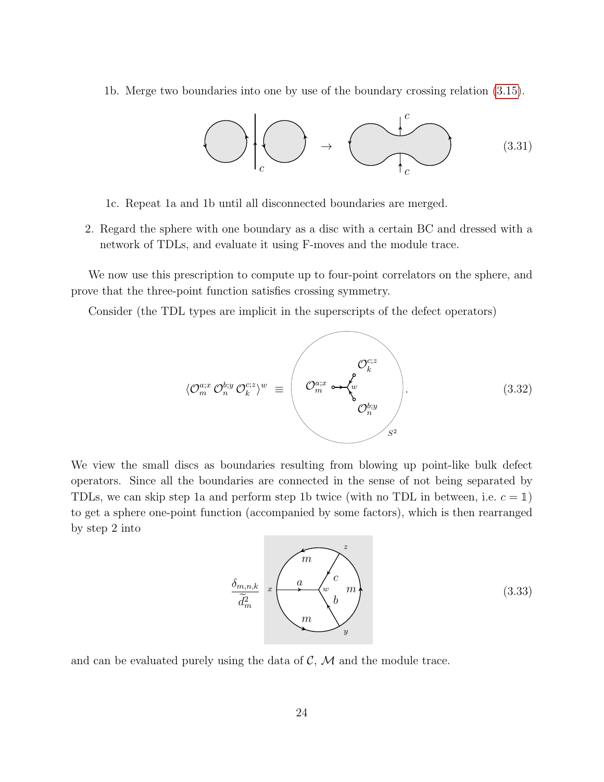1b. Merge two boundaries into one by use of the boundary crossing relation [\(3.15\)](#page-20-2).



1c. Repeat 1a and 1b until all disconnected boundaries are merged.

2. Regard the sphere with one boundary as a disc with a certain BC and dressed with a network of TDLs, and evaluate it using F-moves and the module trace.

We now use this prescription to compute up to four-point correlators on the sphere, and prove that the three-point function satisfies crossing symmetry.

Consider (the TDL types are implicit in the superscripts of the defect operators)

$$
\langle \mathcal{O}_m^{a;x} \mathcal{O}_n^{b;y} \mathcal{O}_k^{c;z} \rangle^w \equiv \begin{pmatrix} \mathcal{O}_k^{c;z} \\ \mathcal{O}_m^{a;x} \rightarrow \begin{pmatrix} \mathcal{O}_k^{c;z} \\ w \\ \mathcal{O}_n^{b;y} \end{pmatrix} . \end{pmatrix} . \tag{3.32}
$$

We view the small discs as boundaries resulting from blowing up point-like bulk defect operators. Since all the boundaries are connected in the sense of not being separated by TDLs, we can skip step 1a and perform step 1b twice (with no TDL in between, i.e.  $c = 1$ ) to get a sphere one-point function (accompanied by some factors), which is then rearranged by step 2 into

$$
\underbrace{\delta_{m,n,k}}_{\widetilde{d}_m^2} \quad x \begin{pmatrix} m \\ a \\ w \\ w \\ w \end{pmatrix} \begin{pmatrix} z \\ m \\ b \\ y \end{pmatrix}
$$
\n(3.33)

and can be evaluated purely using the data of  $\mathcal{C}, \mathcal{M}$  and the module trace.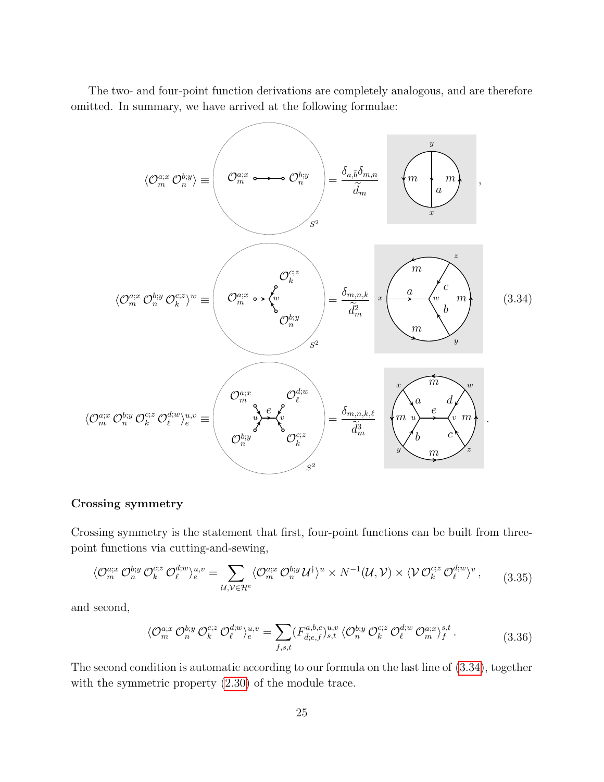The two- and four-point function derivations are completely analogous, and are therefore omitted. In summary, we have arrived at the following formulae:

<span id="page-25-0"></span>
$$
\langle \mathcal{O}_{m}^{ax} \mathcal{O}_{n}^{b;y} \rangle \equiv \left( \mathcal{O}_{m}^{a;x} \circ \mathcal{O}_{n}^{b;y} \right) = \frac{\delta_{a,\bar{b}} \delta_{m,n}}{\tilde{d}_{m}} \left( \mathcal{M} \right) \left( \mathcal{O}_{m}^{a;x} \mathcal{O}_{n}^{b;y} \mathcal{O}_{k}^{c;z} \right)
$$
\n
$$
\langle \mathcal{O}_{m}^{a;x} \mathcal{O}_{n}^{b;y} \mathcal{O}_{k}^{c;z} \rangle^{w} \equiv \left( \mathcal{O}_{m}^{a;x} \circ \mathcal{A}_{w}^{b} \right) \left( \mathcal{O}_{n}^{b;y} \right) = \frac{\delta_{m,n,k}}{\tilde{d}_{m}^{2}} \left( \mathcal{O} \right) \left( \mathcal{O} \right) \left( \mathcal{O} \right) \left( \mathcal{O} \right) \left( \mathcal{O} \right) \left( \mathcal{O} \right) \left( \mathcal{O} \right) \left( \mathcal{O} \right) \left( \mathcal{O} \right) \left( \mathcal{O} \right) \left( \mathcal{O} \right) \left( \mathcal{O} \right) \left( \mathcal{O} \right) \left( \mathcal{O} \right) \left( \mathcal{O} \right) \left( \mathcal{O} \right) \left( \mathcal{O} \right) \left( \mathcal{O} \right) \left( \mathcal{O} \right) \left( \mathcal{O} \right) \left( \mathcal{O} \right) \left( \mathcal{O} \right) \left( \mathcal{O} \right) \left( \mathcal{O} \right) \left( \mathcal{O} \right) \left( \mathcal{O} \right) \left( \mathcal{O} \right) \left( \mathcal{O} \right) \left( \mathcal{O} \right) \left( \mathcal{O} \right) \left( \mathcal{O} \right) \left( \mathcal{O} \right) \left( \mathcal{O} \right) \left( \mathcal{O} \right) \left( \mathcal{O} \right) \left( \mathcal{O} \right) \left( \mathcal{O} \right) \left( \mathcal{O} \right) \left( \mathcal{O} \right) \left( \mathcal{O} \right) \left( \mathcal{O} \right) \left(
$$

### Crossing symmetry

Crossing symmetry is the statement that first, four-point functions can be built from threepoint functions via cutting-and-sewing,

<span id="page-25-1"></span>
$$
\langle \mathcal{O}_m^{a;x} \mathcal{O}_n^{b;y} \mathcal{O}_k^{c;z} \mathcal{O}_\ell^{d;w} \rangle_e^{u,v} = \sum_{\mathcal{U},\mathcal{V} \in \mathcal{H}^e} \langle \mathcal{O}_m^{a;x} \mathcal{O}_n^{b;y} \mathcal{U}^\dagger \rangle^u \times N^{-1}(\mathcal{U}, \mathcal{V}) \times \langle \mathcal{V} \mathcal{O}_k^{c;z} \mathcal{O}_\ell^{d;w} \rangle^v, \tag{3.35}
$$

and second,

$$
\langle \mathcal{O}_m^{a;x} \mathcal{O}_n^{b;y} \mathcal{O}_k^{c;z} \mathcal{O}_\ell^{d;w} \rangle_e^{u,v} = \sum_{f,s,t} (F_{\bar{d};e,f}^{a,b,c})_{s,t}^{u,v} \langle \mathcal{O}_n^{b;y} \mathcal{O}_k^{c;z} \mathcal{O}_\ell^{d;w} \mathcal{O}_m^{a;x} \rangle_f^{s,t}.
$$
\n(3.36)

The second condition is automatic according to our formula on the last line of [\(3.34\)](#page-25-0), together with the symmetric property [\(2.30\)](#page-14-2) of the module trace.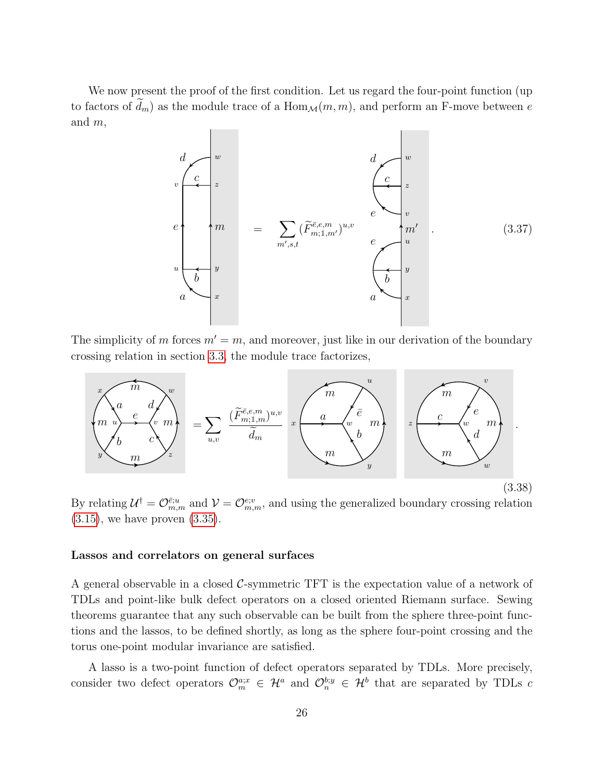We now present the proof of the first condition. Let us regard the four-point function (up to factors of  $\tilde{d}_m$ ) as the module trace of a  $\text{Hom}_\mathcal{M}(m, m)$ , and perform an F-move between e and m,

$$
\begin{pmatrix}\n\frac{d}{c} \\
\frac{v}{z} \\
\frac{v}{m} \\
\frac{v}{m} \\
\frac{v}{m} \\
\frac{v}{m} \\
\frac{v}{m} \\
\frac{v}{m} \\
\frac{v}{m} \\
\frac{v}{m} \\
\frac{v}{m} \\
\frac{v}{m} \\
\frac{v}{m} \\
\frac{v}{m} \\
\frac{v}{m} \\
\frac{v}{m} \\
\frac{v}{m} \\
\frac{v}{m} \\
\frac{v}{m} \\
\frac{v}{m} \\
\frac{v}{m} \\
\frac{v}{m} \\
\frac{v}{m} \\
\frac{v}{m} \\
\frac{v}{m} \\
\frac{v}{m} \\
\frac{v}{m} \\
\frac{v}{m} \\
\frac{v}{m} \\
\frac{v}{m} \\
\frac{v}{m} \\
\frac{v}{m} \\
\frac{v}{m} \\
\frac{v}{m} \\
\frac{v}{m} \\
\frac{v}{m} \\
\frac{v}{m} \\
\frac{v}{m} \\
\frac{v}{m} \\
\frac{v}{m} \\
\frac{v}{m} \\
\frac{v}{m} \\
\frac{v}{m} \\
\frac{v}{m} \\
\frac{v}{m} \\
\frac{v}{m} \\
\frac{v}{m} \\
\frac{v}{m} \\
\frac{v}{m} \\
\frac{v}{m} \\
\frac{v}{m} \\
\frac{v}{m} \\
\frac{v}{m} \\
\frac{v}{m} \\
\frac{v}{m} \\
\frac{v}{m} \\
\frac{v}{m} \\
\frac{v}{m} \\
\frac{v}{m} \\
\frac{v}{m} \\
\frac{v}{m} \\
\frac{v}{m} \\
\frac{v}{m} \\
\frac{v}{m} \\
\frac{v}{m} \\
\frac{v}{m} \\
\frac{v}{m} \\
\frac{v}{m} \\
\frac{v}{m} \\
\frac{v}{m} \\
\frac{v}{m} \\
\frac{v}{m} \\
\frac{v}{m} \\
\frac{v}{m} \\
\frac{v}{m} \\
\frac{v}{m} \\
\frac{v}{m} \\
\frac{v}{m} \\
\frac{v}{m} \\
\frac{v}{m} \\
\frac{v}{m} \\
\frac{v}{m} \\
\frac{v}{m} \\
\frac{v}{m} \\
\frac{v}{m} \\
\frac{v}{m} \\
\frac{v}{m} \\
\frac{v}{m} \\
\frac{v}{m} \\
\frac{v}{m} \\
\frac{v}{m} \\
\frac{v}{m} \\
\frac{v}{m} \\
\frac{v}{m} \\
\
$$

The simplicity of m forces  $m' = m$ , and moreover, just like in our derivation of the boundary crossing relation in section [3.3,](#page-18-1) the module trace factorizes,



By relating  $\mathcal{U}^{\dagger} = \mathcal{O}^{\bar{e};u}_{m,m}$  and  $\mathcal{V} = \mathcal{O}^{e;v}_{m,m}$ , and using the generalized boundary crossing relation  $(3.15)$ , we have proven  $(3.35)$ .

#### Lassos and correlators on general surfaces

A general observable in a closed  $\mathcal{C}$ -symmetric TFT is the expectation value of a network of TDLs and point-like bulk defect operators on a closed oriented Riemann surface. Sewing theorems guarantee that any such observable can be built from the sphere three-point functions and the lassos, to be defined shortly, as long as the sphere four-point crossing and the torus one-point modular invariance are satisfied.

A lasso is a two-point function of defect operators separated by TDLs. More precisely, consider two defect operators  $\mathcal{O}_m^{a;x} \in \mathcal{H}^a$  and  $\mathcal{O}_n^{b;y} \in \mathcal{H}^b$  that are separated by TDLs c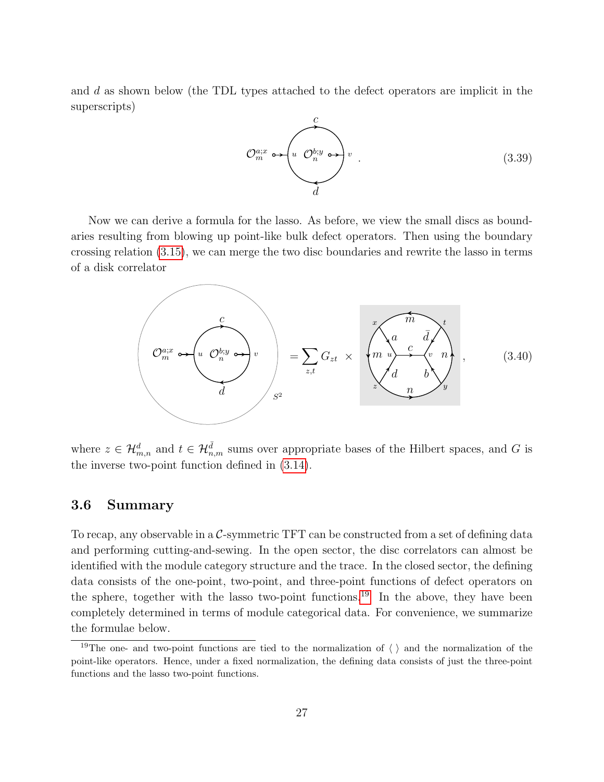and d as shown below (the TDL types attached to the defect operators are implicit in the superscripts)



Now we can derive a formula for the lasso. As before, we view the small discs as boundaries resulting from blowing up point-like bulk defect operators. Then using the boundary crossing relation [\(3.15\)](#page-20-2), we can merge the two disc boundaries and rewrite the lasso in terms of a disk correlator

<span id="page-27-2"></span>

where  $z \in \mathcal{H}_{m,n}^d$  and  $t \in \mathcal{H}_{n,m}^{\overline{d}}$  sums over appropriate bases of the Hilbert spaces, and G is the inverse two-point function defined in [\(3.14\)](#page-19-1).

## <span id="page-27-0"></span>3.6 Summary

To recap, any observable in a  $\mathcal{C}$ -symmetric TFT can be constructed from a set of defining data and performing cutting-and-sewing. In the open sector, the disc correlators can almost be identified with the module category structure and the trace. In the closed sector, the defining data consists of the one-point, two-point, and three-point functions of defect operators on the sphere, together with the lasso two-point functions.<sup>[19](#page-27-1)</sup> In the above, they have been completely determined in terms of module categorical data. For convenience, we summarize the formulae below.

<span id="page-27-1"></span><sup>&</sup>lt;sup>19</sup>The one- and two-point functions are tied to the normalization of  $\langle \ \rangle$  and the normalization of the point-like operators. Hence, under a fixed normalization, the defining data consists of just the three-point functions and the lasso two-point functions.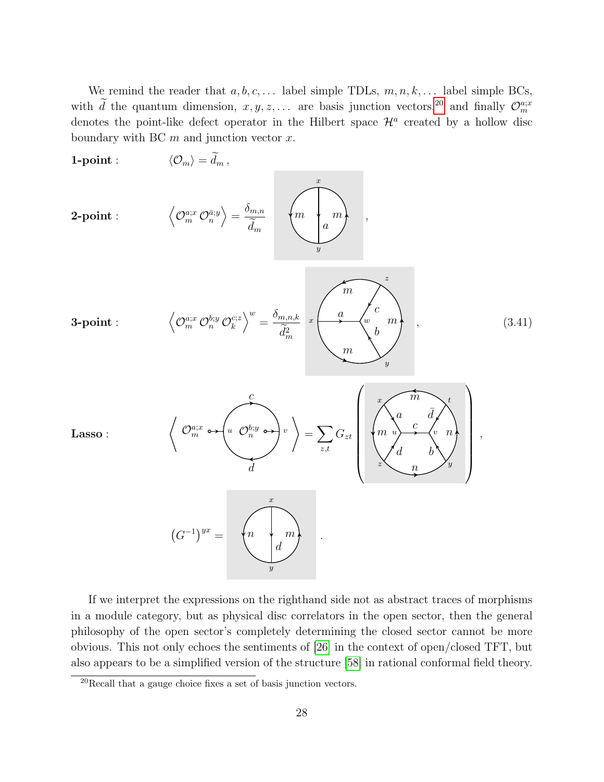We remind the reader that  $a, b, c, \ldots$  label simple TDLs,  $m, n, k, \ldots$  label simple BCs, with d the quantum dimension,  $x, y, z, \ldots$  are basis junction vectors,<sup>[20](#page-28-0)</sup> and finally  $\mathcal{O}_m^{a;x}$ denotes the point-like defect operator in the Hilbert space  $\mathcal{H}^a$  created by a hollow disc boundary with BC  $m$  and junction vector  $x$ .

<span id="page-28-1"></span>

If we interpret the expressions on the righthand side not as abstract traces of morphisms in a module category, but as physical disc correlators in the open sector, then the general philosophy of the open sector's completely determining the closed sector cannot be more obvious. This not only echoes the sentiments of [\[26\]](#page-47-4) in the context of open/closed TFT, but also appears to be a simplified version of the structure [\[58\]](#page-49-7) in rational conformal field theory.

<span id="page-28-0"></span> $20$ Recall that a gauge choice fixes a set of basis junction vectors.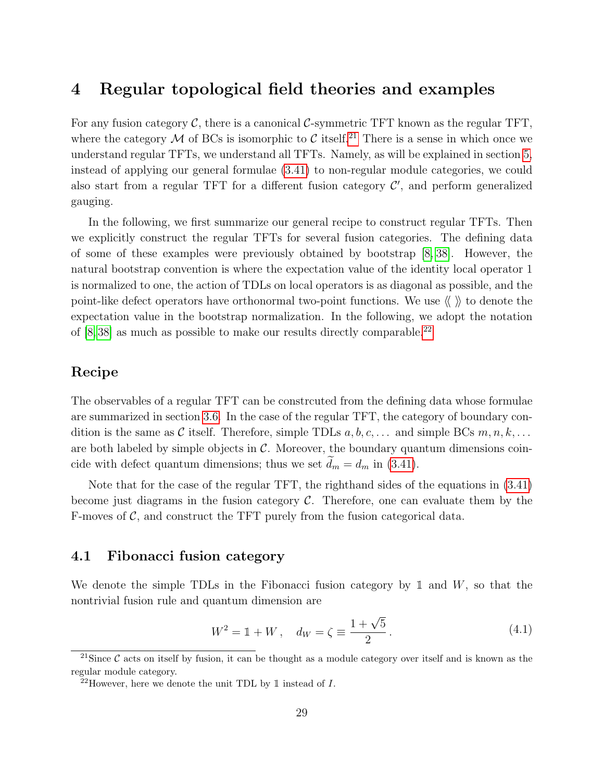# <span id="page-29-0"></span>4 Regular topological field theories and examples

For any fusion category  $\mathcal{C}$ , there is a canonical  $\mathcal{C}$ -symmetric TFT known as the regular TFT, where the category M of BCs is isomorphic to C itself.<sup>[21](#page-29-2)</sup> There is a sense in which once we understand regular TFTs, we understand all TFTs. Namely, as will be explained in section [5,](#page-36-0) instead of applying our general formulae [\(3.41\)](#page-28-1) to non-regular module categories, we could also start from a regular TFT for a different fusion category  $\mathcal{C}'$ , and perform generalized gauging.

In the following, we first summarize our general recipe to construct regular TFTs. Then we explicitly construct the regular TFTs for several fusion categories. The defining data of some of these examples were previously obtained by bootstrap [\[8,](#page-46-0) [38\]](#page-48-3). However, the natural bootstrap convention is where the expectation value of the identity local operator 1 is normalized to one, the action of TDLs on local operators is as diagonal as possible, and the point-like defect operators have orthonormal two-point functions. We use  $\langle \langle \rangle \rangle$  to denote the expectation value in the bootstrap normalization. In the following, we adopt the notation of  $[8, 38]$  $[8, 38]$  as much as possible to make our results directly comparable.<sup>[22](#page-29-3)</sup>

## Recipe

The observables of a regular TFT can be constrcuted from the defining data whose formulae are summarized in section [3.6.](#page-27-0) In the case of the regular TFT, the category of boundary condition is the same as C itself. Therefore, simple TDLs  $a, b, c, \ldots$  and simple BCs  $m, n, k, \ldots$ are both labeled by simple objects in  $\mathcal{C}$ . Moreover, the boundary quantum dimensions coincide with defect quantum dimensions; thus we set  $d_m = d_m$  in [\(3.41\)](#page-28-1).

Note that for the case of the regular TFT, the righthand sides of the equations in [\(3.41\)](#page-28-1) become just diagrams in the fusion category  $\mathcal{C}$ . Therefore, one can evaluate them by the F-moves of  $\mathcal{C}$ , and construct the TFT purely from the fusion categorical data.

## <span id="page-29-1"></span>4.1 Fibonacci fusion category

We denote the simple TDLs in the Fibonacci fusion category by 1 and  $W$ , so that the nontrivial fusion rule and quantum dimension are

$$
W^{2} = \mathbb{1} + W, \quad d_{W} = \zeta \equiv \frac{1 + \sqrt{5}}{2}.
$$
 (4.1)

<span id="page-29-2"></span><sup>&</sup>lt;sup>21</sup>Since  $\mathcal{C}$  acts on itself by fusion, it can be thought as a module category over itself and is known as the regular module category.

<span id="page-29-3"></span><sup>&</sup>lt;sup>22</sup>However, here we denote the unit TDL by  $\mathbb{1}$  instead of *I*.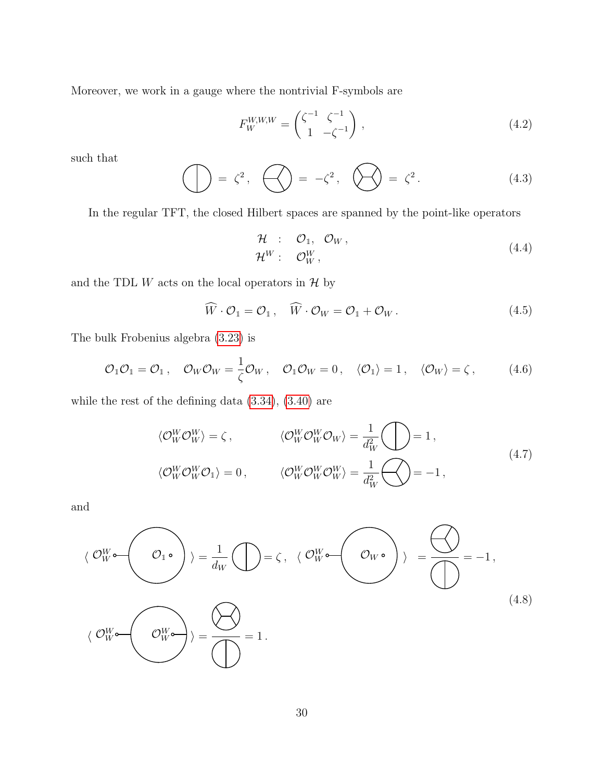Moreover, we work in a gauge where the nontrivial F-symbols are

$$
F_W^{W,W,W} = \begin{pmatrix} \zeta^{-1} & \zeta^{-1} \\ 1 & -\zeta^{-1} \end{pmatrix},\tag{4.2}
$$

such that

$$
\bigoplus = \zeta^2, \quad \bigoplus = -\zeta^2, \quad \bigotimes = \zeta^2. \tag{4.3}
$$

In the regular TFT, the closed Hilbert spaces are spanned by the point-like operators

$$
\mathcal{H} : \mathcal{O}_1, \mathcal{O}_W, \n\mathcal{H}^W : \mathcal{O}_W^W,
$$
\n(4.4)

and the TDL  $W$  acts on the local operators in  $H$  by

$$
\widehat{W} \cdot \mathcal{O}_1 = \mathcal{O}_1 \,, \quad \widehat{W} \cdot \mathcal{O}_W = \mathcal{O}_1 + \mathcal{O}_W \,. \tag{4.5}
$$

The bulk Frobenius algebra [\(3.23\)](#page-22-0) is

$$
\mathcal{O}_1 \mathcal{O}_1 = \mathcal{O}_1 \,, \quad \mathcal{O}_W \mathcal{O}_W = \frac{1}{\zeta} \mathcal{O}_W \,, \quad \mathcal{O}_1 \mathcal{O}_W = 0 \,, \quad \langle \mathcal{O}_1 \rangle = 1 \,, \quad \langle \mathcal{O}_W \rangle = \zeta \,, \tag{4.6}
$$

while the rest of the defining data [\(3.34\)](#page-25-0), [\(3.40\)](#page-27-2) are

$$
\langle \mathcal{O}_W^W \mathcal{O}_W^W \rangle = \zeta, \qquad \langle \mathcal{O}_W^W \mathcal{O}_W^W \mathcal{O}_W \rangle = \frac{1}{d_W^2} \bigodot = 1,
$$
  

$$
\langle \mathcal{O}_W^W \mathcal{O}_W^W \mathcal{O}_1 \rangle = 0, \qquad \langle \mathcal{O}_W^W \mathcal{O}_W^W \mathcal{O}_W^W \rangle = \frac{1}{d_W^2} \bigodot = -1,
$$
  
(4.7)

and

$$
\langle \mathcal{O}_{W}^{W} \bullet \left( \mathcal{O}_{1} \bullet \right) \rangle = \frac{1}{d_{W}} \bigoplus = \zeta, \ \langle \mathcal{O}_{W}^{W} \bullet \left( \mathcal{O}_{W} \bullet \right) \rangle = \bigoplus_{\text{max}} = -1,
$$
\n
$$
\langle \mathcal{O}_{W}^{W} \bullet \left( \mathcal{O}_{W}^{W} \bullet \right) \rangle = \bigoplus_{\text{max}} = 1.
$$
\n(4.8)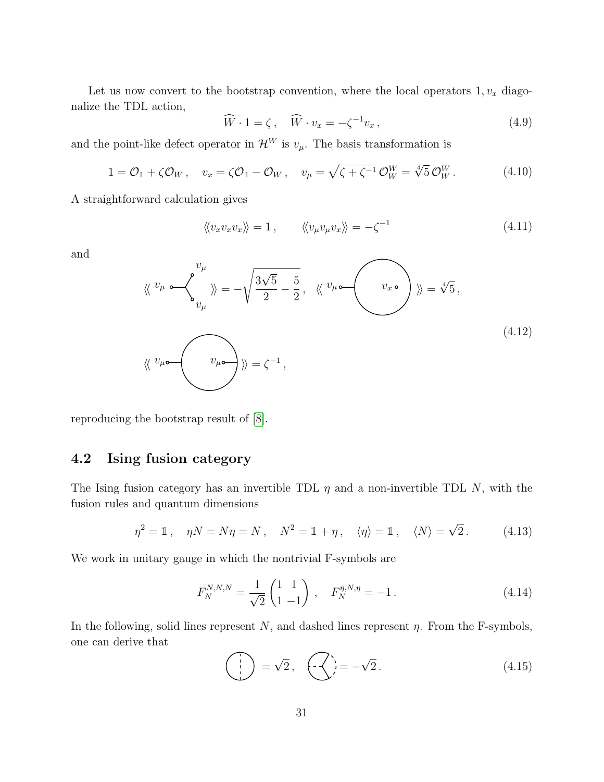Let us now convert to the bootstrap convention, where the local operators  $1, v_x$  diagonalize the TDL action,

$$
\widehat{W} \cdot 1 = \zeta, \quad \widehat{W} \cdot v_x = -\zeta^{-1} v_x, \tag{4.9}
$$

and the point-like defect operator in  $\mathcal{H}^W$  is  $v_\mu$ . The basis transformation is

$$
1 = \mathcal{O}_1 + \zeta \mathcal{O}_W, \quad v_x = \zeta \mathcal{O}_1 - \mathcal{O}_W, \quad v_\mu = \sqrt{\zeta + \zeta^{-1}} \mathcal{O}_W^W = \sqrt[4]{5} \mathcal{O}_W^W.
$$
 (4.10)

A straightforward calculation gives

$$
\langle\langle v_x v_x v_x \rangle\rangle = 1, \qquad \langle\langle v_\mu v_\mu v_x \rangle\rangle = -\zeta^{-1} \qquad (4.11)
$$

and

$$
\langle \langle v_{\mu} \circ \langle v_{\mu} \rangle \rangle = -\sqrt{\frac{3\sqrt{5}}{2} - \frac{5}{2}}, \quad \langle \langle v_{\mu} \circ \langle v_{x} \circ \rangle \rangle \rangle = \sqrt[4]{5},
$$
\n
$$
\langle \langle v_{\mu} \circ \langle v_{\mu} \circ \langle v_{\mu} \circ \rangle \rangle \rangle = \zeta^{-1},
$$
\n(4.12)

reproducing the bootstrap result of [\[8\]](#page-46-0).

## <span id="page-31-0"></span>4.2 Ising fusion category

The Ising fusion category has an invertible TDL  $\eta$  and a non-invertible TDL N, with the fusion rules and quantum dimensions

$$
\eta^2 = \mathbb{1}, \quad \eta N = N\eta = N, \quad N^2 = \mathbb{1} + \eta, \quad \langle \eta \rangle = \mathbb{1}, \quad \langle N \rangle = \sqrt{2}. \tag{4.13}
$$

We work in unitary gauge in which the nontrivial F-symbols are

$$
F_N^{N,N,N} = \frac{1}{\sqrt{2}} \begin{pmatrix} 1 & 1 \\ 1 & -1 \end{pmatrix} , \quad F_N^{\eta,N,\eta} = -1 . \tag{4.14}
$$

In the following, solid lines represent  $N$ , and dashed lines represent  $\eta$ . From the F-symbols, one can derive that

$$
\begin{pmatrix} 1 \\ 1 \end{pmatrix} = \sqrt{2}, \quad \begin{pmatrix} -\sqrt{2} \\ -\sqrt{2} \end{pmatrix} = -\sqrt{2}. \tag{4.15}
$$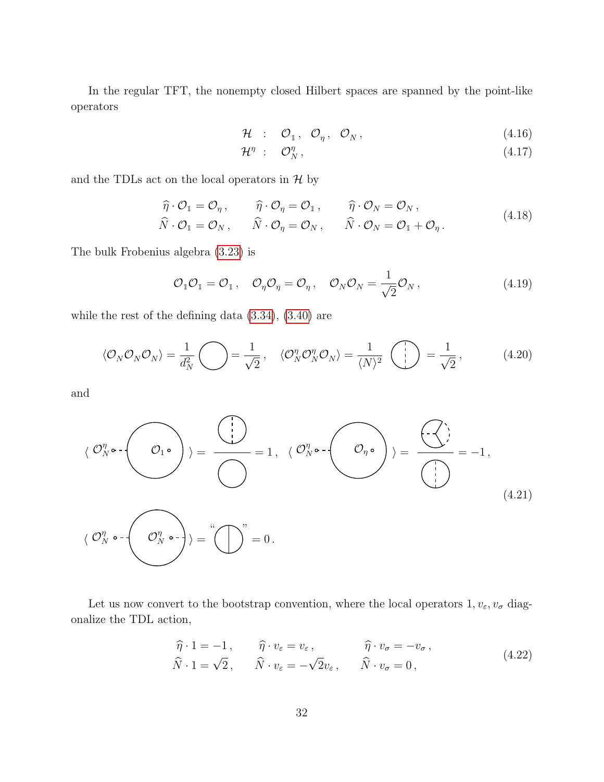In the regular TFT, the nonempty closed Hilbert spaces are spanned by the point-like operators

$$
\mathcal{H} \quad : \quad \mathcal{O}_1 \,, \quad \mathcal{O}_\eta \,, \quad \mathcal{O}_N \,, \tag{4.16}
$$

$$
\mathcal{H}^{\eta} \; : \quad \mathcal{O}_N^{\eta} \,, \tag{4.17}
$$

and the TDLs act on the local operators in  $H$  by

$$
\widehat{\eta} \cdot \mathcal{O}_1 = \mathcal{O}_\eta, \qquad \widehat{\eta} \cdot \mathcal{O}_\eta = \mathcal{O}_1, \qquad \widehat{\eta} \cdot \mathcal{O}_N = \mathcal{O}_N, \n\widehat{N} \cdot \mathcal{O}_1 = \mathcal{O}_N, \qquad \widehat{N} \cdot \mathcal{O}_\eta = \mathcal{O}_N, \qquad \widehat{N} \cdot \mathcal{O}_N = \mathcal{O}_1 + \mathcal{O}_\eta.
$$
\n(4.18)

The bulk Frobenius algebra [\(3.23\)](#page-22-0) is

$$
\mathcal{O}_1 \mathcal{O}_1 = \mathcal{O}_1 \,, \quad \mathcal{O}_\eta \mathcal{O}_\eta = \mathcal{O}_\eta \,, \quad \mathcal{O}_N \mathcal{O}_N = \frac{1}{\sqrt{2}} \mathcal{O}_N \,, \tag{4.19}
$$

while the rest of the defining data [\(3.34\)](#page-25-0), [\(3.40\)](#page-27-2) are

$$
\langle \mathcal{O}_N \mathcal{O}_N \mathcal{O}_N \rangle = \frac{1}{d_N^2} \bigodot = \frac{1}{\sqrt{2}}, \quad \langle \mathcal{O}_N^{\eta} \mathcal{O}_N^{\eta} \mathcal{O}_N \rangle = \frac{1}{\langle N \rangle^2} \left( \bigodot \right) = \frac{1}{\sqrt{2}}, \quad (4.20)
$$

and

$$
\langle \mathcal{O}_{N}^{\eta} \circ \cdot \left( \bigcirc \cdot \right) \rangle = \frac{\langle \cdot \rangle}{\langle \cdot \rangle} = 1, \ \langle \mathcal{O}_{N}^{\eta} \circ \cdot \left( \bigcirc \cdot \right) \rangle = \frac{\langle \cdot \cdot \rangle}{\langle \cdot \rangle} = -1,
$$
\n
$$
\langle \mathcal{O}_{N}^{\eta} \circ \cdot \left( \bigcirc \cdot \right) \circ \cdot \left( \bigcirc \cdot \right) \rangle = \langle \cdot \left( \cdot \right) \circ \cdot \left( \cdot \right) \rangle = \langle \cdot \rangle
$$
\n(4.21)

Let us now convert to the bootstrap convention, where the local operators  $1, v_{\varepsilon}, v_{\sigma}$  diagonalize the TDL action,

$$
\widehat{\eta} \cdot 1 = -1, \qquad \widehat{\eta} \cdot v_{\varepsilon} = v_{\varepsilon}, \qquad \widehat{\eta} \cdot v_{\sigma} = -v_{\sigma}, \n\widehat{N} \cdot 1 = \sqrt{2}, \qquad \widehat{N} \cdot v_{\varepsilon} = -\sqrt{2}v_{\varepsilon}, \qquad \widehat{N} \cdot v_{\sigma} = 0,
$$
\n(4.22)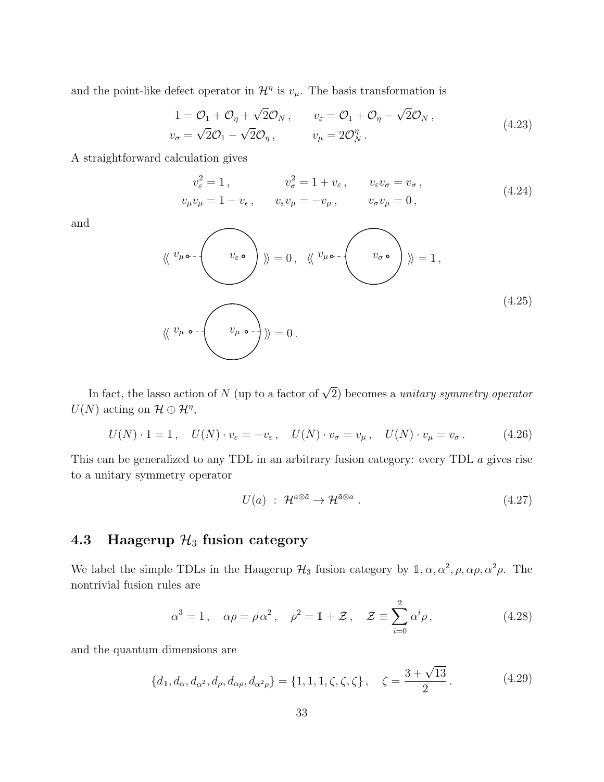and the point-like defect operator in  $\mathcal{H}^{\eta}$  is  $v_{\mu}$ . The basis transformation is

$$
1 = \mathcal{O}_1 + \mathcal{O}_\eta + \sqrt{2}\mathcal{O}_N, \qquad v_\varepsilon = \mathcal{O}_1 + \mathcal{O}_\eta - \sqrt{2}\mathcal{O}_N, \n v_\sigma = \sqrt{2}\mathcal{O}_1 - \sqrt{2}\mathcal{O}_\eta, \qquad v_\mu = 2\mathcal{O}_N^\eta.
$$
\n(4.23)

A straightforward calculation gives

$$
v_{\varepsilon}^{2} = 1, \t v_{\sigma}^{2} = 1 + v_{\varepsilon}, \t v_{\varepsilon}v_{\sigma} = v_{\sigma},
$$
  
\n
$$
v_{\mu}v_{\mu} = 1 - v_{\varepsilon}, \t v_{\varepsilon}v_{\mu} = -v_{\mu}, \t v_{\sigma}v_{\mu} = 0,
$$
\n(4.24)

and

$$
\langle \langle v_{\mu} \circ \cdot \langle v_{\varepsilon} \circ \cdot \rangle \rangle \rangle = 0, \quad \langle \langle v_{\mu} \circ \cdot \langle v_{\mu} \circ \cdot \langle v_{\mu} \circ \cdot \rangle \rangle \rangle = 1,
$$
\n
$$
\langle \langle v_{\mu} \circ \cdot \langle v_{\mu} \circ \cdot \rangle \rangle \rangle = 0.
$$
\n(4.25)

In fact, the lasso action of N (up to a factor of  $\sqrt{2}$ ) becomes a *unitary symmetry operator*  $U(N)$  acting on  $\mathcal{H} \oplus \mathcal{H}^{\eta}$ ,

$$
U(N) \cdot 1 = 1, \quad U(N) \cdot v_{\varepsilon} = -v_{\varepsilon}, \quad U(N) \cdot v_{\sigma} = v_{\mu}, \quad U(N) \cdot v_{\mu} = v_{\sigma}. \tag{4.26}
$$

This can be generalized to any TDL in an arbitrary fusion category: every TDL a gives rise to a unitary symmetry operator

$$
U(a) : \mathcal{H}^{a \otimes \bar{a}} \to \mathcal{H}^{\bar{a} \otimes a} \tag{4.27}
$$

# <span id="page-33-0"></span>4.3 Haagerup  $\mathcal{H}_3$  fusion category

We label the simple TDLs in the Haagerup  $\mathcal{H}_3$  fusion category by  $\mathbb{1}, \alpha, \alpha^2, \rho, \alpha\rho, \alpha^2\rho$ . The nontrivial fusion rules are

$$
\alpha^3 = 1, \quad \alpha \rho = \rho \alpha^2, \quad \rho^2 = 1 + \mathcal{Z}, \quad \mathcal{Z} \equiv \sum_{i=0}^2 \alpha^i \rho, \tag{4.28}
$$

and the quantum dimensions are

$$
\{d_1, d_{\alpha}, d_{\alpha^2}, d_{\rho}, d_{\alpha\rho}, d_{\alpha^2\rho}\} = \{1, 1, 1, \zeta, \zeta, \zeta\}, \quad \zeta = \frac{3 + \sqrt{13}}{2}.
$$
 (4.29)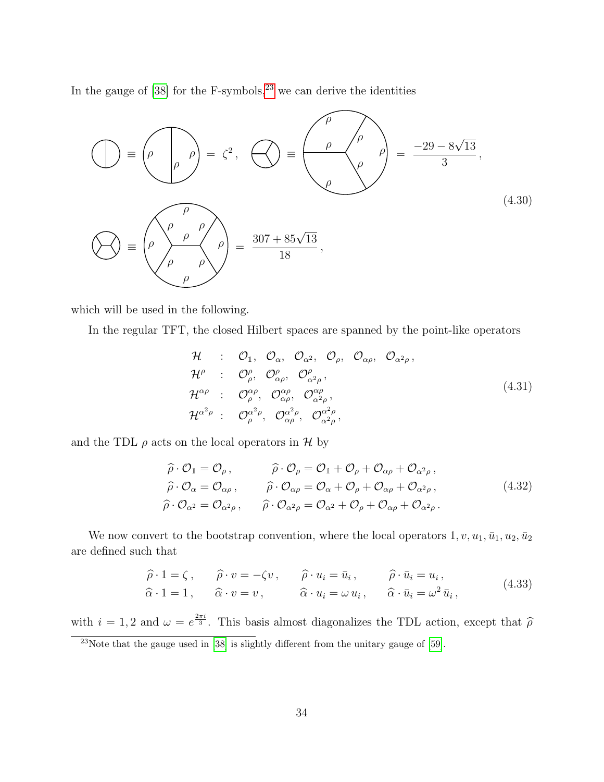In the gauge of  $[38]$  for the F-symbols,<sup>[23](#page-34-0)</sup> we can derive the identities

$$
\bigodot \equiv \left(\rho \middleot \rho\right) = \zeta^2, \quad \bigodot \equiv \left(\frac{\rho}{\rho}\right)^{\rho} = \frac{-29 - 8\sqrt{13}}{3},
$$
\n
$$
\bigodot \equiv \left(\rho \downarrow \rho \downarrow \rho\right) = \frac{307 + 85\sqrt{13}}{18},
$$
\n(4.30)

which will be used in the following.

In the regular TFT, the closed Hilbert spaces are spanned by the point-like operators

$$
\mathcal{H} : \mathcal{O}_{1}, \mathcal{O}_{\alpha}, \mathcal{O}_{\alpha^{2}}, \mathcal{O}_{\rho}, \mathcal{O}_{\alpha\rho}, \mathcal{O}_{\alpha^{2}\rho},
$$
\n
$$
\mathcal{H}^{\rho} : \mathcal{O}_{\rho}^{\rho}, \mathcal{O}_{\alpha\rho}^{\rho}, \mathcal{O}_{\alpha^{2}\rho}^{\rho},
$$
\n
$$
\mathcal{H}^{\alpha\rho} : \mathcal{O}_{\rho}^{\alpha\rho}, \mathcal{O}_{\alpha\rho}^{\alpha\rho}, \mathcal{O}_{\alpha^{2}\rho}^{\alpha\rho},
$$
\n
$$
\mathcal{H}^{\alpha^{2}\rho} : \mathcal{O}_{\rho}^{\alpha^{2}\rho}, \mathcal{O}_{\alpha\rho}^{\alpha^{2}\rho}, \mathcal{O}_{\alpha^{2}\rho}^{\alpha^{2}\rho},
$$
\n
$$
(4.31)
$$

and the TDL  $\rho$  acts on the local operators in  $\mathcal H$  by

$$
\widehat{\rho} \cdot \mathcal{O}_1 = \mathcal{O}_\rho, \qquad \widehat{\rho} \cdot \mathcal{O}_\rho = \mathcal{O}_1 + \mathcal{O}_\rho + \mathcal{O}_{\alpha\rho} + \mathcal{O}_{\alpha^2\rho}, \n\widehat{\rho} \cdot \mathcal{O}_\alpha = \mathcal{O}_{\alpha\rho}, \qquad \widehat{\rho} \cdot \mathcal{O}_{\alpha\rho} = \mathcal{O}_\alpha + \mathcal{O}_\rho + \mathcal{O}_{\alpha\rho} + \mathcal{O}_{\alpha^2\rho}, \n\widehat{\rho} \cdot \mathcal{O}_{\alpha^2} = \mathcal{O}_{\alpha^2\rho}, \qquad \widehat{\rho} \cdot \mathcal{O}_{\alpha^2\rho} = \mathcal{O}_{\alpha^2} + \mathcal{O}_\rho + \mathcal{O}_{\alpha\rho} + \mathcal{O}_{\alpha^2\rho}.
$$
\n(4.32)

We now convert to the bootstrap convention, where the local operators  $1, v, u_1, \bar{u}_1, u_2, \bar{u}_2$ are defined such that

$$
\widehat{\rho} \cdot 1 = \zeta, \qquad \widehat{\rho} \cdot v = -\zeta v, \qquad \widehat{\rho} \cdot u_i = \bar{u}_i, \qquad \widehat{\rho} \cdot \bar{u}_i = u_i, \n\widehat{\alpha} \cdot 1 = 1, \qquad \widehat{\alpha} \cdot v = v, \qquad \widehat{\alpha} \cdot u_i = \omega u_i, \qquad \widehat{\alpha} \cdot \bar{u}_i = \omega^2 \bar{u}_i,
$$
\n(4.33)

with  $i = 1, 2$  and  $\omega = e^{\frac{2\pi i}{3}}$ . This basis almost diagonalizes the TDL action, except that  $\hat{\rho}$ 

<span id="page-34-0"></span><sup>&</sup>lt;sup>23</sup>Note that the gauge used in [\[38\]](#page-48-3) is slightly different from the unitary gauge of [\[59\]](#page-49-8).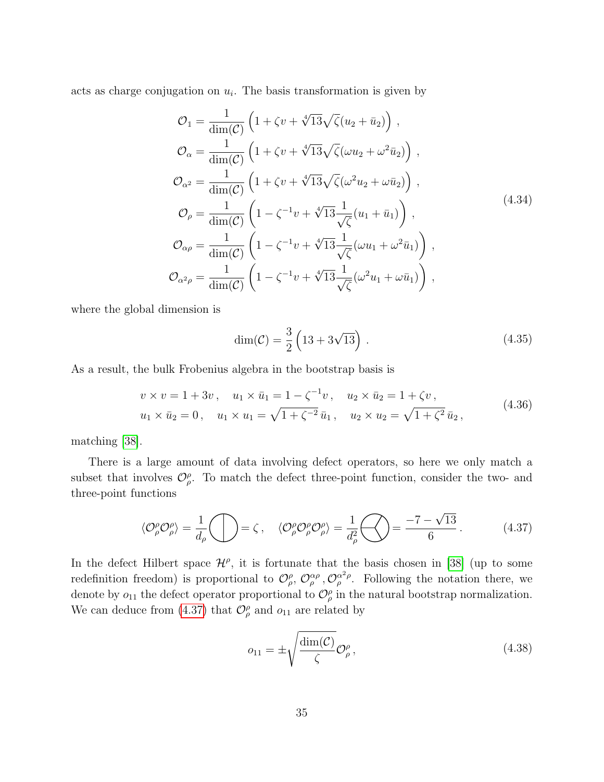acts as charge conjugation on  $u_i$ . The basis transformation is given by

$$
\mathcal{O}_{1} = \frac{1}{\dim(\mathcal{C})} \left( 1 + \zeta v + \sqrt[4]{13} \sqrt{\zeta} (u_{2} + \bar{u}_{2}) \right),
$$
  
\n
$$
\mathcal{O}_{\alpha} = \frac{1}{\dim(\mathcal{C})} \left( 1 + \zeta v + \sqrt[4]{13} \sqrt{\zeta} (\omega u_{2} + \omega^{2} \bar{u}_{2}) \right),
$$
  
\n
$$
\mathcal{O}_{\alpha^{2}} = \frac{1}{\dim(\mathcal{C})} \left( 1 + \zeta v + \sqrt[4]{13} \sqrt{\zeta} (\omega^{2} u_{2} + \omega \bar{u}_{2}) \right),
$$
  
\n
$$
\mathcal{O}_{\rho} = \frac{1}{\dim(\mathcal{C})} \left( 1 - \zeta^{-1} v + \sqrt[4]{13} \frac{1}{\sqrt{\zeta}} (u_{1} + \bar{u}_{1}) \right),
$$
  
\n
$$
\mathcal{O}_{\alpha \rho} = \frac{1}{\dim(\mathcal{C})} \left( 1 - \zeta^{-1} v + \sqrt[4]{13} \frac{1}{\sqrt{\zeta}} (\omega u_{1} + \omega^{2} \bar{u}_{1}) \right),
$$
  
\n
$$
\mathcal{O}_{\alpha^{2} \rho} = \frac{1}{\dim(\mathcal{C})} \left( 1 - \zeta^{-1} v + \sqrt[4]{13} \frac{1}{\sqrt{\zeta}} (\omega^{2} u_{1} + \omega \bar{u}_{1}) \right),
$$
  
\n(4.34)

where the global dimension is

$$
\dim(\mathcal{C}) = \frac{3}{2} \left( 13 + 3\sqrt{13} \right) . \tag{4.35}
$$

As a result, the bulk Frobenius algebra in the bootstrap basis is

$$
v \times v = 1 + 3v, \quad u_1 \times \bar{u}_1 = 1 - \zeta^{-1}v, \quad u_2 \times \bar{u}_2 = 1 + \zeta v,
$$
  

$$
u_1 \times \bar{u}_2 = 0, \quad u_1 \times u_1 = \sqrt{1 + \zeta^{-2}} \bar{u}_1, \quad u_2 \times u_2 = \sqrt{1 + \zeta^2} \bar{u}_2,
$$
 (4.36)

matching [\[38\]](#page-48-3).

There is a large amount of data involving defect operators, so here we only match a subset that involves  $\mathcal{O}_{\rho}^{\rho}$ . To match the defect three-point function, consider the two- and three-point functions

<span id="page-35-0"></span>
$$
\langle \mathcal{O}_{\rho}^{\rho} \mathcal{O}_{\rho}^{\rho} \rangle = \frac{1}{d_{\rho}} \bigcirc \mathcal{O}_{\rho} = \zeta \,, \quad \langle \mathcal{O}_{\rho}^{\rho} \mathcal{O}_{\rho}^{\rho} \mathcal{O}_{\rho}^{\rho} \rangle = \frac{1}{d_{\rho}^{2}} \bigcirc \mathcal{O}_{\rho} = \frac{-7 - \sqrt{13}}{6} \,. \tag{4.37}
$$

In the defect Hilbert space  $\mathcal{H}^{\rho}$ , it is fortunate that the basis chosen in [\[38\]](#page-48-3) (up to some redefinition freedom) is proportional to  $\mathcal{O}_{\rho}^{\rho}, \mathcal{O}_{\rho}^{\alpha\rho}, \mathcal{O}_{\rho}^{\alpha^2\rho}$ . Following the notation there, we denote by  $o_{11}$  the defect operator proportional to  $\mathcal{O}_{\rho}^{\rho}$  in the natural bootstrap normalization. We can deduce from [\(4.37\)](#page-35-0) that  $\mathcal{O}_{\rho}^{\rho}$  and  $o_{11}$  are related by

<span id="page-35-1"></span>
$$
o_{11} = \pm \sqrt{\frac{\dim(\mathcal{C})}{\zeta}} \mathcal{O}_{\rho}^{\rho}, \qquad (4.38)
$$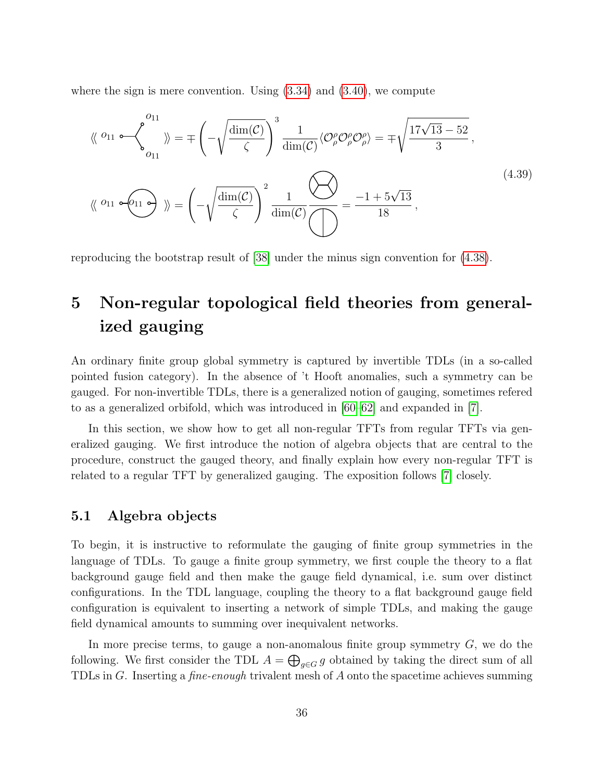where the sign is mere convention. Using  $(3.34)$  and  $(3.40)$ , we compute

$$
\langle \langle \rho_1 \rangle \rangle = \langle \langle \rho_1 \rangle \rangle = \langle \langle \rho_2 \rangle \rangle = \langle \langle \rho_1 \rangle \rangle = \langle \langle \rho_2 \rangle \rangle = \langle \langle \rho_1 \rangle \rangle = \langle \rho_1 \rangle = \langle \rho_2 \rangle = \langle \rho_1 \rangle = \langle \rho_2 \rangle = \langle \rho_1 \rangle = \langle \rho_2 \rangle = \langle \rho_1 \rangle = \langle \rho_2 \rangle = \langle \rho_1 \rangle = \langle \rho_2 \rangle = \langle \rho_1 \rangle = \langle \rho_2 \rangle = \langle \rho_2 \rangle = \langle \rho_2 \rangle = \langle \rho_2 \rangle = \langle \rho_1 \rangle = \langle \rho_2 \rangle = \langle \rho_1 \rangle = \langle \rho_2 \rangle = \langle \rho_2 \rangle = \langle \rho_2 \rangle = \langle \rho_1 \rangle = \langle \rho_2 \rangle = \langle \rho_1 \rangle = \langle \rho_2 \rangle = \langle \rho_1 \rangle = \langle \rho_2 \rangle = \langle \rho_1 \rangle = \langle \rho_2 \rangle = \langle \rho_2 \rangle = \langle \rho_1 \rangle = \langle \rho_2 \rangle = \langle \rho_2 \rangle = \langle \rho_1 \rangle = \langle \rho_2 \rangle = \langle \rho_2 \rangle = \langle \rho_1 \rangle = \langle \rho_2 \rangle = \langle \rho_2 \rangle = \langle \rho_1 \rangle = \langle \rho_2 \rangle = \langle \rho_2 \rangle = \langle \rho_1 \rangle = \langle \rho_2 \rangle = \langle \rho_2 \rangle = \langle \rho_2 \rangle = \langle \rho_2 \rangle = \langle \rho_2 \rangle = \langle \rho_2 \rangle = \langle \rho_2 \rangle = \langle \rho_2 \rangle = \langle \rho_2 \rangle = \langle \rho_2 \rangle = \langle \rho_2 \rangle = \langle \rho_2 \rangle = \langle \rho_2 \rangle = \langle \rho_2 \rangle = \langle \rho_2 \rangle = \langle \rho_2 \rangle = \langle \rho_2 \rangle = \langle \rho_2 \rangle = \langle \rho_2 \rangle = \langle \rho_2 \rangle = \langle \rho_2 \rangle = \langle \rho_2 \rangle = \langle \rho_2 \rangle = \langle \rho_2 \rangle = \langle \rho_2 \rangle = \langle \rho_2 \rangle = \langle \rho_2 \rangle = \langle \rho_2 \rangle = \langle \rho_2 \rangle = \langle \rho_2 \rangle = \langle \rho_2 \rangle = \langle \rho_2 \rangle = \langle \rho_2 \
$$

reproducing the bootstrap result of [\[38\]](#page-48-3) under the minus sign convention for [\(4.38\)](#page-35-1).

# <span id="page-36-0"></span>5 Non-regular topological field theories from generalized gauging

An ordinary finite group global symmetry is captured by invertible TDLs (in a so-called pointed fusion category). In the absence of 't Hooft anomalies, such a symmetry can be gauged. For non-invertible TDLs, there is a generalized notion of gauging, sometimes refered to as a generalized orbifold, which was introduced in [\[60–](#page-49-9)[62\]](#page-50-0) and expanded in [\[7\]](#page-46-1).

In this section, we show how to get all non-regular TFTs from regular TFTs via generalized gauging. We first introduce the notion of algebra objects that are central to the procedure, construct the gauged theory, and finally explain how every non-regular TFT is related to a regular TFT by generalized gauging. The exposition follows [\[7\]](#page-46-1) closely.

## <span id="page-36-1"></span>5.1 Algebra objects

To begin, it is instructive to reformulate the gauging of finite group symmetries in the language of TDLs. To gauge a finite group symmetry, we first couple the theory to a flat background gauge field and then make the gauge field dynamical, i.e. sum over distinct configurations. In the TDL language, coupling the theory to a flat background gauge field configuration is equivalent to inserting a network of simple TDLs, and making the gauge field dynamical amounts to summing over inequivalent networks.

In more precise terms, to gauge a non-anomalous finite group symmetry  $G$ , we do the following. We first consider the TDL  $A = \bigoplus_{g \in G} g$  obtained by taking the direct sum of all TDLs in G. Inserting a fine-enough trivalent mesh of A onto the spacetime achieves summing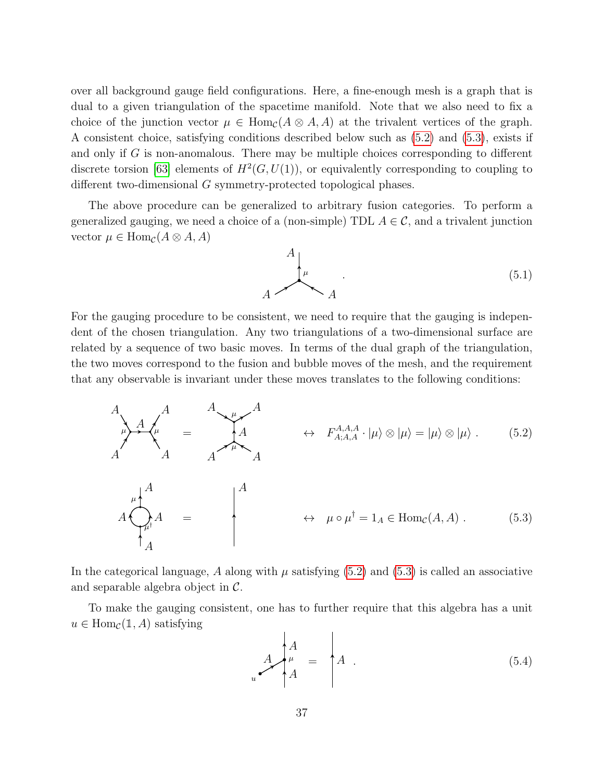over all background gauge field configurations. Here, a fine-enough mesh is a graph that is dual to a given triangulation of the spacetime manifold. Note that we also need to fix a choice of the junction vector  $\mu \in \text{Hom}_{\mathcal{C}}(A \otimes A, A)$  at the trivalent vertices of the graph. A consistent choice, satisfying conditions described below such as [\(5.2\)](#page-37-0) and [\(5.3\)](#page-37-1), exists if and only if G is non-anomalous. There may be multiple choices corresponding to different discrete torsion [\[63\]](#page-50-1) elements of  $H^2(G, U(1))$ , or equivalently corresponding to coupling to different two-dimensional G symmetry-protected topological phases.

The above procedure can be generalized to arbitrary fusion categories. To perform a generalized gauging, we need a choice of a (non-simple) TDL  $A \in \mathcal{C}$ , and a trivalent junction vector  $\mu \in \text{Hom}_{\mathcal{C}}(A \otimes A, A)$ 

<span id="page-37-0"></span>

For the gauging procedure to be consistent, we need to require that the gauging is independent of the chosen triangulation. Any two triangulations of a two-dimensional surface are related by a sequence of two basic moves. In terms of the dual graph of the triangulation, the two moves correspond to the fusion and bubble moves of the mesh, and the requirement that any observable is invariant under these moves translates to the following conditions:

$$
A_{\mu} A_{\mu} A_{\mu} = A_{\mu} A_{\mu} A_{\mu} A_{\mu} + F_{A;A,A}^{A,A} \cdot |\mu\rangle \otimes |\mu\rangle = |\mu\rangle \otimes |\mu\rangle. \qquad (5.2)
$$

$$
A \bigoplus_{\mu}^{\mu} A = \qquad \qquad A \qquad \leftrightarrow \qquad \mu \circ \mu^{\dagger} = 1_A \in \text{Hom}_{\mathcal{C}}(A, A) \ . \tag{5.3}
$$

In the categorical language, A along with  $\mu$  satisfying [\(5.2\)](#page-37-0) and [\(5.3\)](#page-37-1) is called an associative and separable algebra object in C.

To make the gauging consistent, one has to further require that this algebra has a unit  $u \in \text{Hom}_{\mathcal{C}}(\mathbb{1}, A)$  satisfying

<span id="page-37-1"></span>
$$
A \downarrow^A A = A \downarrow^A A \tag{5.4}
$$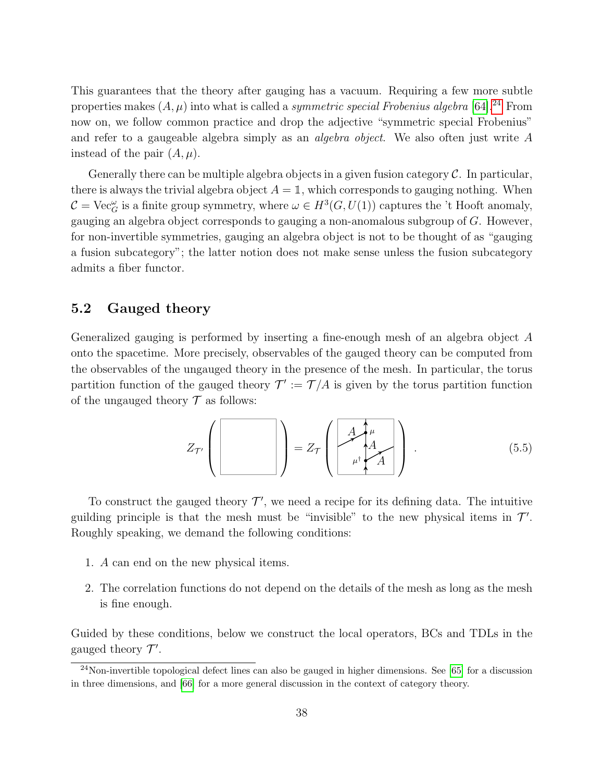This guarantees that the theory after gauging has a vacuum. Requiring a few more subtle properties makes  $(A, \mu)$  into what is called a *symmetric special Frobenius algebra* [\[64\]](#page-50-2).<sup>[24](#page-38-1)</sup> From now on, we follow common practice and drop the adjective "symmetric special Frobenius" and refer to a gaugeable algebra simply as an algebra object. We also often just write A instead of the pair  $(A, \mu)$ .

Generally there can be multiple algebra objects in a given fusion category  $\mathcal C$ . In particular, there is always the trivial algebra object  $A = \mathbb{1}$ , which corresponds to gauging nothing. When  $C = \text{Vec}_{G}^{\omega}$  is a finite group symmetry, where  $\omega \in H^{3}(G, U(1))$  captures the 't Hooft anomaly, gauging an algebra object corresponds to gauging a non-anomalous subgroup of  $G$ . However, for non-invertible symmetries, gauging an algebra object is not to be thought of as "gauging a fusion subcategory"; the latter notion does not make sense unless the fusion subcategory admits a fiber functor.

## <span id="page-38-0"></span>5.2 Gauged theory

Generalized gauging is performed by inserting a fine-enough mesh of an algebra object A onto the spacetime. More precisely, observables of the gauged theory can be computed from the observables of the ungauged theory in the presence of the mesh. In particular, the torus partition function of the gauged theory  $\mathcal{T}' := \mathcal{T}/A$  is given by the torus partition function of the ungauged theory  $\mathcal T$  as follows:

$$
Z_{\mathcal{T}'}\left(\left[\begin{array}{c} \begin{pmatrix} \vdots\\ \vdots\\ \vdots\\ \vdots\\ \vdots\\ \end{pmatrix}\end{array}\right]\right)=Z_{\mathcal{T}}\left(\left[\begin{array}{c} A_{\mathcal{T}}\\ \vdots\\ \vdots\\ \vdots\\ A_{\mathcal{T}}\end{array}\right]\right).
$$
\n(5.5)

To construct the gauged theory  $\mathcal{T}'$ , we need a recipe for its defining data. The intuitive guilding principle is that the mesh must be "invisible" to the new physical items in  $\mathcal{T}'$ . Roughly speaking, we demand the following conditions:

- <span id="page-38-3"></span>1. A can end on the new physical items.
- <span id="page-38-2"></span>2. The correlation functions do not depend on the details of the mesh as long as the mesh is fine enough.

Guided by these conditions, below we construct the local operators, BCs and TDLs in the gauged theory  $\mathcal{T}'$ .

<span id="page-38-1"></span> $\frac{24}{100}$ -invertible topological defect lines can also be gauged in higher dimensions. See [\[65\]](#page-50-3) for a discussion in three dimensions, and [\[66\]](#page-50-4) for a more general discussion in the context of category theory.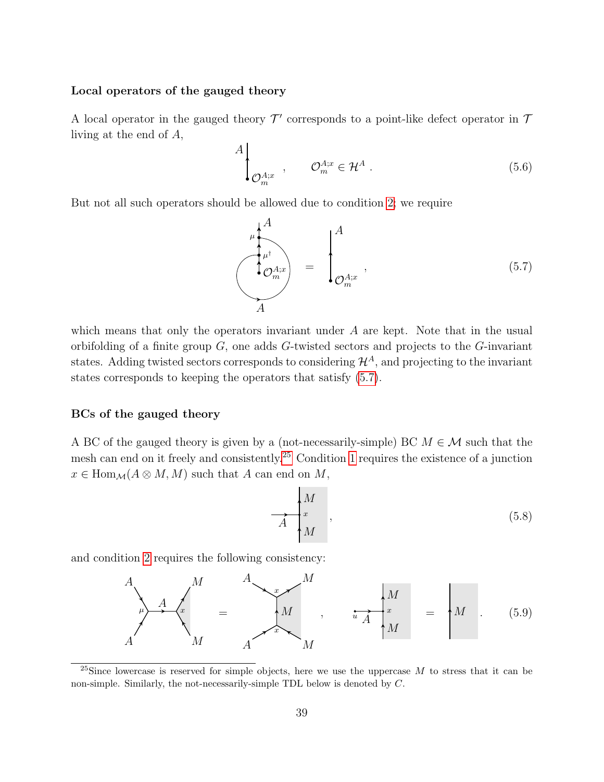#### Local operators of the gauged theory

A local operator in the gauged theory  $\mathcal{T}'$  corresponds to a point-like defect operator in  $\mathcal{T}$ living at the end of A,

$$
A\Big|_{\mathcal{O}_m^{A;x}}, \qquad \mathcal{O}_m^{A;x} \in \mathcal{H}^A.
$$
 (5.6)

But not all such operators should be allowed due to condition [2;](#page-38-2) we require

<span id="page-39-0"></span>
$$
\begin{pmatrix}\nA \\
\mu^{\dagger} \\
\mathcal{O}_m^{A;x}\n\end{pmatrix} = \begin{pmatrix}\nA \\
\vdots \\
\mathcal{O}_m^{A;x}\n\end{pmatrix},
$$
\n(5.7)

which means that only the operators invariant under A are kept. Note that in the usual orbifolding of a finite group  $G$ , one adds  $G$ -twisted sectors and projects to the  $G$ -invariant states. Adding twisted sectors corresponds to considering  $\mathcal{H}^A$ , and projecting to the invariant states corresponds to keeping the operators that satisfy [\(5.7\)](#page-39-0).

### BCs of the gauged theory

A BC of the gauged theory is given by a (not-necessarily-simple) BC  $M \in \mathcal{M}$  such that the mesh can end on it freely and consistently.[25](#page-39-1) Condition [1](#page-38-3) requires the existence of a junction  $x \in \text{Hom}_{\mathcal{M}}(A \otimes M, M)$  such that A can end on M,

$$
\overrightarrow{A} \begin{bmatrix} M \\ x \\ M \end{bmatrix}, \tag{5.8}
$$

and condition [2](#page-38-2) requires the following consistency:

<span id="page-39-2"></span>
$$
A\begin{pmatrix} M & A \\ M & A \end{pmatrix} = \begin{pmatrix} M & A \\ M & A \end{pmatrix}, \qquad \overrightarrow{u} \begin{pmatrix} M \\ x \\ M \end{pmatrix} = \begin{pmatrix} M & 0.59 \end{pmatrix}
$$

<span id="page-39-1"></span><sup>&</sup>lt;sup>25</sup>Since lowercase is reserved for simple objects, here we use the uppercase M to stress that it can be non-simple. Similarly, the not-necessarily-simple TDL below is denoted by C.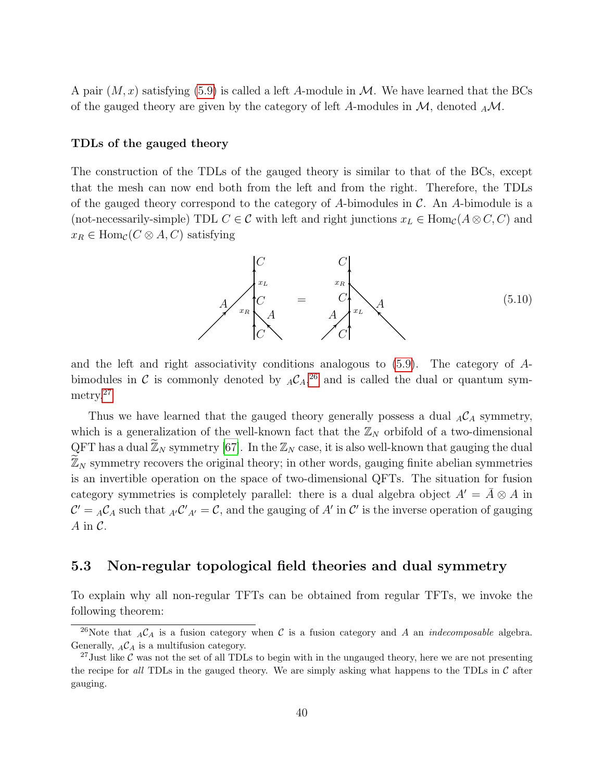A pair  $(M, x)$  satisfying [\(5.9\)](#page-39-2) is called a left A-module in M. We have learned that the BCs of the gauged theory are given by the category of left A-modules in  $\mathcal{M}$ , denoted  $_A\mathcal{M}$ .

### TDLs of the gauged theory

The construction of the TDLs of the gauged theory is similar to that of the BCs, except that the mesh can now end both from the left and from the right. Therefore, the TDLs of the gauged theory correspond to the category of A-bimodules in  $\mathcal{C}$ . An A-bimodule is a (not-necessarily-simple) TDL  $C \in \mathcal{C}$  with left and right junctions  $x_L \in \text{Hom}_{\mathcal{C}}(A \otimes C, C)$  and  $x_R \in \text{Hom}_{\mathcal{C}}(C \otimes A, C)$  satisfying

$$
A\n\begin{matrix}\nC & C \\
x_L & x_R \\
C & A & A \\
C & C & C\n\end{matrix}
$$
\n(5.10)

and the left and right associativity conditions analogous to [\(5.9\)](#page-39-2). The category of Abimodules in C is commonly denoted by  $_A C_A^{36}$  and is called the dual or quantum sym-metry.<sup>[27](#page-40-2)</sup>

Thus we have learned that the gauged theory generally possess a dual  $_A\mathcal{C}_A$  symmetry, which is a generalization of the well-known fact that the  $\mathbb{Z}_N$  orbifold of a two-dimensional QFT has a dual  $\widetilde{\mathbb{Z}}_N$  symmetry [\[67\]](#page-50-5). In the  $\mathbb{Z}_N$  case, it is also well-known that gauging the dual  $\mathbb{Z}_N$  symmetry recovers the original theory; in other words, gauging finite abelian symmetries is an invertible operation on the space of two-dimensional QFTs. The situation for fusion category symmetries is completely parallel: there is a dual algebra object  $A' = \overline{A} \otimes A$  in  $\mathcal{C}' = {}_{A}\mathcal{C}_{A}$  such that  ${}_{A'}\mathcal{C}'_{A'} = \mathcal{C}$ , and the gauging of  $A'$  in  $\mathcal{C}'$  is the inverse operation of gauging  $A$  in  $C$ .

## <span id="page-40-0"></span>5.3 Non-regular topological field theories and dual symmetry

To explain why all non-regular TFTs can be obtained from regular TFTs, we invoke the following theorem:

<span id="page-40-1"></span><sup>&</sup>lt;sup>26</sup>Note that  ${}_{A}\mathcal{C}_{A}$  is a fusion category when C is a fusion category and A an *indecomposable* algebra. Generally,  ${}_{A}\mathcal{C}_{A}$  is a multifusion category.

<span id="page-40-2"></span><sup>&</sup>lt;sup>27</sup>Just like C was not the set of all TDLs to begin with in the ungauged theory, here we are not presenting the recipe for all TDLs in the gauged theory. We are simply asking what happens to the TDLs in  $\mathcal C$  after gauging.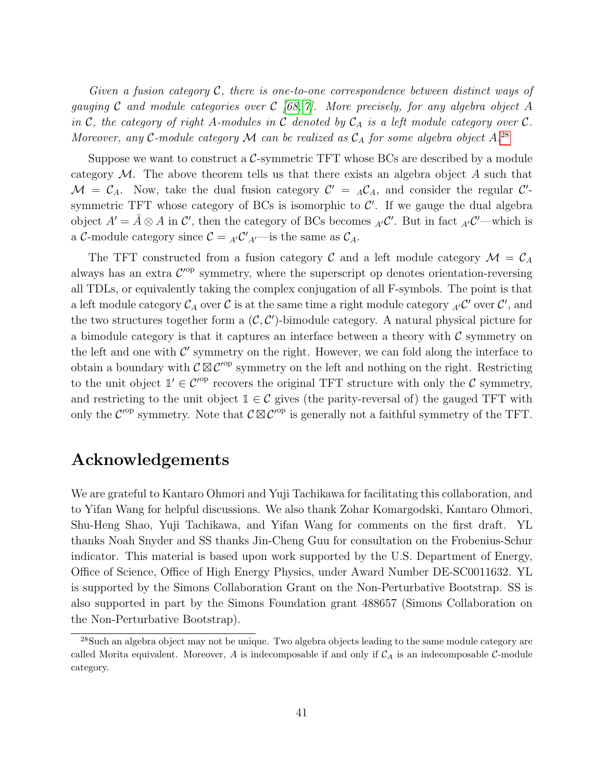Given a fusion category  $\mathcal{C}$ , there is one-to-one correspondence between distinct ways of gauging C and module categories over C  $/68$ , 7. More precisely, for any algebra object A in C, the category of right A-modules in C denoted by  $C_A$  is a left module category over C. Moreover, any C-module category  $\mathcal M$  can be realized as  $\mathcal C_A$  for some algebra object A.<sup>[28](#page-41-0)</sup>

Suppose we want to construct a C-symmetric TFT whose BCs are described by a module category  $\mathcal M$ . The above theorem tells us that there exists an algebra object A such that  $\mathcal{M} = \mathcal{C}_A$ . Now, take the dual fusion category  $\mathcal{C}' = {}_A\mathcal{C}_A$ , and consider the regular  $\mathcal{C}'$ symmetric TFT whose category of BCs is isomorphic to  $\mathcal{C}'$ . If we gauge the dual algebra object  $A' = \overline{A} \otimes A$  in  $\mathcal{C}'$ , then the category of BCs becomes  ${}_{A'}C'$ . But in fact  ${}_{A'}C'$ —which is a C-module category since  $C = {}_{A'}C'{}_{A'}$  is the same as  $C_A$ .

The TFT constructed from a fusion category C and a left module category  $\mathcal{M} = \mathcal{C}_A$ always has an extra  $\mathcal{C}^{\text{op}}$  symmetry, where the superscript op denotes orientation-reversing all TDLs, or equivalently taking the complex conjugation of all F-symbols. The point is that a left module category  $\mathcal{C}_A$  over  $\mathcal C$  is at the same time a right module category  ${}_{A'}\mathcal{C}'$  over  $\mathcal C'$ , and the two structures together form a  $(C, C')$ -bimodule category. A natural physical picture for a bimodule category is that it captures an interface between a theory with  $\mathcal C$  symmetry on the left and one with  $\mathcal{C}'$  symmetry on the right. However, we can fold along the interface to obtain a boundary with  $\mathcal{C} \boxtimes \mathcal{C}'^{\mathrm{op}}$  symmetry on the left and nothing on the right. Restricting to the unit object  $\mathbb{1}' \in C^{op}$  recovers the original TFT structure with only the C symmetry, and restricting to the unit object  $\mathbb{1} \in \mathcal{C}$  gives (the parity-reversal of) the gauged TFT with only the  $\mathcal{C}^{\text{op}}$  symmetry. Note that  $\mathcal{C} \boxtimes \mathcal{C}^{\text{op}}$  is generally not a faithful symmetry of the TFT.

# Acknowledgements

We are grateful to Kantaro Ohmori and Yuji Tachikawa for facilitating this collaboration, and to Yifan Wang for helpful discussions. We also thank Zohar Komargodski, Kantaro Ohmori, Shu-Heng Shao, Yuji Tachikawa, and Yifan Wang for comments on the first draft. YL thanks Noah Snyder and SS thanks Jin-Cheng Guu for consultation on the Frobenius-Schur indicator. This material is based upon work supported by the U.S. Department of Energy, Office of Science, Office of High Energy Physics, under Award Number DE-SC0011632. YL is supported by the Simons Collaboration Grant on the Non-Perturbative Bootstrap. SS is also supported in part by the Simons Foundation grant 488657 (Simons Collaboration on the Non-Perturbative Bootstrap).

<span id="page-41-0"></span><sup>&</sup>lt;sup>28</sup>Such an algebra object may not be unique. Two algebra objects leading to the same module category are called Morita equivalent. Moreover, A is indecomposable if and only if  $C_A$  is an indecomposable C-module category.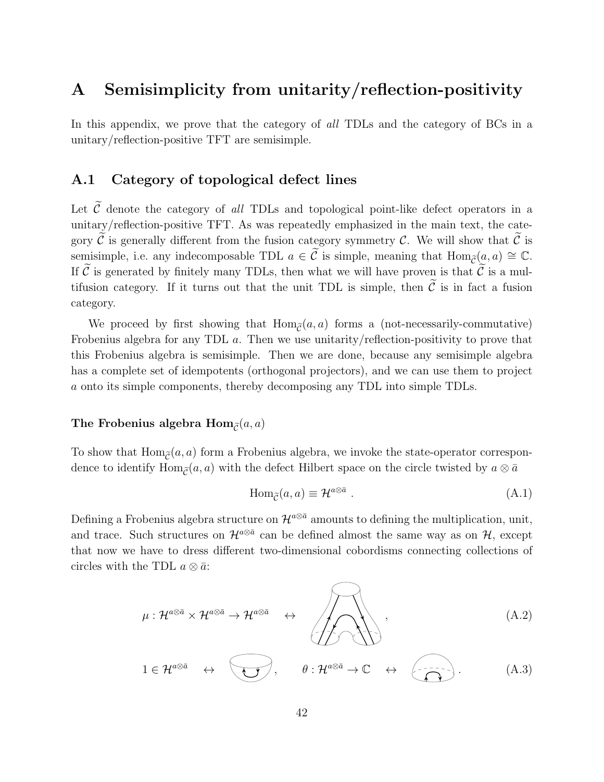# <span id="page-42-0"></span>A Semisimplicity from unitarity/reflection-positivity

In this appendix, we prove that the category of all TDLs and the category of BCs in a unitary/reflection-positive TFT are semisimple.

## <span id="page-42-1"></span>A.1 Category of topological defect lines

Let  $\widetilde{C}$  denote the category of all TDLs and topological point-like defect operators in a unitary/reflection-positive TFT. As was repeatedly emphasized in the main text, the category  $\mathcal C$  is generally different from the fusion category symmetry  $\mathcal C$ . We will show that  $\mathcal C$  is semisimple, i.e. any indecomposable TDL  $a \in \tilde{C}$  is simple, meaning that  $\text{Hom}_{\tilde{C}}(a, a) \cong \mathbb{C}$ . If  $\tilde{C}$  is generated by finitely many TDLs, then what we will have proven is that  $\tilde{C}$  is a multifusion category. If it turns out that the unit TDL is simple, then  $\tilde{C}$  is in fact a fusion category.

We proceed by first showing that  $\text{Hom}_{\tilde{\sigma}}(a, a)$  forms a (not-necessarily-commutative) Frobenius algebra for any TDL a. Then we use unitarity/reflection-positivity to prove that this Frobenius algebra is semisimple. Then we are done, because any semisimple algebra has a complete set of idempotents (orthogonal projectors), and we can use them to project a onto its simple components, thereby decomposing any TDL into simple TDLs.

### The Frobenius algebra  $\text{Hom}_{\tilde{c}}(a, a)$

To show that  $\text{Hom}_{\tilde{C}}(a, a)$  form a Frobenius algebra, we invoke the state-operator correspondence to identify Hom<sub> $\tilde{\sigma}(a, a)$ </sub> with the defect Hilbert space on the circle twisted by  $a \otimes \bar{a}$ 

$$
\text{Hom}_{\tilde{\mathcal{C}}}(a, a) \equiv \mathcal{H}^{a \otimes \bar{a}} \ . \tag{A.1}
$$

Defining a Frobenius algebra structure on  $\mathcal{H}^{a\otimes \bar{a}}$  amounts to defining the multiplication, unit, and trace. Such structures on  $\mathcal{H}^{a\otimes \bar{a}}$  can be defined almost the same way as on  $\mathcal{H}$ , except that now we have to dress different two-dimensional cobordisms connecting collections of circles with the TDL  $a \otimes \overline{a}$ :

$$
\mu: \mathcal{H}^{a \otimes \bar{a}} \times \mathcal{H}^{a \otimes \bar{a}} \rightarrow \mathcal{H}^{a \otimes \bar{a}} \quad \leftrightarrow \quad \boxed{\bigoplus_{\substack{\longrightarrow \\ \longrightarrow \\ \longrightarrow \\ \longrightarrow \longrightarrow}}}, \tag{A.2}
$$

$$
1 \in \mathcal{H}^{a \otimes \bar{a}} \quad \leftrightarrow \quad \bullet \quad , \qquad \theta : \mathcal{H}^{a \otimes \bar{a}} \to \mathbb{C} \quad \leftrightarrow \quad \overbrace{\bullet \quad \bullet \quad}^{\bullet}.
$$
 (A.3)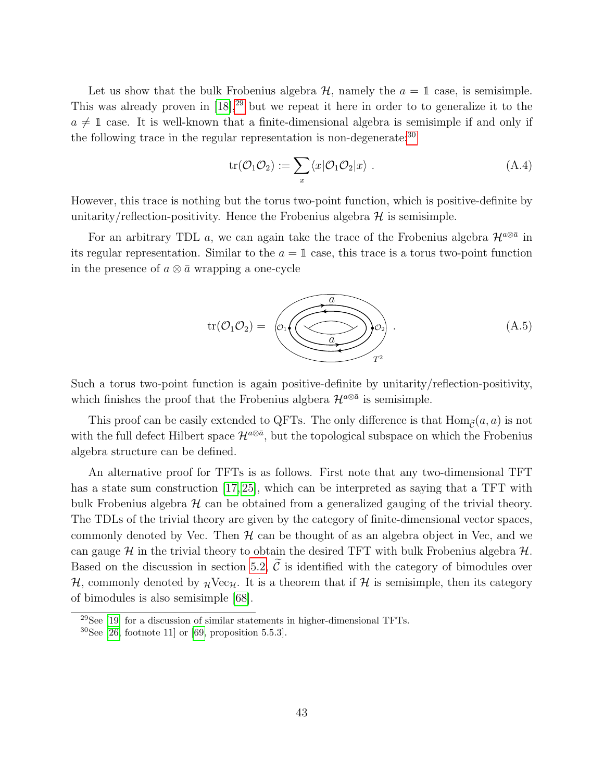Let us show that the bulk Frobenius algebra  $\mathcal{H}$ , namely the  $a = 1$  case, is semisimple. This was already proven in  $[18]$ ,<sup>[29](#page-43-0)</sup> but we repeat it here in order to to generalize it to the  $a \neq 1$  case. It is well-known that a finite-dimensional algebra is semisimple if and only if the following trace in the regular representation is non-degenerate:<sup>[30](#page-43-1)</sup>

$$
\text{tr}(\mathcal{O}_1 \mathcal{O}_2) := \sum_x \langle x | \mathcal{O}_1 \mathcal{O}_2 | x \rangle \ . \tag{A.4}
$$

However, this trace is nothing but the torus two-point function, which is positive-definite by unitarity/reflection-positivity. Hence the Frobenius algebra  $\mathcal H$  is semisimple.

For an arbitrary TDL a, we can again take the trace of the Frobenius algebra  $\mathcal{H}^{a\otimes \bar{a}}$  in its regular representation. Similar to the  $a = 1$  case, this trace is a torus two-point function in the presence of  $a \otimes \overline{a}$  wrapping a one-cycle



Such a torus two-point function is again positive-definite by unitarity/reflection-positivity, which finishes the proof that the Frobenius algbera  $\mathcal{H}^{a\otimes \bar{a}}$  is semisimple.

This proof can be easily extended to QFTs. The only difference is that  $\text{Hom}_{\tilde{C}}(a, a)$  is not with the full defect Hilbert space  $\mathcal{H}^{a\otimes \bar{a}}$ , but the topological subspace on which the Frobenius algebra structure can be defined.

An alternative proof for TFTs is as follows. First note that any two-dimensional TFT has a state sum construction [\[17,](#page-46-12) [25\]](#page-47-5), which can be interpreted as saying that a TFT with bulk Frobenius algebra  $H$  can be obtained from a generalized gauging of the trivial theory. The TDLs of the trivial theory are given by the category of finite-dimensional vector spaces, commonly denoted by Vec. Then  $H$  can be thought of as an algebra object in Vec, and we can gauge  $\mathcal H$  in the trivial theory to obtain the desired TFT with bulk Frobenius algebra  $\mathcal H$ . Based on the discussion in section [5.2,](#page-38-0)  $\tilde{C}$  is identified with the category of bimodules over  $H$ , commonly denoted by  $\mathcal{H}Vec_{H}$ . It is a theorem that if H is semisimple, then its category of bimodules is also semisimple [\[68\]](#page-50-6).

<span id="page-43-0"></span> $29$ See [\[19\]](#page-46-9) for a discussion of similar statements in higher-dimensional TFTs.

<span id="page-43-1"></span> $30$ See [\[26,](#page-47-4) footnote 11] or [\[69,](#page-50-7) proposition 5.5.3].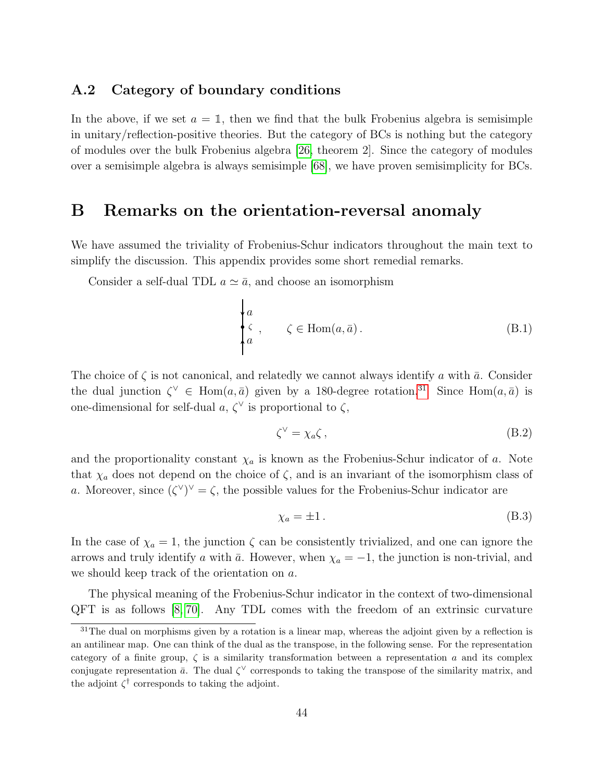## <span id="page-44-0"></span>A.2 Category of boundary conditions

In the above, if we set  $a = 1$ , then we find that the bulk Frobenius algebra is semisimple in unitary/reflection-positive theories. But the category of BCs is nothing but the category of modules over the bulk Frobenius algebra [\[26,](#page-47-4) theorem 2]. Since the category of modules over a semisimple algebra is always semisimple [\[68\]](#page-50-6), we have proven semisimplicity for BCs.

## <span id="page-44-1"></span>B Remarks on the orientation-reversal anomaly

We have assumed the triviality of Frobenius-Schur indicators throughout the main text to simplify the discussion. This appendix provides some short remedial remarks.

Consider a self-dual TDL  $a \simeq \bar{a}$ , and choose an isomorphism

$$
\begin{cases}\na \\
\zeta, & \zeta \in \text{Hom}(a, \bar{a}).\n\end{cases}
$$
\n(B.1)

The choice of  $\zeta$  is not canonical, and relatedly we cannot always identify a with  $\bar{a}$ . Consider the dual junction  $\zeta^{\vee} \in \text{Hom}(a, \bar{a})$  given by a 180-degree rotation.<sup>[31](#page-44-2)</sup> Since Hom $(a, \bar{a})$  is one-dimensional for self-dual  $a, \zeta^{\vee}$  is proportional to  $\zeta$ ,

$$
\zeta^{\vee} = \chi_a \zeta \,, \tag{B.2}
$$

and the proportionality constant  $\chi_a$  is known as the Frobenius-Schur indicator of a. Note that  $\chi_a$  does not depend on the choice of  $\zeta$ , and is an invariant of the isomorphism class of a. Moreover, since  $({\zeta}^{\vee})^{\vee} = {\zeta}$ , the possible values for the Frobenius-Schur indicator are

$$
\chi_a = \pm 1. \tag{B.3}
$$

In the case of  $\chi_a = 1$ , the junction  $\zeta$  can be consistently trivialized, and one can ignore the arrows and truly identify a with  $\bar{a}$ . However, when  $\chi_a = -1$ , the junction is non-trivial, and we should keep track of the orientation on a.

The physical meaning of the Frobenius-Schur indicator in the context of two-dimensional QFT is as follows [\[8,](#page-46-0) [70\]](#page-50-8). Any TDL comes with the freedom of an extrinsic curvature

<span id="page-44-2"></span> $31$ The dual on morphisms given by a rotation is a linear map, whereas the adjoint given by a reflection is an antilinear map. One can think of the dual as the transpose, in the following sense. For the representation category of a finite group,  $\zeta$  is a similarity transformation between a representation a and its complex conjugate representation  $\bar{a}$ . The dual  $\zeta^{\vee}$  corresponds to taking the transpose of the similarity matrix, and the adjoint  $\zeta^{\dagger}$  corresponds to taking the adjoint.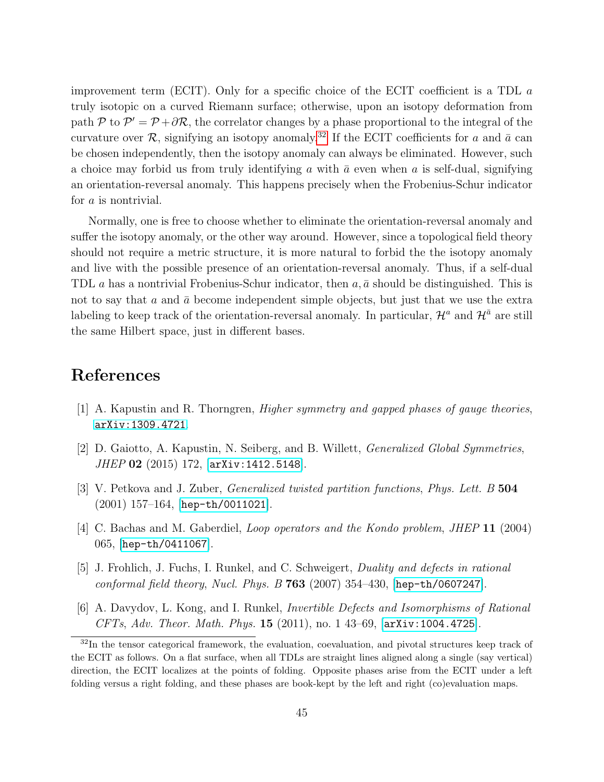improvement term (ECIT). Only for a specific choice of the ECIT coefficient is a TDL a truly isotopic on a curved Riemann surface; otherwise, upon an isotopy deformation from path P to  $\mathcal{P}' = \mathcal{P} + \partial \mathcal{R}$ , the correlator changes by a phase proportional to the integral of the curvature over  $\mathcal{R}$ , signifying an isotopy anomaly.<sup>[32](#page-45-5)</sup> If the ECIT coefficients for a and  $\bar{a}$  can be chosen independently, then the isotopy anomaly can always be eliminated. However, such a choice may forbid us from truly identifying a with  $\bar{a}$  even when a is self-dual, signifying an orientation-reversal anomaly. This happens precisely when the Frobenius-Schur indicator for a is nontrivial.

Normally, one is free to choose whether to eliminate the orientation-reversal anomaly and suffer the isotopy anomaly, or the other way around. However, since a topological field theory should not require a metric structure, it is more natural to forbid the the isotopy anomaly and live with the possible presence of an orientation-reversal anomaly. Thus, if a self-dual TDL a has a nontrivial Frobenius-Schur indicator, then  $a, \bar{a}$  should be distinguished. This is not to say that a and  $\bar{a}$  become independent simple objects, but just that we use the extra labeling to keep track of the orientation-reversal anomaly. In particular,  $\mathcal{H}^a$  and  $\mathcal{H}^{\bar{a}}$  are still the same Hilbert space, just in different bases.

# References

- <span id="page-45-0"></span>[1] A. Kapustin and R. Thorngren, Higher symmetry and gapped phases of gauge theories, [arXiv:1309.4721](http://arxiv.org/abs/1309.4721).
- <span id="page-45-1"></span>[2] D. Gaiotto, A. Kapustin, N. Seiberg, and B. Willett, Generalized Global Symmetries, JHEP 02 (2015) 172, [[arXiv:1412.5148](http://arxiv.org/abs/1412.5148)].
- <span id="page-45-2"></span>[3] V. Petkova and J. Zuber, Generalized twisted partition functions, Phys. Lett. B 504 (2001) 157–164, [[hep-th/0011021](http://arxiv.org/abs/hep-th/0011021)].
- [4] C. Bachas and M. Gaberdiel, *Loop operators and the Kondo problem, JHEP* 11 (2004) 065, [[hep-th/0411067](http://arxiv.org/abs/hep-th/0411067)].
- <span id="page-45-3"></span>[5] J. Frohlich, J. Fuchs, I. Runkel, and C. Schweigert, Duality and defects in rational conformal field theory, Nucl. Phys. B  $763$  (2007) 354-430, [[hep-th/0607247](http://arxiv.org/abs/hep-th/0607247)].
- <span id="page-45-4"></span>[6] A. Davydov, L. Kong, and I. Runkel, Invertible Defects and Isomorphisms of Rational CFTs, Adv. Theor. Math. Phys. 15 (2011), no. 1 43–69, [[arXiv:1004.4725](http://arxiv.org/abs/1004.4725)].

<span id="page-45-5"></span><sup>&</sup>lt;sup>32</sup>In the tensor categorical framework, the evaluation, coevaluation, and pivotal structures keep track of the ECIT as follows. On a flat surface, when all TDLs are straight lines aligned along a single (say vertical) direction, the ECIT localizes at the points of folding. Opposite phases arise from the ECIT under a left folding versus a right folding, and these phases are book-kept by the left and right (co)evaluation maps.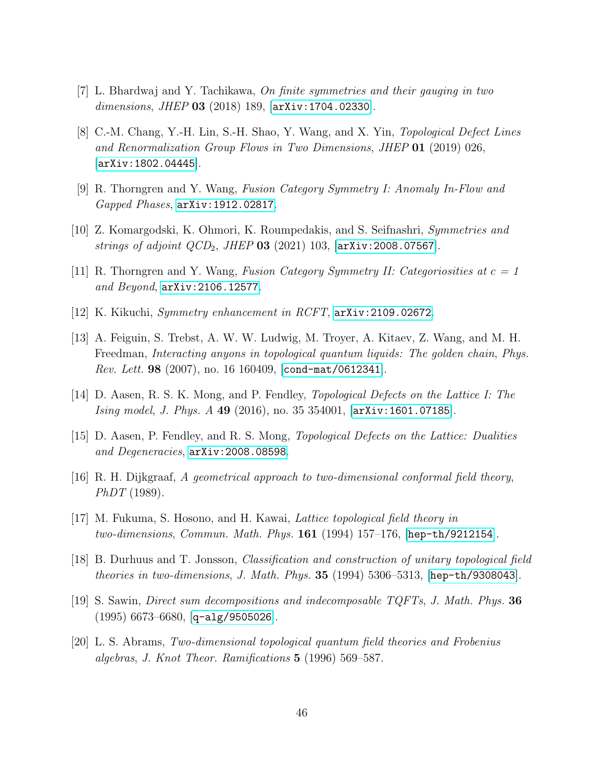- <span id="page-46-1"></span>[7] L. Bhardwaj and Y. Tachikawa, On finite symmetries and their gauging in two dimensions, JHEP 03 (2018) 189,  $[\text{arXiv}:1704.02330]$ .
- <span id="page-46-0"></span>[8] C.-M. Chang, Y.-H. Lin, S.-H. Shao, Y. Wang, and X. Yin, Topological Defect Lines and Renormalization Group Flows in Two Dimensions, JHEP 01 (2019) 026, [[arXiv:1802.04445](http://arxiv.org/abs/1802.04445)].
- <span id="page-46-2"></span>[9] R. Thorngren and Y. Wang, Fusion Category Symmetry I: Anomaly In-Flow and Gapped Phases, [arXiv:1912.02817](http://arxiv.org/abs/1912.02817).
- <span id="page-46-8"></span>[10] Z. Komargodski, K. Ohmori, K. Roumpedakis, and S. Seifnashri, Symmetries and strings of adjoint  $QCD_2$ , JHEP 03 (2021) 103,  $[\text{arXiv:2008.07567}]$  $[\text{arXiv:2008.07567}]$  $[\text{arXiv:2008.07567}]$ .
- [11] R. Thorngren and Y. Wang, Fusion Category Symmetry II: Categoriosities at  $c = 1$ and Beyond, [arXiv:2106.12577](http://arxiv.org/abs/2106.12577).
- <span id="page-46-3"></span>[12] K. Kikuchi, Symmetry enhancement in RCFT, [arXiv:2109.02672](http://arxiv.org/abs/2109.02672).
- <span id="page-46-4"></span>[13] A. Feiguin, S. Trebst, A. W. W. Ludwig, M. Troyer, A. Kitaev, Z. Wang, and M. H. Freedman, Interacting anyons in topological quantum liquids: The golden chain, Phys. Rev. Lett. 98 (2007), no. 16 160409, [[cond-mat/0612341](http://arxiv.org/abs/cond-mat/0612341)].
- <span id="page-46-5"></span>[14] D. Aasen, R. S. K. Mong, and P. Fendley, Topological Defects on the Lattice I: The Ising model, J. Phys. A 49 (2016), no. 35 354001, [[arXiv:1601.07185](http://arxiv.org/abs/1601.07185)].
- <span id="page-46-6"></span>[15] D. Aasen, P. Fendley, and R. S. Mong, Topological Defects on the Lattice: Dualities and Degeneracies, [arXiv:2008.08598](http://arxiv.org/abs/2008.08598).
- <span id="page-46-7"></span>[16] R. H. Dijkgraaf, A geometrical approach to two-dimensional conformal field theory,  $PhDT(1989)$ .
- <span id="page-46-12"></span>[17] M. Fukuma, S. Hosono, and H. Kawai, Lattice topological field theory in two-dimensions, Commun. Math. Phys.  $161$  (1994) 157–176, [[hep-th/9212154](http://arxiv.org/abs/hep-th/9212154)].
- <span id="page-46-11"></span>[18] B. Durhuus and T. Jonsson, Classification and construction of unitary topological field theories in two-dimensions, J. Math. Phys. 35 (1994) 5306–5313,  $[hep-th/9308043]$  $[hep-th/9308043]$  $[hep-th/9308043]$ .
- <span id="page-46-9"></span>[19] S. Sawin, Direct sum decompositions and indecomposable TQFTs, J. Math. Phys. 36  $(1995)$  6673–6680, [[q-alg/9505026](http://arxiv.org/abs/q-alg/9505026)].
- <span id="page-46-10"></span>[20] L. S. Abrams, Two-dimensional topological quantum field theories and Frobenius algebras, J. Knot Theor. Ramifications 5 (1996) 569–587.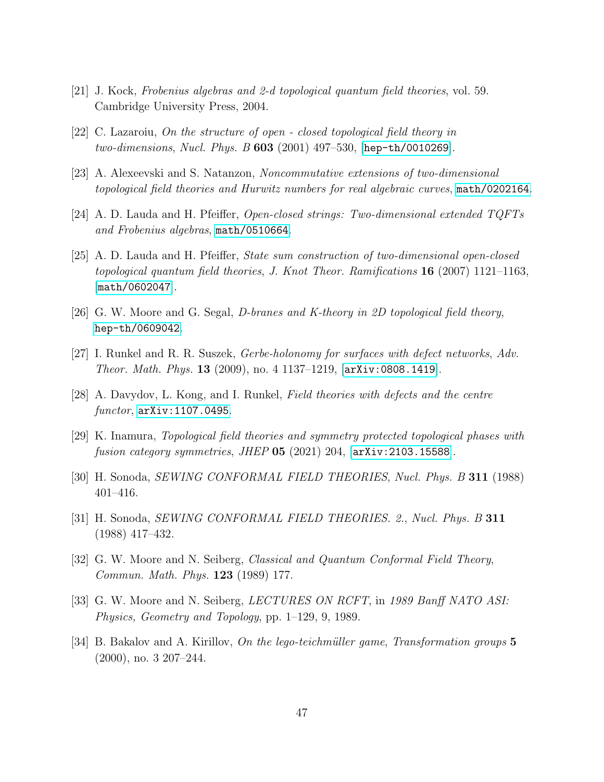- [21] J. Kock, Frobenius algebras and 2-d topological quantum field theories, vol. 59. Cambridge University Press, 2004.
- [22] C. Lazaroiu, On the structure of open closed topological field theory in two-dimensions, Nucl. Phys. B 603 (2001) 497–530, [[hep-th/0010269](http://arxiv.org/abs/hep-th/0010269)].
- [23] A. Alexeevski and S. Natanzon, Noncommutative extensions of two-dimensional topological field theories and Hurwitz numbers for real algebraic curves, [math/0202164](http://arxiv.org/abs/math/0202164).
- [24] A. D. Lauda and H. Pfeiffer, Open-closed strings: Two-dimensional extended TQFTs and Frobenius algebras, [math/0510664](http://arxiv.org/abs/math/0510664).
- <span id="page-47-5"></span>[25] A. D. Lauda and H. Pfeiffer, State sum construction of two-dimensional open-closed topological quantum field theories, J. Knot Theor. Ramifications 16 (2007) 1121–1163, [[math/0602047](http://arxiv.org/abs/math/0602047)].
- <span id="page-47-4"></span>[26] G. W. Moore and G. Segal, *D-branes and K-theory in 2D topological field theory*, [hep-th/0609042](http://arxiv.org/abs/hep-th/0609042).
- [27] I. Runkel and R. R. Suszek, Gerbe-holonomy for surfaces with defect networks, Adv. *Theor. Math. Phys.* 13 (2009), no. 4 1137–1219,  $[ary:0808.1419]$ .
- <span id="page-47-0"></span>[28] A. Davydov, L. Kong, and I. Runkel, Field theories with defects and the centre functor, [arXiv:1107.0495](http://arxiv.org/abs/1107.0495).
- <span id="page-47-1"></span>[29] K. Inamura, Topological field theories and symmetry protected topological phases with fusion category symmetries, JHEP  $05$  (2021) 204,  $\text{arXiv:}2103.15588$ .
- <span id="page-47-2"></span>[30] H. Sonoda, SEWING CONFORMAL FIELD THEORIES, Nucl. Phys. B 311 (1988) 401–416.
- [31] H. Sonoda, *SEWING CONFORMAL FIELD THEORIES. 2.*, *Nucl. Phys. B* 311 (1988) 417–432.
- [32] G. W. Moore and N. Seiberg, Classical and Quantum Conformal Field Theory, Commun. Math. Phys. 123 (1989) 177.
- [33] G. W. Moore and N. Seiberg, *LECTURES ON RCFT*, in 1989 Banff NATO ASI: Physics, Geometry and Topology, pp. 1–129, 9, 1989.
- <span id="page-47-3"></span>[34] B. Bakalov and A. Kirillov, On the lego-teichmüller game, Transformation groups  $5$ (2000), no. 3 207–244.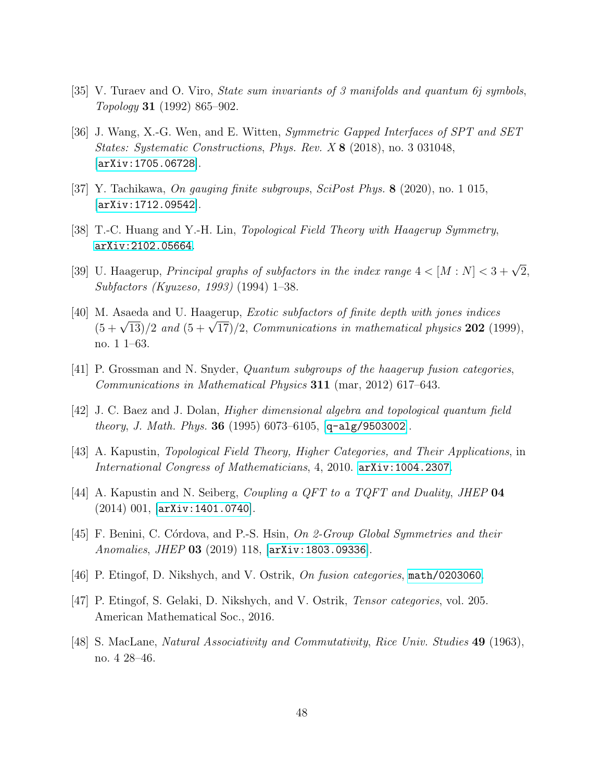- <span id="page-48-0"></span>[35] V. Turaev and O. Viro, State sum invariants of 3 manifolds and quantum 6j symbols, Topology 31 (1992) 865–902.
- <span id="page-48-1"></span>[36] J. Wang, X.-G. Wen, and E. Witten, Symmetric Gapped Interfaces of SPT and SET States: Systematic Constructions, Phys. Rev. X 8 (2018), no. 3 031048, [[arXiv:1705.06728](http://arxiv.org/abs/1705.06728)].
- <span id="page-48-2"></span>[37] Y. Tachikawa, On gauging finite subgroups, SciPost Phys. 8 (2020), no. 1 015,  $|arXiv:1712.09542|$  $|arXiv:1712.09542|$  $|arXiv:1712.09542|$ .
- <span id="page-48-3"></span>[38] T.-C. Huang and Y.-H. Lin, Topological Field Theory with Haagerup Symmetry, [arXiv:2102.05664](http://arxiv.org/abs/2102.05664).
- <span id="page-48-4"></span>[39] U. Haagerup, *Principal graphs of subfactors in the index range*  $4 < [M : N] < 3 + \sqrt{2}$ , Subfactors (Kyuzeso, 1993) (1994) 1–38.
- [40] M. Asaeda and U. Haagerup, Exotic subfactors of finite depth with jones indices M. Assect a and O. Haagerup, *Exotic subjectors of finite depth with fones matces*  $(5 + \sqrt{13})/2$  and  $(5 + \sqrt{17})/2$ , *Communications in mathematical physics* **202** (1999), no. 1 1–63.
- <span id="page-48-5"></span>[41] P. Grossman and N. Snyder, Quantum subgroups of the haagerup fusion categories, Communications in Mathematical Physics 311 (mar, 2012) 617–643.
- <span id="page-48-6"></span>[42] J. C. Baez and J. Dolan, Higher dimensional algebra and topological quantum field theory, J. Math. Phys. 36 (1995) 6073–6105, [[q-alg/9503002](http://arxiv.org/abs/q-alg/9503002)].
- <span id="page-48-7"></span>[43] A. Kapustin, Topological Field Theory, Higher Categories, and Their Applications, in International Congress of Mathematicians, 4, 2010. [arXiv:1004.2307](http://arxiv.org/abs/1004.2307).
- <span id="page-48-8"></span>[44] A. Kapustin and N. Seiberg, *Coupling a QFT to a TQFT and Duality*, *JHEP* **04** (2014) 001, [[arXiv:1401.0740](http://arxiv.org/abs/1401.0740)].
- <span id="page-48-9"></span>[45] F. Benini, C. Córdova, and P.-S. Hsin, On 2-Group Global Symmetries and their Anomalies, JHEP 03 (2019) 118, [[arXiv:1803.09336](http://arxiv.org/abs/1803.09336)].
- <span id="page-48-10"></span>[46] P. Etingof, D. Nikshych, and V. Ostrik, On fusion categories, [math/0203060](http://arxiv.org/abs/math/0203060).
- <span id="page-48-11"></span>[47] P. Etingof, S. Gelaki, D. Nikshych, and V. Ostrik, Tensor categories, vol. 205. American Mathematical Soc., 2016.
- <span id="page-48-12"></span>[48] S. MacLane, Natural Associativity and Commutativity, Rice Univ. Studies 49 (1963), no. 4 28–46.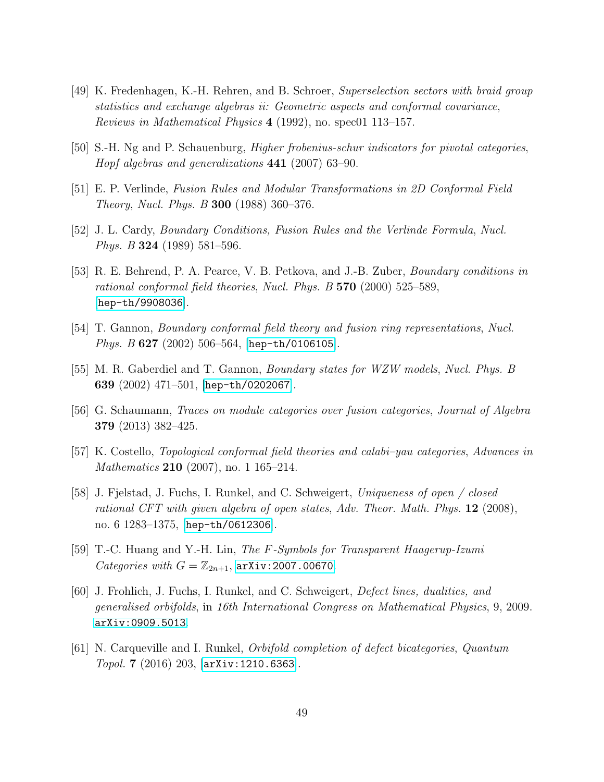- <span id="page-49-0"></span>[49] K. Fredenhagen, K.-H. Rehren, and B. Schroer, Superselection sectors with braid group statistics and exchange algebras ii: Geometric aspects and conformal covariance, Reviews in Mathematical Physics 4 (1992), no. spec01 113–157.
- <span id="page-49-1"></span>[50] S.-H. Ng and P. Schauenburg, Higher frobenius-schur indicators for pivotal categories, Hopf algebras and generalizations 441 (2007) 63–90.
- <span id="page-49-2"></span>[51] E. P. Verlinde, Fusion Rules and Modular Transformations in 2D Conformal Field Theory, Nucl. Phys. B 300 (1988) 360–376.
- <span id="page-49-3"></span>[52] J. L. Cardy, Boundary Conditions, Fusion Rules and the Verlinde Formula, Nucl. Phys. B 324 (1989) 581–596.
- [53] R. E. Behrend, P. A. Pearce, V. B. Petkova, and J.-B. Zuber, Boundary conditions in rational conformal field theories, Nucl. Phys.  $B$  570 (2000) 525–589, [[hep-th/9908036](http://arxiv.org/abs/hep-th/9908036)].
- [54] T. Gannon, Boundary conformal field theory and fusion ring representations, Nucl. *Phys. B* 627 (2002) 506–564, [[hep-th/0106105](http://arxiv.org/abs/hep-th/0106105)].
- <span id="page-49-4"></span>[55] M. R. Gaberdiel and T. Gannon, Boundary states for WZW models, Nucl. Phys. B 639  $(2002)$  471-501, [[hep-th/0202067](http://arxiv.org/abs/hep-th/0202067)].
- <span id="page-49-5"></span>[56] G. Schaumann, Traces on module categories over fusion categories, Journal of Algebra 379 (2013) 382–425.
- <span id="page-49-6"></span>[57] K. Costello, Topological conformal field theories and calabi–yau categories, Advances in Mathematics **210** (2007), no. 1 165–214.
- <span id="page-49-7"></span>[58] J. Fjelstad, J. Fuchs, I. Runkel, and C. Schweigert, Uniqueness of open / closed rational CFT with given algebra of open states, Adv. Theor. Math. Phys. 12 (2008), no. 6 1283–1375, [[hep-th/0612306](http://arxiv.org/abs/hep-th/0612306)].
- <span id="page-49-8"></span>[59] T.-C. Huang and Y.-H. Lin, The F-Symbols for Transparent Haagerup-Izumi Categories with  $G = \mathbb{Z}_{2n+1}$ , arXiv: 2007.00670.
- <span id="page-49-9"></span>[60] J. Frohlich, J. Fuchs, I. Runkel, and C. Schweigert, Defect lines, dualities, and generalised orbifolds, in 16th International Congress on Mathematical Physics, 9, 2009. [arXiv:0909.5013](http://arxiv.org/abs/0909.5013).
- [61] N. Carqueville and I. Runkel, Orbifold completion of defect bicategories, Quantum Topol. 7 (2016) 203, [[arXiv:1210.6363](http://arxiv.org/abs/1210.6363)].